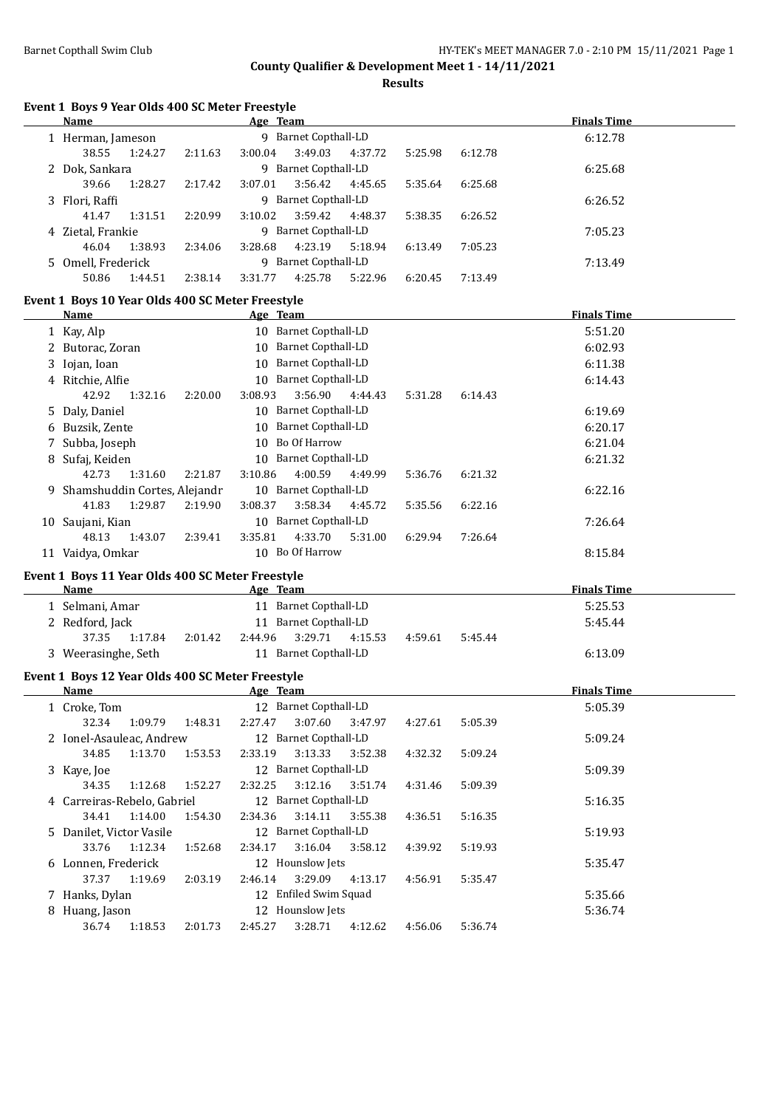**Finals Time** 

**Finals Time** 

**Finals Time** 

**County Qualifier & Development Meet 1 - 14/11/2021**

**Results**

| Event 1 Boys 9 Year Olds 400 SC Meter Freestyle          |         |          |                       |         |         |         |                            |
|----------------------------------------------------------|---------|----------|-----------------------|---------|---------|---------|----------------------------|
| Name                                                     |         | Age Team |                       |         |         |         | <b>Finals Tim</b>          |
| 1 Herman, Jameson                                        |         |          | 9 Barnet Copthall-LD  |         |         |         | 6:12.78                    |
| 38.55<br>1:24.27                                         | 2:11.63 | 3:00.04  | 3:49.03               | 4:37.72 | 5:25.98 | 6:12.78 |                            |
| 2 Dok, Sankara                                           |         |          | 9 Barnet Copthall-LD  |         |         |         | 6:25.68                    |
| 39.66<br>1:28.27                                         | 2:17.42 | 3:07.01  | 3:56.42               | 4:45.65 | 5:35.64 | 6:25.68 |                            |
| 3 Flori, Raffi                                           |         |          | 9 Barnet Copthall-LD  |         |         |         | 6:26.52                    |
| 41.47<br>1:31.51                                         | 2:20.99 | 3:10.02  | 3:59.42               | 4:48.37 | 5:38.35 | 6:26.52 |                            |
| 4 Zietal, Frankie                                        |         |          | 9 Barnet Copthall-LD  |         |         |         | 7:05.23                    |
| 46.04<br>1:38.93                                         | 2:34.06 | 3:28.68  | 4:23.19               | 5:18.94 | 6:13.49 | 7:05.23 |                            |
| 5 Omell, Frederick                                       |         |          | 9 Barnet Copthall-LD  |         |         |         | 7:13.49                    |
| 50.86<br>1:44.51                                         | 2:38.14 | 3:31.77  | 4:25.78               | 5:22.96 | 6:20.45 | 7:13.49 |                            |
| Event 1 Boys 10 Year Olds 400 SC Meter Freestyle<br>Name |         | Age Team |                       |         |         |         | <b>Finals Tim</b>          |
| 1 Kay, Alp                                               |         |          | 10 Barnet Copthall-LD |         |         |         | 5:51.20                    |
| 2 Butorac, Zoran                                         |         |          | 10 Barnet Copthall-LD |         |         |         | 6:02.93                    |
| 3 Iojan, Ioan                                            |         |          | 10 Barnet Copthall-LD |         |         |         | 6:11.38                    |
| 4 Ritchie, Alfie                                         |         |          | 10 Barnet Copthall-LD |         |         |         | 6:14.43                    |
| 42.92<br>1:32.16                                         | 2:20.00 | 3:08.93  | 3:56.90               | 4:44.43 | 5:31.28 | 6:14.43 |                            |
| 5 Daly, Daniel                                           |         |          | 10 Barnet Copthall-LD |         |         |         | 6:19.69                    |
| 6 Buzsik, Zente                                          |         |          | 10 Barnet Copthall-LD |         |         |         | 6:20.17                    |
| 7 Subba, Joseph                                          |         |          | 10 Bo Of Harrow       |         |         |         | 6:21.04                    |
| 8 Sufaj, Keiden                                          |         |          | 10 Barnet Copthall-LD |         |         |         | 6:21.32                    |
| 42.73<br>1:31.60                                         | 2:21.87 | 3:10.86  | 4:00.59               | 4:49.99 | 5:36.76 | 6:21.32 |                            |
| 9 Shamshuddin Cortes, Alejandr                           |         |          | 10 Barnet Copthall-LD |         |         |         | 6:22.16                    |
| 41.83<br>1:29.87                                         | 2:19.90 | 3:08.37  | 3:58.34               | 4:45.72 | 5:35.56 | 6:22.16 |                            |
| 10 Saujani, Kian                                         |         |          | 10 Barnet Copthall-LD |         |         |         | 7:26.64                    |
| 48.13<br>1:43.07                                         | 2:39.41 | 3:35.81  | 4:33.70               | 5:31.00 | 6:29.94 | 7:26.64 |                            |
| 11 Vaidya, Omkar                                         |         |          | 10 Bo Of Harrow       |         |         |         | 8:15.84                    |
|                                                          |         |          |                       |         |         |         |                            |
| Event 1 Boys 11 Year Olds 400 SC Meter Freestyle<br>Name |         | Age Team |                       |         |         |         | <b>Finals Tim</b>          |
| 1 Selmani, Amar                                          |         |          | 11 Barnet Copthall-LD |         |         |         | 5:25.53                    |
| 2 Redford, Jack                                          |         |          | 11 Barnet Copthall-LD |         |         |         | 5:45.44                    |
| 37.35<br>1:17.84                                         | 2:01.42 | 2:44.96  | 3:29.71               | 4:15.53 | 4:59.61 | 5:45.44 |                            |
| 3 Weerasinghe, Seth                                      |         |          | 11 Barnet Copthall-LD |         |         |         | 6:13.09                    |
| Event 1 Boys 12 Year Olds 400 SC Meter Freestyle         |         |          |                       |         |         |         |                            |
| Name                                                     |         | Age Team |                       |         |         |         | <b>Finals Tim</b>          |
| 1 Croke, Tom                                             |         |          | 12 Barnet Copthall-LD |         |         |         | 5:05.39                    |
| 32.34<br>1:09.79                                         | 1:48.31 | 2:27.47  | 3:07.60               | 3:47.97 | 4:27.61 | 5:05.39 |                            |
| 2 Ional Acquisos Androw                                  |         |          | 12 Parnot Conthall ID |         |         |         | $F \cdot \Omega \Omega 24$ |

| Name                        |         |         | Age Team         |                       |         |         |         | <b>Finals Time</b> |  |
|-----------------------------|---------|---------|------------------|-----------------------|---------|---------|---------|--------------------|--|
| 1 Croke, Tom                |         |         |                  | 12 Barnet Copthall-LD |         |         |         | 5:05.39            |  |
| 32.34                       | 1:09.79 | 1:48.31 | 2:27.47          | 3:07.60               | 3:47.97 | 4:27.61 | 5:05.39 |                    |  |
| 2 Ionel-Asauleac, Andrew    |         |         |                  | 12 Barnet Copthall-LD |         |         |         | 5:09.24            |  |
| 34.85                       | 1:13.70 | 1:53.53 | 2:33.19          | 3:13.33               | 3:52.38 | 4:32.32 | 5:09.24 |                    |  |
| 3 Kaye, Joe                 |         |         |                  | 12 Barnet Copthall-LD |         |         |         | 5:09.39            |  |
| 34.35                       | 1:12.68 | 1:52.27 | 2:32.25          | 3:12.16               | 3:51.74 | 4:31.46 | 5:09.39 |                    |  |
| 4 Carreiras-Rebelo, Gabriel |         |         |                  | 12 Barnet Copthall-LD |         |         |         | 5:16.35            |  |
| 34.41                       | 1:14.00 | 1:54.30 | 2:34.36          | 3:14.11               | 3:55.38 | 4:36.51 | 5:16.35 |                    |  |
| 5 Danilet, Victor Vasile    |         |         |                  | 12 Barnet Copthall-LD |         |         |         | 5:19.93            |  |
| 33.76                       | 1:12.34 | 1:52.68 | 2:34.17          | 3:16.04               | 3:58.12 | 4:39.92 | 5:19.93 |                    |  |
| 6 Lonnen, Frederick         |         |         |                  | 12 Hounslow Jets      |         |         |         | 5:35.47            |  |
| 37.37                       | 1:19.69 | 2:03.19 | 2:46.14          | 3:29.09               | 4:13.17 | 4:56.91 | 5:35.47 |                    |  |
| 7 Hanks, Dylan              |         |         |                  | 12 Enfiled Swim Squad |         |         |         | 5:35.66            |  |
| 8 Huang, Jason              |         |         | 12 Hounslow Jets |                       |         |         |         | 5:36.74            |  |
| 36.74                       | 1:18.53 | 2:01.73 | 2:45.27          | 3:28.71               | 4:12.62 | 4:56.06 | 5:36.74 |                    |  |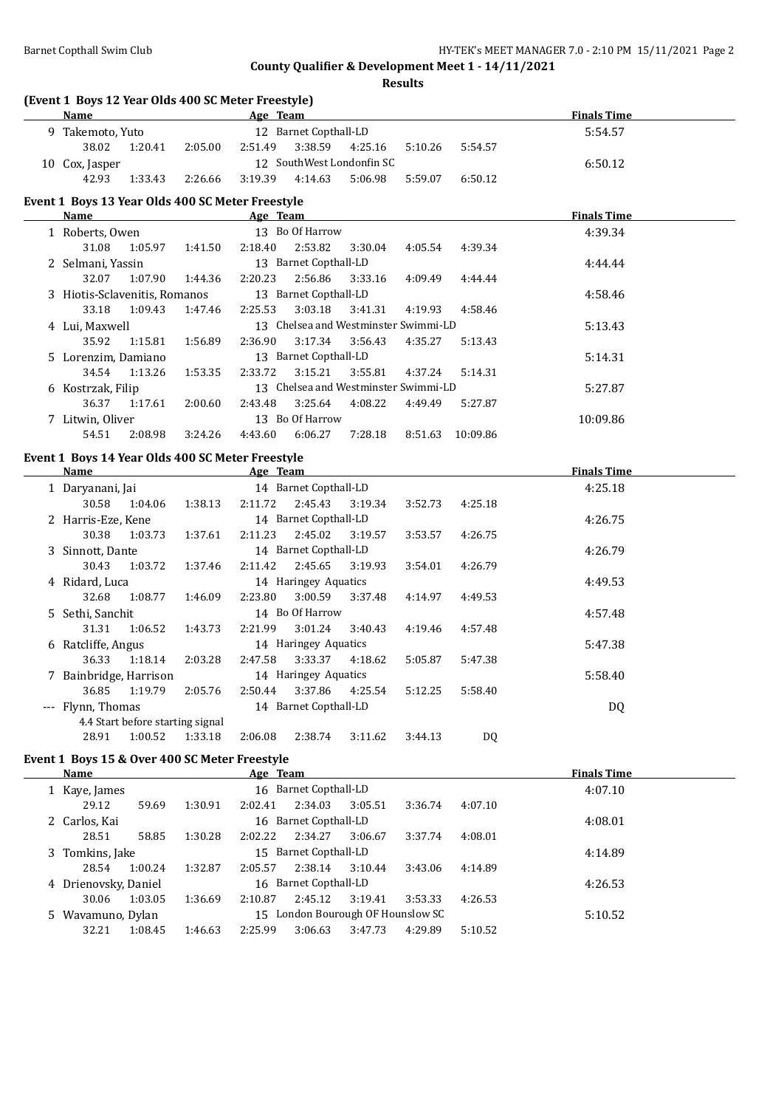**Results**

| (Event 1 Boys 12 Year Olds 400 SC Meter Freestyle)<br>Name |         | <b>Example 2016</b> Age Team                |                    |           | <b>Finals Time</b> |  |
|------------------------------------------------------------|---------|---------------------------------------------|--------------------|-----------|--------------------|--|
| 9 Takemoto, Yuto                                           |         | 12 Barnet Copthall-LD                       |                    |           | 5:54.57            |  |
| 38.02<br>1:20.41                                           | 2:05.00 | 2:51.49<br>3:38.59                          | 4:25.16<br>5:10.26 | 5:54.57   |                    |  |
| 10 Cox, Jasper                                             |         | 12 SouthWest Londonfin SC                   |                    |           | 6:50.12            |  |
| 42.93<br>1:33.43                                           | 2:26.66 | 3:19.39<br>4:14.63                          | 5:06.98<br>5:59.07 | 6:50.12   |                    |  |
| Event 1 Boys 13 Year Olds 400 SC Meter Freestyle           |         |                                             |                    |           |                    |  |
| Name                                                       |         | Age Team                                    |                    |           | <b>Finals Time</b> |  |
| 1 Roberts, Owen                                            |         | 13 Bo Of Harrow                             |                    |           | 4:39.34            |  |
| 31.08<br>1:05.97                                           | 1:41.50 | 2:18.40<br>2:53.82                          | 3:30.04<br>4:05.54 | 4:39.34   |                    |  |
| 2 Selmani, Yassin                                          |         | 13 Barnet Copthall-LD                       |                    |           | 4:44.44            |  |
| 32.07<br>1:07.90                                           | 1:44.36 | 2:20.23<br>2:56.86                          | 3:33.16<br>4:09.49 | 4:44.44   |                    |  |
| 3 Hiotis-Sclavenitis, Romanos                              |         | 13 Barnet Copthall-LD                       |                    |           | 4:58.46            |  |
| 33.18<br>1:09.43                                           | 1:47.46 | 3:03.18<br>2:25.53                          | 3:41.31<br>4:19.93 | 4:58.46   |                    |  |
|                                                            |         | 13 Chelsea and Westminster Swimmi-LD        |                    |           |                    |  |
| 4 Lui, Maxwell                                             |         |                                             |                    |           | 5:13.43            |  |
| 35.92<br>1:15.81                                           | 1:56.89 | 2:36.90<br>3:17.34                          | 3:56.43<br>4:35.27 | 5:13.43   |                    |  |
| 5 Lorenzim, Damiano                                        |         | 13 Barnet Copthall-LD                       |                    |           | 5:14.31            |  |
| 34.54<br>1:13.26                                           | 1:53.35 | 2:33.72<br>3:15.21                          | 3:55.81<br>4:37.24 | 5:14.31   |                    |  |
| 6 Kostrzak, Filip                                          |         | 13 Chelsea and Westminster Swimmi-LD        |                    |           | 5:27.87            |  |
| 36.37<br>1:17.61                                           | 2:00.60 | 2:43.48<br>3:25.64                          | 4:08.22<br>4:49.49 | 5:27.87   |                    |  |
| 7 Litwin, Oliver                                           |         | 13 Bo Of Harrow                             |                    |           | 10:09.86           |  |
| 54.51<br>2:08.98                                           | 3:24.26 | 4:43.60<br>6:06.27                          | 7:28.18<br>8:51.63 | 10:09.86  |                    |  |
| Event 1 Boys 14 Year Olds 400 SC Meter Freestyle           |         |                                             |                    |           |                    |  |
| Name                                                       |         | Age Team                                    |                    |           | <b>Finals Time</b> |  |
| 1 Daryanani, Jai                                           |         | 14 Barnet Copthall-LD                       |                    |           | 4:25.18            |  |
| 30.58<br>1:04.06                                           | 1:38.13 | 2:11.72<br>2:45.43                          | 3:52.73<br>3:19.34 | 4:25.18   |                    |  |
| 2 Harris-Eze, Kene                                         |         | 14 Barnet Copthall-LD                       |                    |           | 4:26.75            |  |
| 30.38<br>1:03.73                                           | 1:37.61 | 2:11.23<br>2:45.02                          | 3:19.57<br>3:53.57 | 4:26.75   |                    |  |
| 3 Sinnott, Dante                                           |         | 14 Barnet Copthall-LD                       |                    |           | 4:26.79            |  |
| 30.43<br>1:03.72                                           | 1:37.46 | 2:11.42<br>2:45.65                          | 3:19.93<br>3:54.01 | 4:26.79   |                    |  |
| 4 Ridard, Luca                                             |         | 14 Haringey Aquatics                        |                    |           | 4:49.53            |  |
| 32.68<br>1:08.77                                           | 1:46.09 | 3:00.59<br>2:23.80                          | 3:37.48<br>4:14.97 | 4:49.53   |                    |  |
| 5 Sethi, Sanchit                                           |         | 14 Bo Of Harrow                             |                    |           | 4:57.48            |  |
| 31.31<br>1:06.52                                           | 1:43.73 | 2:21.99<br>3:01.24                          | 3:40.43<br>4:19.46 | 4:57.48   |                    |  |
|                                                            |         | 14 Haringey Aquatics                        |                    |           |                    |  |
| 6 Ratcliffe, Angus<br>36.33<br>1:18.14                     | 2:03.28 | 3:33.37<br>2:47.58                          | 4:18.62<br>5:05.87 | 5:47.38   | 5:47.38            |  |
|                                                            |         | 14 Haringey Aquatics                        |                    |           |                    |  |
| 7 Bainbridge, Harrison                                     |         |                                             |                    |           | 5:58.40            |  |
| 36.85<br>1:19.79                                           | 2:05.76 | 3:37.86<br>2:50.44<br>14 Barnet Copthall-LD | 4:25.54<br>5:12.25 | 5:58.40   |                    |  |
| --- Flynn, Thomas                                          |         |                                             |                    |           | DQ                 |  |
| 4.4 Start before starting signal<br>28.91<br>1:00.52       |         | 2:06.08<br>2:38.74                          | 3:11.62<br>3:44.13 | <b>DQ</b> |                    |  |
|                                                            | 1:33.18 |                                             |                    |           |                    |  |
| Event 1 Boys 15 & Over 400 SC Meter Freestyle              |         |                                             |                    |           |                    |  |
| <b>Name</b>                                                |         | Age Team                                    |                    |           | <b>Finals Time</b> |  |
| 1 Kaye, James                                              |         | 16 Barnet Copthall-LD                       |                    |           | 4:07.10            |  |
| 29.12<br>59.69                                             | 1:30.91 | 2:34.03<br>2:02.41                          | 3:05.51<br>3:36.74 | 4:07.10   |                    |  |
| 2 Carlos, Kai                                              |         | 16 Barnet Copthall-LD                       |                    |           | 4:08.01            |  |
| 28.51<br>58.85                                             | 1:30.28 | 2:02.22<br>2:34.27                          | 3:06.67<br>3:37.74 | 4:08.01   |                    |  |
| 3 Tomkins, Jake                                            |         | 15 Barnet Copthall-LD                       |                    |           | 4:14.89            |  |
| 28.54<br>1:00.24                                           | 1:32.87 | 2:38.14<br>2:05.57                          | 3:10.44<br>3:43.06 | 4:14.89   |                    |  |
| 4 Drienovsky, Daniel                                       |         | 16 Barnet Copthall-LD                       |                    |           | 4:26.53            |  |
|                                                            |         |                                             |                    |           |                    |  |
| 30.06<br>1:03.05                                           | 1:36.69 | 2:45.12<br>2:10.87                          | 3:19.41<br>3:53.33 | 4:26.53   |                    |  |
| 5 Wavamuno, Dylan                                          |         | 15 London Bourough OF Hounslow SC           |                    |           | 5:10.52            |  |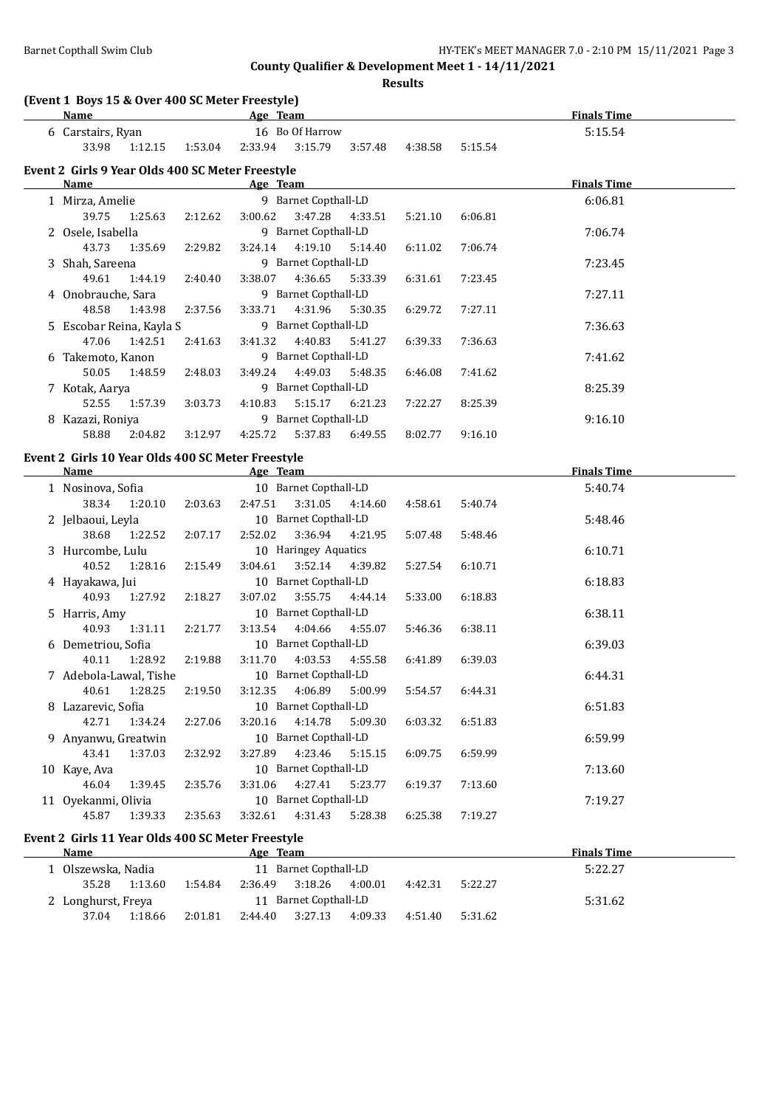**Results**

| (Event 1 Boys 15 & Over 400 SC Meter Freestyle)<br>Name |         | Age Team |                                  |         |         |         | <b>Finals Time</b> |
|---------------------------------------------------------|---------|----------|----------------------------------|---------|---------|---------|--------------------|
| 6 Carstairs, Ryan                                       |         |          | 16 Bo Of Harrow                  |         |         |         | 5:15.54            |
| 33.98<br>1:12.15                                        | 1:53.04 | 2:33.94  | 3:15.79                          | 3:57.48 | 4:38.58 | 5:15.54 |                    |
| Event 2 Girls 9 Year Olds 400 SC Meter Freestyle        |         |          |                                  |         |         |         |                    |
| Name                                                    |         | Age Team |                                  |         |         |         | <b>Finals Time</b> |
| 1 Mirza, Amelie                                         |         |          | 9 Barnet Copthall-LD             |         |         |         | 6:06.81            |
| 39.75<br>1:25.63                                        | 2:12.62 | 3:00.62  | 3:47.28                          | 4:33.51 | 5:21.10 | 6:06.81 |                    |
| 2 Osele, Isabella                                       |         |          | 9 Barnet Copthall-LD             |         |         |         | 7:06.74            |
| 43.73<br>1:35.69                                        | 2:29.82 | 3:24.14  | 4:19.10                          | 5:14.40 | 6:11.02 | 7:06.74 |                    |
| 3 Shah, Sareena                                         |         |          | 9 Barnet Copthall-LD             |         |         |         | 7:23.45            |
| 49.61<br>1:44.19                                        | 2:40.40 | 3:38.07  | 4:36.65                          | 5:33.39 | 6:31.61 | 7:23.45 |                    |
| 4 Onobrauche, Sara                                      |         |          | 9 Barnet Copthall-LD             |         |         |         | 7:27.11            |
| 48.58<br>1:43.98                                        | 2:37.56 | 3:33.71  | 4:31.96                          | 5:30.35 | 6:29.72 | 7:27.11 |                    |
| 5 Escobar Reina, Kayla S                                |         |          | 9 Barnet Copthall-LD             |         |         |         | 7:36.63            |
| 47.06<br>1:42.51                                        | 2:41.63 | 3:41.32  | 4:40.83                          | 5:41.27 | 6:39.33 | 7:36.63 |                    |
| 6 Takemoto, Kanon                                       |         |          | 9 Barnet Copthall-LD             |         |         |         | 7:41.62            |
| 50.05<br>1:48.59                                        | 2:48.03 | 3:49.24  | 4:49.03                          | 5:48.35 | 6:46.08 | 7:41.62 |                    |
| 7 Kotak, Aarya                                          |         |          | 9 Barnet Copthall-LD             |         |         |         | 8:25.39            |
| 52.55<br>1:57.39                                        | 3:03.73 | 4:10.83  | 5:15.17                          | 6:21.23 | 7:22.27 | 8:25.39 |                    |
| 8 Kazazi, Roniya<br>58.88                               |         |          | 9 Barnet Copthall-LD             |         |         |         | 9:16.10            |
| 2:04.82                                                 | 3:12.97 | 4:25.72  | 5:37.83                          | 6:49.55 | 8:02.77 | 9:16.10 |                    |
| Event 2 Girls 10 Year Olds 400 SC Meter Freestyle       |         |          |                                  |         |         |         |                    |
| Name                                                    |         | Age Team |                                  |         |         |         | <b>Finals Time</b> |
|                                                         |         |          |                                  |         |         |         |                    |
| 1 Nosinova, Sofia                                       |         |          | 10 Barnet Copthall-LD            |         |         |         | 5:40.74            |
| 38.34<br>1:20.10                                        | 2:03.63 | 2:47.51  | 3:31.05                          | 4:14.60 | 4:58.61 | 5:40.74 |                    |
| 2 Jelbaoui, Leyla                                       |         |          | 10 Barnet Copthall-LD            |         |         |         | 5:48.46            |
| 38.68<br>1:22.52                                        | 2:07.17 | 2:52.02  | 3:36.94                          | 4:21.95 | 5:07.48 | 5:48.46 |                    |
| 3 Hurcombe, Lulu                                        |         |          | 10 Haringey Aquatics             |         |         |         | 6:10.71            |
| 40.52<br>1:28.16                                        | 2:15.49 | 3:04.61  | 3:52.14                          | 4:39.82 | 5:27.54 | 6:10.71 |                    |
| 4 Hayakawa, Jui                                         |         |          | 10 Barnet Copthall-LD            |         |         |         | 6:18.83            |
| 40.93<br>1:27.92                                        | 2:18.27 | 3:07.02  | 3:55.75                          | 4:44.14 | 5:33.00 | 6:18.83 |                    |
| 5 Harris, Amy                                           |         |          | 10 Barnet Copthall-LD            |         |         |         | 6:38.11            |
| 40.93<br>1:31.11                                        | 2:21.77 | 3:13.54  | 4:04.66                          | 4:55.07 | 5:46.36 | 6:38.11 |                    |
| 6 Demetriou, Sofia                                      |         |          | 10 Barnet Copthall-LD            |         |         |         | 6:39.03            |
| 40.11<br>1:28.92                                        | 2:19.88 | 3:11.70  | 4:03.53                          | 4:55.58 | 6:41.89 | 6:39.03 |                    |
| 7 Adebola-Lawal, Tishe                                  |         |          | 10 Barnet Copthall-LD            |         |         |         | 6:44.31            |
| 40.61<br>1:28.25                                        | 2:19.50 | 3:12.35  | 4:06.89                          | 5:00.99 | 5:54.57 | 6:44.31 |                    |
| 8 Lazarevic, Sofia                                      |         |          | 10 Barnet Copthall-LD            |         |         |         | 6:51.83            |
| 42.71<br>1:34.24                                        | 2:27.06 | 3:20.16  | 4:14.78                          | 5:09.30 | 6:03.32 | 6:51.83 |                    |
| 9 Anyanwu, Greatwin<br>43.41                            |         | 3:27.89  | 10 Barnet Copthall-LD<br>4:23.46 | 5:15.15 |         | 6:59.99 | 6:59.99            |
| 1:37.03<br>10 Kaye, Ava                                 | 2:32.92 |          | 10 Barnet Copthall-LD            |         | 6:09.75 |         | 7:13.60            |
| 46.04<br>1:39.45                                        | 2:35.76 | 3:31.06  | 4:27.41                          | 5:23.77 | 6:19.37 | 7:13.60 |                    |
| 11 Oyekanmi, Olivia                                     |         |          | 10 Barnet Copthall-LD            |         |         |         | 7:19.27            |

#### **Event 2 Girls 11 Year Olds 400 SC Meter Freestyle**

| Name               |         |         | Age Team |                       |         |         |         | <b>Finals Time</b> |
|--------------------|---------|---------|----------|-----------------------|---------|---------|---------|--------------------|
| Olszewska, Nadia   |         |         |          | 11 Barnet Copthall-LD |         |         |         | 5:22.27            |
| 35.28              | 1:13.60 | 1:54.84 | 2:36.49  | 3:18.26               | 4:00.01 | 4:42.31 | 5:22.27 |                    |
| 2 Longhurst, Freya |         |         |          | 11 Barnet Copthall-LD |         |         |         | 5:31.62            |
| 37.04              | 1:18.66 | 2:01.81 | 2:44.40  | 3:27.13               | 4:09.33 | 4:51.40 | 5:31.62 |                    |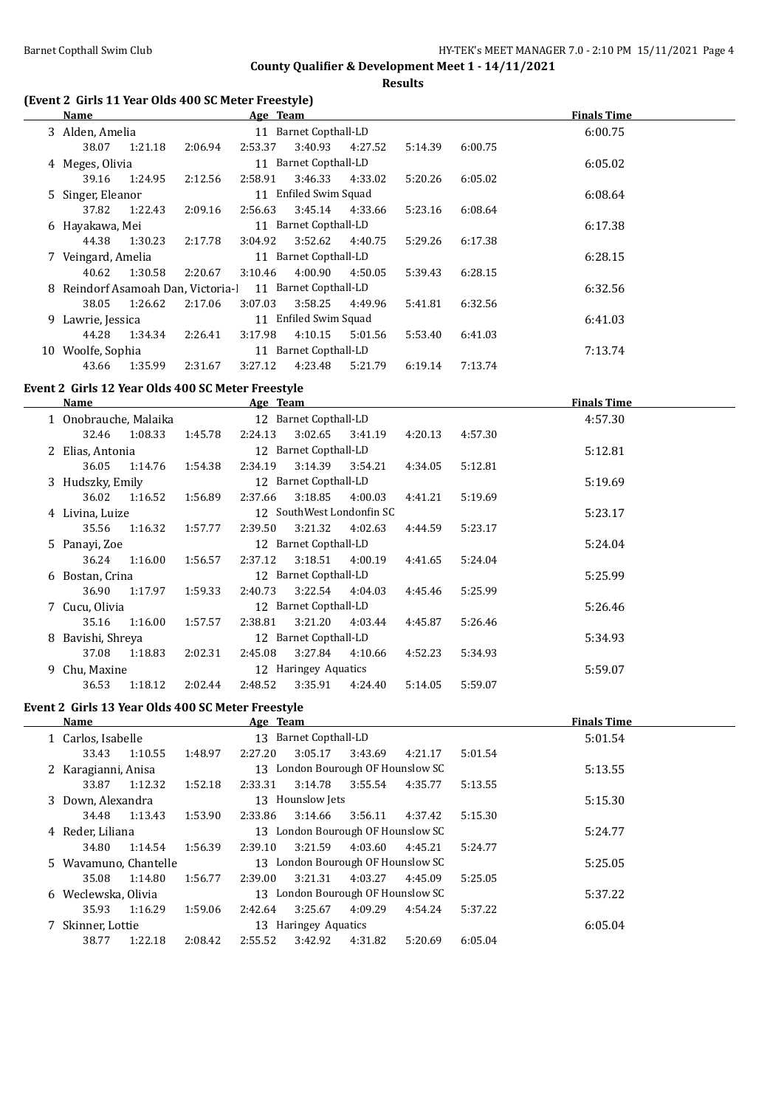**Results**

### **(Event 2 Girls 11 Year Olds 400 SC Meter Freestyle)**

| Name                                                                                                                                                                                                                                               |         |                       | Age Team |                       |                 |         |         | <b>Finals Time</b> |
|----------------------------------------------------------------------------------------------------------------------------------------------------------------------------------------------------------------------------------------------------|---------|-----------------------|----------|-----------------------|-----------------|---------|---------|--------------------|
| 3 Alden, Amelia                                                                                                                                                                                                                                    |         |                       |          | 11 Barnet Copthall-LD |                 |         |         | 6:00.75            |
| 38.07                                                                                                                                                                                                                                              | 1:21.18 | 2:06.94               | 2:53.37  | 3:40.93               | 4:27.52         | 5:14.39 | 6:00.75 |                    |
| 4 Meges, Olivia                                                                                                                                                                                                                                    |         | 11 Barnet Copthall-LD |          |                       |                 |         |         | 6:05.02            |
| 39.16                                                                                                                                                                                                                                              | 1:24.95 | 2:12.56               | 2:58.91  | 3:46.33               | 4:33.02         | 5:20.26 | 6:05.02 |                    |
| 5 Singer, Eleanor                                                                                                                                                                                                                                  |         |                       |          | 11 Enfiled Swim Squad |                 |         |         | 6:08.64            |
| 37.82                                                                                                                                                                                                                                              | 1:22.43 | 2:09.16               | 2:56.63  |                       | 3:45.14 4:33.66 | 5:23.16 | 6:08.64 |                    |
| 6 Hayakawa, Mei                                                                                                                                                                                                                                    |         |                       |          | 11 Barnet Copthall-LD |                 |         |         | 6:17.38            |
| 44.38                                                                                                                                                                                                                                              | 1:30.23 | 2:17.78               | 3:04.92  |                       | 3:52.62 4:40.75 | 5:29.26 | 6:17.38 |                    |
| 7 Veingard, Amelia                                                                                                                                                                                                                                 |         |                       |          | 11 Barnet Copthall-LD |                 |         |         | 6:28.15            |
| 40.62                                                                                                                                                                                                                                              | 1:30.58 | 2:20.67               | 3:10.46  | 4:00.90               | 4:50.05         | 5:39.43 | 6:28.15 |                    |
| 8 Reindorf Asamoah Dan, Victoria-1 11 Barnet Copthall-LD                                                                                                                                                                                           |         |                       |          |                       |                 |         |         | 6:32.56            |
| 38.05                                                                                                                                                                                                                                              | 1:26.62 | 2:17.06               | 3:07.03  | 3:58.25               | 4:49.96         | 5:41.81 | 6:32.56 |                    |
| 9 Lawrie, Jessica                                                                                                                                                                                                                                  |         |                       |          | 11 Enfiled Swim Squad |                 |         |         | 6:41.03            |
| 44.28                                                                                                                                                                                                                                              | 1:34.34 | 2:26.41               | 3:17.98  | 4:10.15               | 5:01.56         | 5:53.40 | 6:41.03 |                    |
| 11 Barnet Copthall-LD<br>10 Woolfe, Sophia                                                                                                                                                                                                         |         |                       |          |                       |                 | 7:13.74 |         |                    |
| 43.66                                                                                                                                                                                                                                              | 1:35.99 | 2:31.67               | 3:27.12  | 4:23.48               | 5:21.79         | 6:19.14 | 7:13.74 |                    |
| $\sim$ 0.01 $\pm$ 0.11 $\pm$ 0.00 $\pm$ 0.11 $\pm$ 0.00 $\pm$ 0.11 $\pm$ 0.00 $\pm$ 0.11 $\pm$ 0.00 $\pm$ 0.11 $\pm$ 0.00 $\pm$ 0.11 $\pm$ 0.11 $\pm$ 0.11 $\pm$ 0.00 $\pm$ 0.11 $\pm$ 0.00 $\pm$ 0.11 $\pm$ 0.00 $\pm$ 0.11 $\pm$ 0.00 $\pm$ 0.11 |         |                       |          |                       |                 |         |         |                    |

# **Event 2 Girls 12 Year Olds 400 SC Meter Freestyle**

|   | Name                  |         |         | Age Team |                       |                           |         |         | <b>Finals Time</b> |  |
|---|-----------------------|---------|---------|----------|-----------------------|---------------------------|---------|---------|--------------------|--|
|   | 1 Onobrauche, Malaika |         |         |          | 12 Barnet Copthall-LD |                           |         |         | 4:57.30            |  |
|   | 32.46                 | 1:08.33 | 1:45.78 | 2:24.13  | 3:02.65               | 3:41.19                   | 4:20.13 | 4:57.30 |                    |  |
|   | 2 Elias, Antonia      |         |         |          | 12 Barnet Copthall-LD |                           |         |         | 5:12.81            |  |
|   | 36.05                 | 1:14.76 | 1:54.38 | 2:34.19  | 3:14.39               | 3:54.21                   | 4:34.05 | 5:12.81 |                    |  |
|   | 3 Hudszky, Emily      |         |         |          | 12 Barnet Copthall-LD |                           |         |         | 5:19.69            |  |
|   | 36.02                 | 1:16.52 | 1:56.89 | 2:37.66  | 3:18.85               | 4:00.03                   | 4:41.21 | 5:19.69 |                    |  |
|   | 4 Livina, Luize       |         |         |          |                       | 12 SouthWest Londonfin SC |         |         | 5:23.17            |  |
|   | 35.56                 | 1:16.32 | 1:57.77 | 2:39.50  | 3:21.32               | 4:02.63                   | 4:44.59 | 5:23.17 |                    |  |
|   | 5 Panayi, Zoe         |         |         |          | 12 Barnet Copthall-LD |                           |         |         | 5:24.04            |  |
|   | 36.24                 | 1:16.00 | 1:56.57 | 2:37.12  | 3:18.51               | 4:00.19                   | 4:41.65 | 5:24.04 |                    |  |
|   | 6 Bostan, Crina       |         |         |          | 12 Barnet Copthall-LD |                           |         |         | 5:25.99            |  |
|   | 36.90                 | 1:17.97 | 1:59.33 | 2:40.73  | 3:22.54               | 4:04.03                   | 4:45.46 | 5:25.99 |                    |  |
|   | 7 Cucu, Olivia        |         |         |          | 12 Barnet Copthall-LD |                           |         |         | 5:26.46            |  |
|   | 35.16                 | 1:16.00 | 1:57.57 | 2:38.81  | 3:21.20               | 4:03.44                   | 4:45.87 | 5:26.46 |                    |  |
| 8 | Bavishi, Shreva       |         |         |          | 12 Barnet Copthall-LD |                           |         |         | 5:34.93            |  |
|   | 37.08                 | 1:18.83 | 2:02.31 | 2:45.08  | 3:27.84               | 4:10.66                   | 4:52.23 | 5:34.93 |                    |  |
|   | 9 Chu, Maxine         |         |         |          | 12 Haringey Aquatics  |                           |         |         | 5:59.07            |  |
|   | 36.53                 | 1:18.12 | 2:02.44 | 2:48.52  | 3:35.91               | 4:24.40                   | 5:14.05 | 5:59.07 |                    |  |
|   |                       |         |         |          |                       |                           |         |         |                    |  |

### **Event 2 Girls 13 Year Olds 400 SC Meter Freestyle**

| Name                  |         |         | Age Team |                                   |         |         |         | <b>Finals Time</b> |  |
|-----------------------|---------|---------|----------|-----------------------------------|---------|---------|---------|--------------------|--|
| 1 Carlos, Isabelle    |         |         |          | 13 Barnet Copthall-LD             |         |         |         | 5:01.54            |  |
| 33.43                 | 1:10.55 | 1:48.97 | 2:27.20  | 3:05.17                           | 3:43.69 | 4:21.17 | 5:01.54 |                    |  |
| 2 Karagianni, Anisa   |         |         |          | 13 London Bourough OF Hounslow SC |         |         |         | 5:13.55            |  |
| 33.87                 | 1:12.32 | 1:52.18 | 2:33.31  | 3:14.78                           | 3:55.54 | 4:35.77 | 5:13.55 |                    |  |
| 3 Down, Alexandra     |         |         |          | 13 Hounslow Jets                  |         |         |         | 5:15.30            |  |
| 34.48                 | 1:13.43 | 1:53.90 | 2:33.86  | 3:14.66                           | 3:56.11 | 4:37.42 | 5:15.30 |                    |  |
| 4 Reder, Liliana      |         |         |          | 13 London Bourough OF Hounslow SC |         |         |         | 5:24.77            |  |
| 34.80                 | 1:14.54 | 1:56.39 | 2:39.10  | 3:21.59                           | 4:03.60 | 4:45.21 | 5:24.77 |                    |  |
| 5 Wavamuno, Chantelle |         |         |          | 13 London Bourough OF Hounslow SC |         |         |         | 5:25.05            |  |
| 35.08                 | 1:14.80 | 1:56.77 | 2:39.00  | 3:21.31                           | 4:03.27 | 4:45.09 | 5:25.05 |                    |  |
| 6 Weclewska, Olivia   |         |         |          | 13 London Bourough OF Hounslow SC |         |         |         | 5:37.22            |  |
| 35.93                 | 1:16.29 | 1:59.06 | 2:42.64  | 3:25.67                           | 4:09.29 | 4:54.24 | 5:37.22 |                    |  |
| 7 Skinner, Lottie     |         |         |          | 13 Haringey Aquatics              |         |         |         | 6:05.04            |  |
| 38.77                 | 1:22.18 | 2:08.42 | 2:55.52  | 3:42.92                           | 4:31.82 | 5:20.69 | 6:05.04 |                    |  |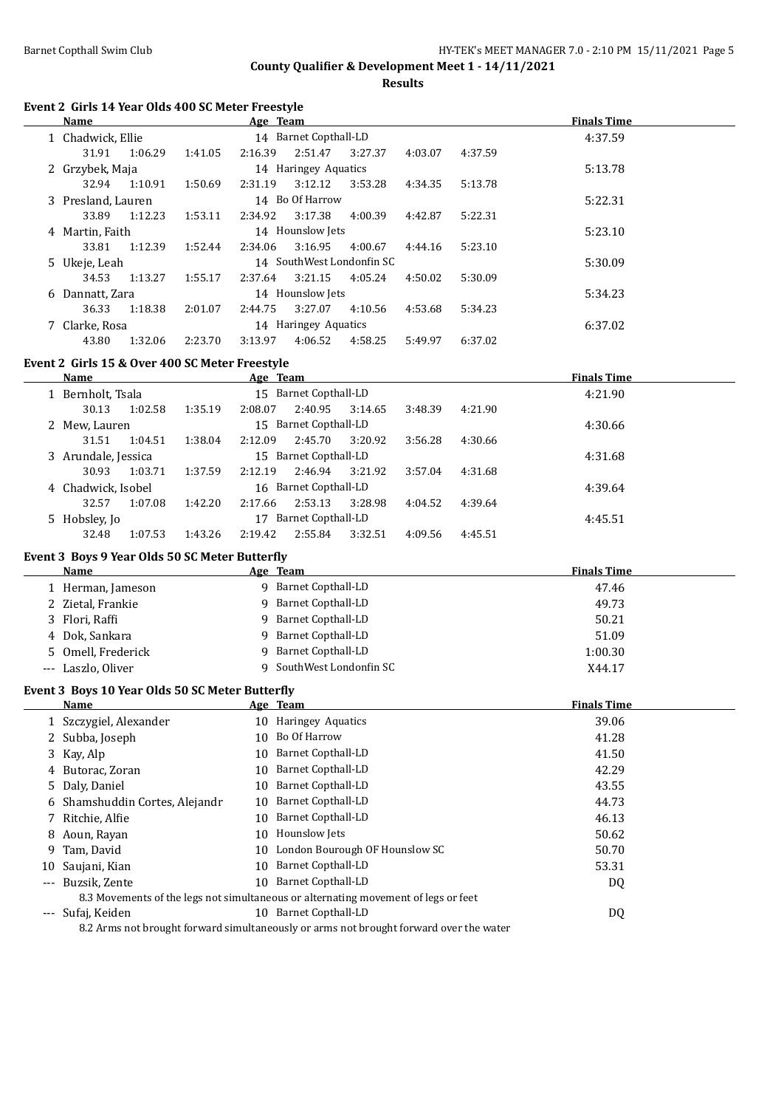**Results**

#### **Event 2 Girls 14 Year Olds 400 SC Meter Freestyle**

| Name               |         |         | Age Team |                           |         |         |         | <b>Finals Time</b> |
|--------------------|---------|---------|----------|---------------------------|---------|---------|---------|--------------------|
| 1 Chadwick, Ellie  |         |         |          | 14 Barnet Copthall-LD     |         |         |         | 4:37.59            |
| 31.91              | 1:06.29 | 1:41.05 | 2:16.39  | 2:51.47                   | 3:27.37 | 4:03.07 | 4:37.59 |                    |
| 2 Grzybek, Maja    |         |         |          | 14 Haringey Aquatics      |         |         |         | 5:13.78            |
| 32.94              | 1:10.91 | 1:50.69 | 2:31.19  | 3:12.12                   | 3:53.28 | 4:34.35 | 5:13.78 |                    |
| 3 Presland, Lauren |         |         |          | 14 Bo Of Harrow           |         |         |         | 5:22.31            |
| 33.89              | 1:12.23 | 1:53.11 | 2:34.92  | 3:17.38                   | 4:00.39 | 4:42.87 | 5:22.31 |                    |
| 4 Martin, Faith    |         |         |          | 14 Hounslow Jets          |         |         |         | 5:23.10            |
| 33.81              | 1:12.39 | 1:52.44 | 2:34.06  | 3:16.95                   | 4:00.67 | 4:44.16 | 5:23.10 |                    |
| 5 Ukeje, Leah      |         |         |          | 14 SouthWest Londonfin SC |         |         |         | 5:30.09            |
| 34.53              | 1:13.27 | 1:55.17 | 2:37.64  | 3:21.15                   | 4:05.24 | 4:50.02 | 5:30.09 |                    |
| 6 Dannatt, Zara    |         |         |          | 14 Hounslow Jets          |         |         |         | 5:34.23            |
| 36.33              | 1:18.38 | 2:01.07 | 2:44.75  | 3:27.07                   | 4:10.56 | 4:53.68 | 5:34.23 |                    |
| 7 Clarke, Rosa     |         |         |          | 14 Haringey Aquatics      |         |         |         | 6:37.02            |
| 43.80              | 1:32.06 | 2:23.70 | 3:13.97  | 4:06.52                   | 4:58.25 | 5:49.97 | 6:37.02 |                    |

### **Event 2 Girls 15 & Over 400 SC Meter Freestyle**

| <b>Name</b>         |         |         | Age Team |                       |         |         |         | <b>Finals Time</b> |
|---------------------|---------|---------|----------|-----------------------|---------|---------|---------|--------------------|
| 1 Bernholt, Tsala   |         |         |          | 15 Barnet Copthall-LD |         |         |         | 4:21.90            |
| 30.13               | 1:02.58 | 1:35.19 | 2:08.07  | 2:40.95               | 3:14.65 | 3:48.39 | 4:21.90 |                    |
| 2 Mew, Lauren       |         |         |          | 15 Barnet Copthall-LD |         |         |         | 4:30.66            |
| 31.51               | 1:04.51 | 1:38.04 | 2:12.09  | 2:45.70               | 3:20.92 | 3:56.28 | 4:30.66 |                    |
| 3 Arundale, Jessica |         |         |          | 15 Barnet Copthall-LD |         |         |         | 4:31.68            |
| 30.93               | 1:03.71 | 1:37.59 | 2:12.19  | 2:46.94               | 3:21.92 | 3:57.04 | 4:31.68 |                    |
| 4 Chadwick, Isobel  |         |         |          | 16 Barnet Copthall-LD |         |         |         | 4:39.64            |
| 32.57               | 1:07.08 | 1:42.20 | 2:17.66  | 2:53.13               | 3:28.98 | 4:04.52 | 4:39.64 |                    |
| 5 Hobsley, Jo       |         |         | 17       | Barnet Copthall-LD    |         |         |         | 4:45.51            |
| 32.48               | 1:07.53 | 1:43.26 | 2:19.42  | 2:55.84               | 3:32.51 | 4:09.56 | 4:45.51 |                    |

### **Event 3 Boys 9 Year Olds 50 SC Meter Butterfly**

 $\overline{\phantom{0}}$ 

| <b>Name</b>        | Age Team                 | <b>Finals Time</b> |
|--------------------|--------------------------|--------------------|
| 1 Herman, Jameson  | 9 Barnet Copthall-LD     | 47.46              |
| 2 Zietal, Frankie  | 9 Barnet Copthall-LD     | 49.73              |
| 3 Flori, Raffi     | 9 Barnet Copthall-LD     | 50.21              |
| 4 Dok, Sankara     | 9 Barnet Copthall-LD     | 51.09              |
| 5 Omell, Frederick | 9 Barnet Copthall-LD     | 1:00.30            |
| --- Laszlo, Oliver | 9 SouthWest Londonfin SC | X44.17             |

### **Event 3 Boys 10 Year Olds 50 SC Meter Butterfly**

|    | Name                           |     | Age Team                                                                                 | <b>Finals Time</b> |
|----|--------------------------------|-----|------------------------------------------------------------------------------------------|--------------------|
|    | 1 Szczygiel, Alexander         |     | 10 Haringey Aquatics                                                                     | 39.06              |
|    | 2 Subba, Joseph                | 10. | Bo Of Harrow                                                                             | 41.28              |
|    | 3 Kay, Alp                     |     | 10 Barnet Copthall-LD                                                                    | 41.50              |
|    | 4 Butorac, Zoran               | 10  | Barnet Copthall-LD                                                                       | 42.29              |
|    | 5 Daly, Daniel                 | 10  | Barnet Copthall-LD                                                                       | 43.55              |
|    | 6 Shamshuddin Cortes, Alejandr | 10  | Barnet Copthall-LD                                                                       | 44.73              |
|    | 7 Ritchie, Alfie               | 10  | Barnet Copthall-LD                                                                       | 46.13              |
|    | 8 Aoun, Rayan                  |     | 10 Hounslow Jets                                                                         | 50.62              |
|    | 9 Tam, David                   |     | 10 London Bourough OF Hounslow SC                                                        | 50.70              |
| 10 | Saujani, Kian                  | 10  | Barnet Copthall-LD                                                                       | 53.31              |
|    | --- Buzsik. Zente              | 10  | Barnet Copthall-LD                                                                       | DQ                 |
|    |                                |     | 8.3 Movements of the legs not simultaneous or alternating movement of legs or feet       |                    |
|    | --- Sufaj, Keiden              | 10  | Barnet Copthall-LD                                                                       | DQ                 |
|    |                                |     | 0.2 Agma not brought formand given ten cought or owng not brought forward over the water |                    |

8.2 Arms not brought forward simultaneously or arms not brought forward over the water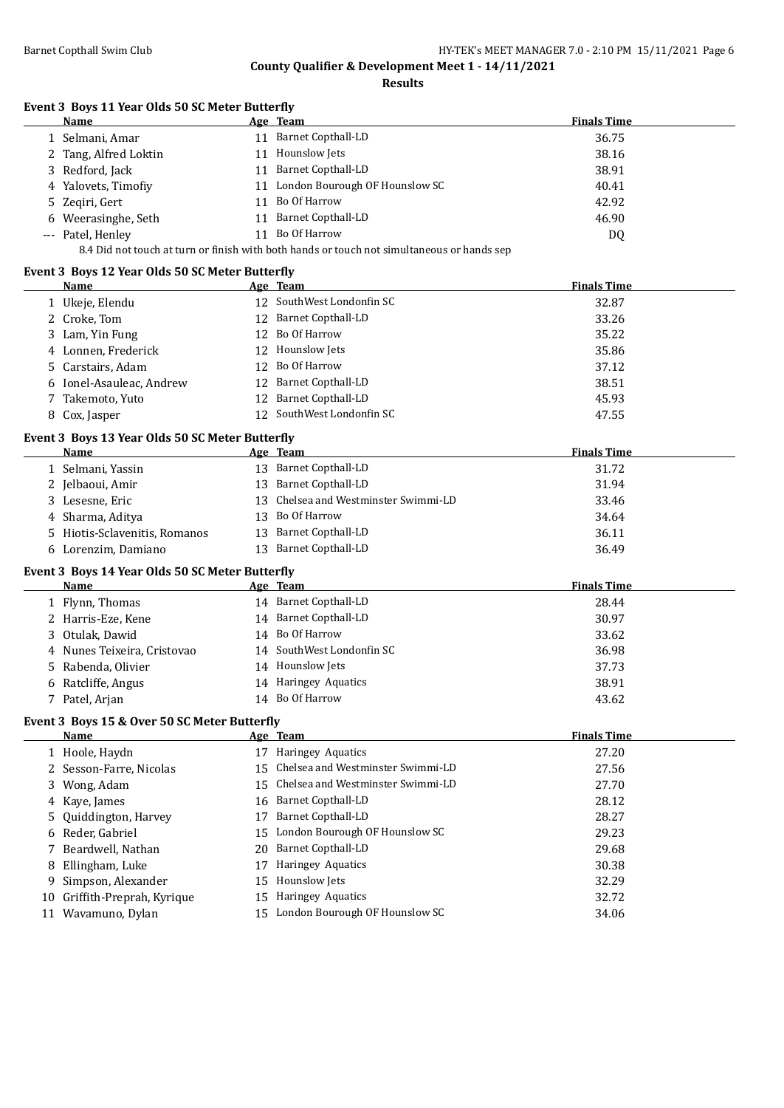**Results**

### **Event 3 Boys 11 Year Olds 50 SC Meter Butterfly**

|                                                                                            | Name                  |    | Age Team                       | <b>Finals Time</b> |  |  |
|--------------------------------------------------------------------------------------------|-----------------------|----|--------------------------------|--------------------|--|--|
|                                                                                            | . Selmani, Amar       |    | 11 Barnet Copthall-LD          | 36.75              |  |  |
|                                                                                            | 2 Tang, Alfred Loktin | 11 | Hounslow Jets                  | 38.16              |  |  |
|                                                                                            | 3 Redford, Jack       | 11 | <b>Barnet Copthall-LD</b>      | 38.91              |  |  |
|                                                                                            | 4 Yalovets, Timofiy   | 11 | London Bourough OF Hounslow SC | 40.41              |  |  |
|                                                                                            | 5 Zegiri, Gert        | 11 | Bo Of Harrow                   | 42.92              |  |  |
|                                                                                            | 6 Weerasinghe, Seth   | 11 | <b>Barnet Copthall-LD</b>      | 46.90              |  |  |
|                                                                                            | --- Patel, Henley     | 11 | Bo Of Harrow                   | DQ                 |  |  |
| 8.4 Did not touch at turn or finish with both hands or touch not simultaneous or hands sep |                       |    |                                |                    |  |  |

### **Event 3 Boys 12 Year Olds 50 SC Meter Butterfly**

|    | <b>Name</b>                                     |    | Age Team                             | <b>Finals Time</b> |
|----|-------------------------------------------------|----|--------------------------------------|--------------------|
|    | 12 SouthWest Londonfin SC<br>1 Ukeje, Elendu    |    |                                      | 32.87              |
|    | 2 Croke, Tom                                    |    | 12 Barnet Copthall-LD                | 33.26              |
|    | 3 Lam, Yin Fung                                 |    | 12 Bo Of Harrow                      | 35.22              |
| 4  | Lonnen, Frederick                               |    | 12 Hounslow Jets                     | 35.86              |
| 5. | Carstairs, Adam                                 | 12 | Bo Of Harrow                         | 37.12              |
| 6  | Ionel-Asauleac, Andrew                          |    | 12 Barnet Copthall-LD                | 38.51              |
|    | Takemoto, Yuto                                  |    | 12 Barnet Copthall-LD                | 45.93              |
|    | 8 Cox, Jasper                                   |    | 12 SouthWest Londonfin SC            | 47.55              |
|    | Event 3 Boys 13 Year Olds 50 SC Meter Butterfly |    |                                      |                    |
|    | Name                                            |    | Age Team                             | <b>Finals Time</b> |
|    | 1 Selmani, Yassin                               |    | 13 Barnet Copthall-LD                | 31.72              |
|    | 2 Jelbaoui, Amir                                |    | 13 Barnet Copthall-LD                | 31.94              |
|    | 3 Lesesne, Eric                                 |    | 13 Chelsea and Westminster Swimmi-LD | 33.46              |
|    | 4 Sharma, Aditya                                |    | 13 Bo Of Harrow                      | 34.64              |
|    | 5 Hiotis-Sclavenitis, Romanos                   |    | 13 Barnet Copthall-LD                | 36.11              |
|    | 6 Lorenzim, Damiano                             |    | 13 Barnet Copthall-LD                | 36.49              |
|    | Event 3 Boys 14 Year Olds 50 SC Meter Butterfly |    |                                      |                    |
|    | Name                                            |    | Age Team                             | <b>Finals Time</b> |
|    | 1 Flynn, Thomas                                 |    | 14 Barnet Copthall-LD                | 28.44              |
|    | 2 Harris-Eze, Kene                              |    | 14 Barnet Copthall-LD                | 30.97              |
| 3  | Otulak, Dawid                                   |    | 14 Bo Of Harrow                      | 33.62              |
| 4  | Nunes Teixeira, Cristovao                       |    | 14 SouthWest Londonfin SC            | 36.98              |
| 5  | Rabenda, Olivier                                |    | 14 Hounslow Jets                     | 37.73              |
|    | 6 Ratcliffe, Angus                              |    | 14 Haringey Aquatics                 | 38.91              |
|    | 7 Patel, Arjan                                  |    | 14 Bo Of Harrow                      | 43.62              |
|    | Event 3 Boys 15 & Over 50 SC Meter Butterfly    |    |                                      |                    |
|    | Name                                            |    | Age Team                             | <b>Finals Time</b> |
|    | 1 Hoole, Haydn                                  |    | 17 Haringey Aquatics                 | 27.20              |
|    | 2 Sesson-Farre, Nicolas                         |    | 15 Chelsea and Westminster Swimmi-LD | 27.56              |
| 3  | Wong, Adam                                      | 15 | Chelsea and Westminster Swimmi-LD    | 27.70              |
| 4  | Kaye, James                                     | 16 | <b>Barnet Copthall-LD</b>            | 28.12              |
|    | Quiddington, Harvey                             |    | 17 Barnet Copthall-LD                | 28.27              |
|    | 6 Reder, Gabriel                                |    | 15 London Bourough OF Hounslow SC    | 29.23              |

 Beardwell, Nathan 20 Barnet Copthall-LD 29.68 8 Ellingham, Luke 17 Haringey Aquatics 30.38 Simpson, Alexander 15 Hounslow Jets 32.29 Griffith-Preprah, Kyrique 15 Haringey Aquatics 32.72 Wavamuno, Dylan 15 London Bourough OF Hounslow SC 34.06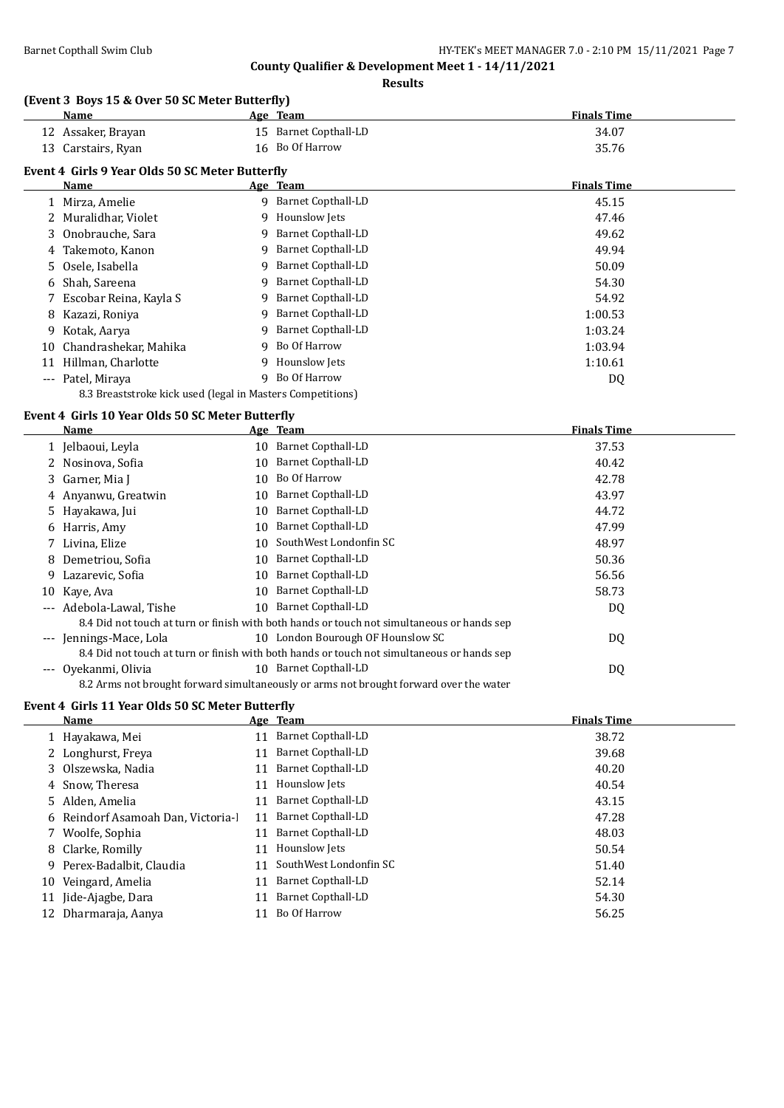**Results**

### **(Event 3 Boys 15 & Over 50 SC Meter Butterfly)**

|                     | <b>Name</b>                                     |    | Age Team                  | <b>Finals Time</b> |
|---------------------|-------------------------------------------------|----|---------------------------|--------------------|
|                     | 12 Assaker, Brayan                              | 15 | Barnet Copthall-LD        | 34.07              |
|                     | 13 Carstairs, Ryan                              | 16 | Bo Of Harrow              | 35.76              |
|                     | Event 4 Girls 9 Year Olds 50 SC Meter Butterfly |    |                           |                    |
|                     | Name                                            |    | Age Team                  | <b>Finals Time</b> |
|                     | 1 Mirza, Amelie                                 |    | 9 Barnet Copthall-LD      | 45.15              |
|                     | 2 Muralidhar, Violet                            | 9  | Hounslow Jets             | 47.46              |
|                     | 3 Onobrauche, Sara                              | 9  | Barnet Copthall-LD        | 49.62              |
|                     | 4 Takemoto, Kanon                               | 9  | Barnet Copthall-LD        | 49.94              |
|                     | 5 Osele, Isabella                               | 9  | Barnet Copthall-LD        | 50.09              |
| 6                   | Shah, Sareena                                   | 9  | <b>Barnet Copthall-LD</b> | 54.30              |
|                     | Escobar Reina, Kayla S                          | 9  | Barnet Copthall-LD        | 54.92              |
| 8                   | Kazazi, Roniya                                  | 9  | <b>Barnet Copthall-LD</b> | 1:00.53            |
| 9                   | Kotak, Aarya                                    | 9  | Barnet Copthall-LD        | 1:03.24            |
| 10                  | Chandrashekar, Mahika                           | 9  | Bo Of Harrow              | 1:03.94            |
| 11                  | Hillman, Charlotte                              | 9  | Hounslow Jets             | 1:10.61            |
| $\qquad \qquad - -$ | Patel, Miraya                                   | 9  | Bo Of Harrow              | DQ                 |

8.3 Breaststroke kick used (legal in Masters Competitions)

### **Event 4 Girls 10 Year Olds 50 SC Meter Butterfly**

 $\frac{1}{2}$ 

|                     | Name                 |    | Age Team                                                                                   | <b>Finals Time</b> |
|---------------------|----------------------|----|--------------------------------------------------------------------------------------------|--------------------|
|                     | 1 Jelbaoui, Leyla    | 10 | <b>Barnet Copthall-LD</b>                                                                  | 37.53              |
|                     | 2 Nosinova, Sofia    | 10 | <b>Barnet Copthall-LD</b>                                                                  | 40.42              |
|                     | 3 Garner, Mia J      | 10 | Bo Of Harrow                                                                               | 42.78              |
|                     | 4 Anyanwu, Greatwin  | 10 | Barnet Copthall-LD                                                                         | 43.97              |
|                     | 5 Hayakawa, Jui      | 10 | <b>Barnet Copthall-LD</b>                                                                  | 44.72              |
|                     | 6 Harris, Amy        | 10 | <b>Barnet Copthall-LD</b>                                                                  | 47.99              |
|                     | 7 Livina, Elize      | 10 | SouthWest Londonfin SC                                                                     | 48.97              |
|                     | 8 Demetriou, Sofia   | 10 | <b>Barnet Copthall-LD</b>                                                                  | 50.36              |
| 9.                  | Lazarevic, Sofia     | 10 | <b>Barnet Copthall-LD</b>                                                                  | 56.56              |
| 10                  | Kaye, Ava            | 10 | <b>Barnet Copthall-LD</b>                                                                  | 58.73              |
| $\cdots$            | Adebola-Lawal, Tishe | 10 | <b>Barnet Copthall-LD</b>                                                                  | DQ                 |
|                     |                      |    | 8.4 Did not touch at turn or finish with both hands or touch not simultaneous or hands sep |                    |
| $\qquad \qquad - -$ | Jennings-Mace, Lola  |    | 10 London Bourough OF Hounslow SC                                                          | DQ                 |
|                     |                      |    | 8.4 Did not touch at turn or finish with both hands or touch not simultaneous or hands sep |                    |
| $---$               | Ovekanmi, Olivia     | 10 | Barnet Copthall-LD                                                                         | DQ                 |
|                     |                      |    | 8.2 Arms not brought forward simultaneously or arms not brought forward over the water     |                    |

### **Event 4 Girls 11 Year Olds 50 SC Meter Butterfly**

|  | Name                               |    | Age Team                  | <b>Finals Time</b> |
|--|------------------------------------|----|---------------------------|--------------------|
|  | 1 Hayakawa, Mei                    |    | 11 Barnet Copthall-LD     | 38.72              |
|  | 2 Longhurst, Freya                 | 11 | Barnet Copthall-LD        | 39.68              |
|  | 3 Olszewska, Nadia                 | 11 | Barnet Copthall-LD        | 40.20              |
|  | 4 Snow, Theresa                    | 11 | Hounslow Jets             | 40.54              |
|  | 5 Alden, Amelia                    |    | 11 Barnet Copthall-LD     | 43.15              |
|  | 6 Reindorf Asamoah Dan, Victoria-l | 11 | <b>Barnet Copthall-LD</b> | 47.28              |
|  | 7 Woolfe, Sophia                   | 11 | Barnet Copthall-LD        | 48.03              |
|  | 8 Clarke, Romilly                  | 11 | <b>Hounslow Jets</b>      | 50.54              |
|  | 9 Perex-Badalbit, Claudia          | 11 | SouthWest Londonfin SC    | 51.40              |
|  | 10 Veingard, Amelia                | 11 | Barnet Copthall-LD        | 52.14              |
|  | 11 Jide-Ajagbe, Dara               | 11 | <b>Barnet Copthall-LD</b> | 54.30              |
|  | 12 Dharmaraja, Aanya               | 11 | Bo Of Harrow              | 56.25              |
|  |                                    |    |                           |                    |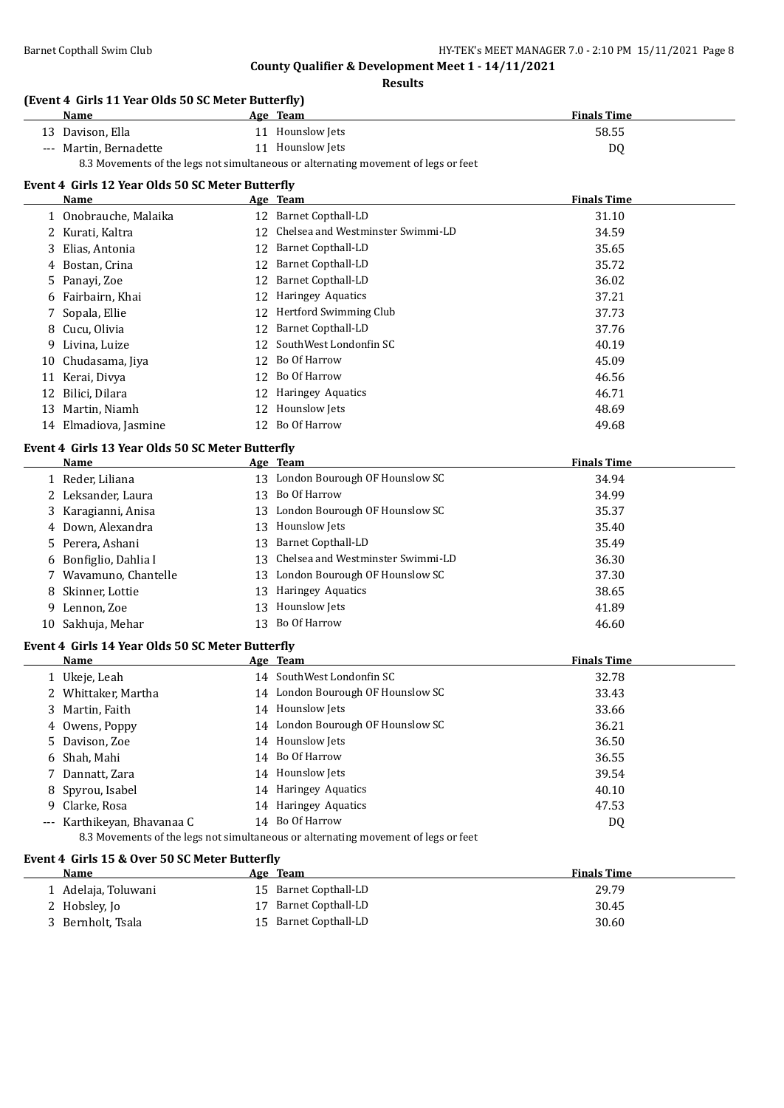$\overline{\phantom{0}}$ 

**County Qualifier & Development Meet 1 - 14/11/2021**

**Results**

#### **(Event 4 Girls 11 Year Olds 50 SC Meter Butterfly)**

|                                                                                    | <b>Name</b>            |  | Age Team         | <b>Finals Time</b> |
|------------------------------------------------------------------------------------|------------------------|--|------------------|--------------------|
|                                                                                    | 13 Davison, Ella       |  | 11 Hounslow Jets | 58.55              |
|                                                                                    | --- Martin, Bernadette |  | 11 Hounslow Jets | D0                 |
| 8.3 Movements of the legs not simultaneous or alternating movement of legs or feet |                        |  |                  |                    |

### **Event 4 Girls 12 Year Olds 50 SC Meter Butterfly**

|    | Name                  |    | Age Team                          | <b>Finals Time</b> |  |
|----|-----------------------|----|-----------------------------------|--------------------|--|
|    | 1 Onobrauche, Malaika | 12 | <b>Barnet Copthall-LD</b>         | 31.10              |  |
|    | 2 Kurati, Kaltra      | 12 | Chelsea and Westminster Swimmi-LD | 34.59              |  |
|    | 3 Elias, Antonia      | 12 | Barnet Copthall-LD                | 35.65              |  |
|    | 4 Bostan, Crina       | 12 | <b>Barnet Copthall-LD</b>         | 35.72              |  |
|    | 5 Panayi, Zoe         | 12 | Barnet Copthall-LD                | 36.02              |  |
|    | 6 Fairbairn, Khai     | 12 | <b>Haringey Aquatics</b>          | 37.21              |  |
|    | 7 Sopala, Ellie       | 12 | Hertford Swimming Club            | 37.73              |  |
|    | 8 Cucu, Olivia        | 12 | <b>Barnet Copthall-LD</b>         | 37.76              |  |
| 9. | Livina, Luize         |    | 12 SouthWest Londonfin SC         | 40.19              |  |
|    | 10 Chudasama, Jiya    | 12 | Bo Of Harrow                      | 45.09              |  |
| 11 | Kerai, Divya          | 12 | Bo Of Harrow                      | 46.56              |  |
| 12 | Bilici, Dilara        | 12 | <b>Haringey Aquatics</b>          | 46.71              |  |
| 13 | Martin, Niamh         | 12 | Hounslow Jets                     | 48.69              |  |
|    | 14 Elmadiova, Jasmine | 12 | Bo Of Harrow                      | 49.68              |  |

#### **Event 4 Girls 13 Year Olds 50 SC Meter Butterfly**

| <b>Name</b>           | Age Team                             | <b>Finals Time</b> |
|-----------------------|--------------------------------------|--------------------|
| 1 Reder, Liliana      | 13 London Bourough OF Hounslow SC    | 34.94              |
| 2 Leksander, Laura    | 13 Bo Of Harrow                      | 34.99              |
| 3 Karagianni, Anisa   | 13 London Bourough OF Hounslow SC    | 35.37              |
| 4 Down, Alexandra     | 13 Hounslow Jets                     | 35.40              |
| 5 Perera, Ashani      | 13 Barnet Copthall-LD                | 35.49              |
| 6 Bonfiglio, Dahlia I | 13 Chelsea and Westminster Swimmi-LD | 36.30              |
| 7 Wavamuno, Chantelle | 13 London Bourough OF Hounslow SC    | 37.30              |
| 8 Skinner, Lottie     | 13 Haringey Aquatics                 | 38.65              |
| 9 Lennon, Zoe         | 13 Hounslow Jets                     | 41.89              |
| 10 Sakhuja, Mehar     | 13 Bo Of Harrow                      | 46.60              |

#### **Event 4 Girls 14 Year Olds 50 SC Meter Butterfly**

| Name                        |                                   | Age Team                                                                           | <b>Finals Time</b> |  |
|-----------------------------|-----------------------------------|------------------------------------------------------------------------------------|--------------------|--|
| Ukeje, Leah                 |                                   | 14 SouthWest Londonfin SC                                                          | 32.78              |  |
| 2 Whittaker, Martha         | 14 London Bourough OF Hounslow SC |                                                                                    | 33.43              |  |
| 3 Martin, Faith             |                                   | 14 Hounslow Jets                                                                   | 33.66              |  |
| 4 Owens, Poppy              |                                   | 14 London Bourough OF Hounslow SC                                                  | 36.21              |  |
| 5 Davison, Zoe              |                                   | 14 Hounslow Jets                                                                   | 36.50              |  |
| 6 Shah, Mahi                |                                   | 14 Bo Of Harrow                                                                    | 36.55              |  |
| 7 Dannatt, Zara             |                                   | 14 Hounslow Jets                                                                   | 39.54              |  |
| 8 Spyrou, Isabel            |                                   | 14 Haringey Aquatics                                                               | 40.10              |  |
| 9 Clarke, Rosa              |                                   | 14 Haringey Aquatics                                                               | 47.53              |  |
| --- Karthikeyan, Bhayanaa C |                                   | 14 Bo Of Harrow                                                                    | DQ                 |  |
|                             |                                   | 8.3 Movements of the legs not simultaneous or alternating movement of legs or feet |                    |  |

#### **Event 4 Girls 15 & Over 50 SC Meter Butterfly**

| <b>Name</b>         | Age Team              | <b>Finals Time</b> |
|---------------------|-----------------------|--------------------|
| 1 Adelaja, Toluwani | 15 Barnet Copthall-LD | 29.79              |
| 2 Hobsley, Jo       | 17 Barnet Copthall-LD | 30.45              |
| 3 Bernholt, Tsala   | 15 Barnet Copthall-LD | 30.60              |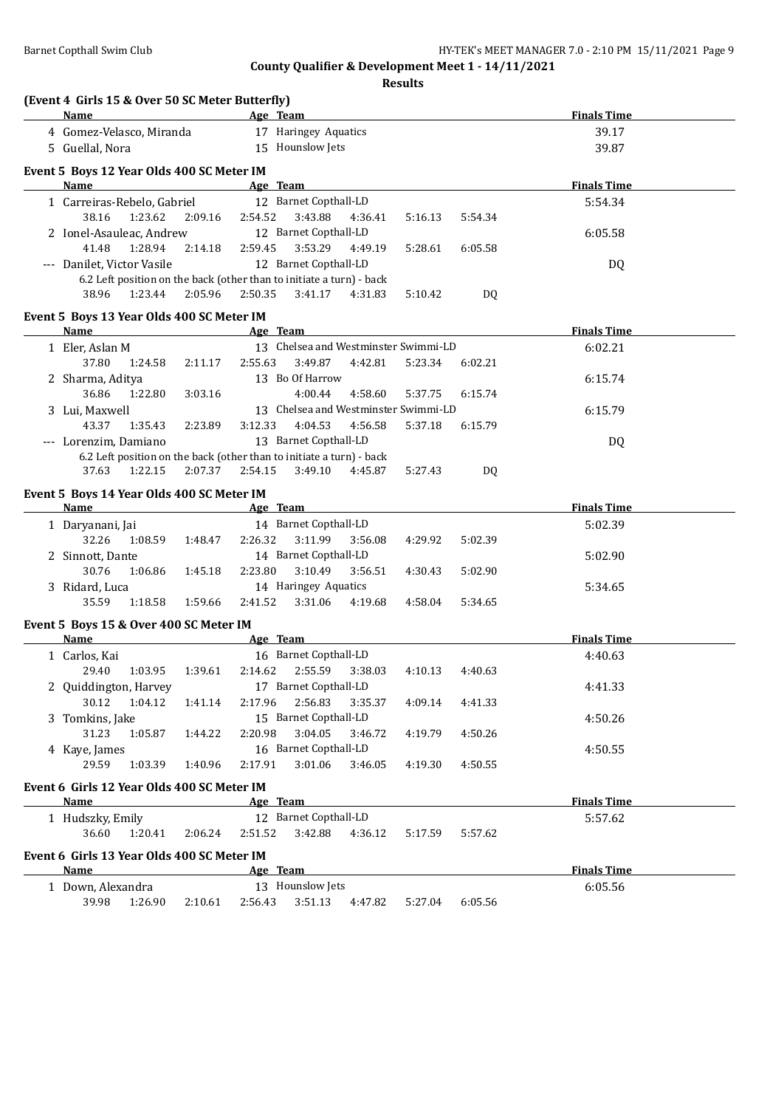**(Event 4 Girls 15 & Over 50 SC Meter Butterfly)**

**County Qualifier & Development Meet 1 - 14/11/2021**

**Results**

| Name<br>the company of the company of the company of                                     |                 |         |                                      |                 |         | Age Team and the state of the state of the state of the state of the state of the state of the state of the state of the state of the state of the state of the state of the state of the state of the state of the state of t | <b>Finals Time</b> |
|------------------------------------------------------------------------------------------|-----------------|---------|--------------------------------------|-----------------|---------|--------------------------------------------------------------------------------------------------------------------------------------------------------------------------------------------------------------------------------|--------------------|
| 4 Gomez-Velasco, Miranda                                                                 |                 |         | 17 Haringey Aquatics                 |                 |         |                                                                                                                                                                                                                                | 39.17              |
| 5 Guellal, Nora                                                                          |                 |         | 15 Hounslow Jets                     |                 |         |                                                                                                                                                                                                                                | 39.87              |
|                                                                                          |                 |         |                                      |                 |         |                                                                                                                                                                                                                                |                    |
| Event 5 Boys 12 Year Olds 400 SC Meter IM                                                |                 |         |                                      |                 |         |                                                                                                                                                                                                                                |                    |
| Name                                                                                     |                 |         | Age Team                             |                 |         |                                                                                                                                                                                                                                | <b>Finals Time</b> |
| 1 Carreiras-Rebelo, Gabriel                                                              |                 |         | 12 Barnet Copthall-LD                |                 |         |                                                                                                                                                                                                                                | 5:54.34            |
| 38.16<br>1:23.62                                                                         | 2:09.16         | 2:54.52 | 3:43.88                              | 4:36.41         | 5:16.13 | 5:54.34                                                                                                                                                                                                                        |                    |
| 2 Ionel-Asauleac, Andrew                                                                 |                 |         | 12 Barnet Copthall-LD                |                 |         |                                                                                                                                                                                                                                | 6:05.58            |
| 41.48<br>1:28.94                                                                         | 2:14.18         | 2:59.45 | 3:53.29                              | 4:49.19         | 5:28.61 | 6:05.58                                                                                                                                                                                                                        |                    |
| --- Danilet, Victor Vasile                                                               |                 |         | 12 Barnet Copthall-LD                |                 |         |                                                                                                                                                                                                                                | DQ                 |
| 6.2 Left position on the back (other than to initiate a turn) - back                     |                 |         |                                      |                 |         |                                                                                                                                                                                                                                |                    |
| 1:23.44<br>38.96                                                                         | 2:05.96         | 2:50.35 | 3:41.17                              | 4:31.83         | 5:10.42 | DQ.                                                                                                                                                                                                                            |                    |
| Event 5 Boys 13 Year Olds 400 SC Meter IM                                                |                 |         |                                      |                 |         |                                                                                                                                                                                                                                |                    |
| Name<br><b>Example 2</b> Age Team                                                        |                 |         |                                      |                 |         |                                                                                                                                                                                                                                | <b>Finals Time</b> |
| 1 Eler, Aslan M                                                                          |                 |         | 13 Chelsea and Westminster Swimmi-LD |                 |         |                                                                                                                                                                                                                                | 6:02.21            |
| 37.80<br>1:24.58                                                                         | 2:11.17         | 2:55.63 | 3:49.87                              | 4:42.81         | 5:23.34 | 6:02.21                                                                                                                                                                                                                        |                    |
| 2 Sharma, Aditya                                                                         |                 |         | 13 Bo Of Harrow                      |                 |         |                                                                                                                                                                                                                                | 6:15.74            |
| 36.86<br>1:22.80                                                                         | 3:03.16         |         | 4:00.44                              | 4:58.60         | 5:37.75 | 6:15.74                                                                                                                                                                                                                        |                    |
| 3 Lui, Maxwell                                                                           |                 |         | 13 Chelsea and Westminster Swimmi-LD |                 |         |                                                                                                                                                                                                                                | 6:15.79            |
| 43.37<br>1:35.43                                                                         |                 | 3:12.33 | 4:04.53                              | 4:56.58         | 5:37.18 |                                                                                                                                                                                                                                |                    |
|                                                                                          | 2:23.89         |         |                                      |                 |         | 6:15.79                                                                                                                                                                                                                        |                    |
| --- Lorenzim, Damiano                                                                    |                 |         | 13 Barnet Copthall-LD                |                 |         |                                                                                                                                                                                                                                | DQ                 |
| 6.2 Left position on the back (other than to initiate a turn) - back<br>1:22.15<br>37.63 | 2:07.37 2:54.15 |         | 3:49.10                              | 4:45.87         |         |                                                                                                                                                                                                                                |                    |
|                                                                                          |                 |         |                                      |                 | 5:27.43 | DQ.                                                                                                                                                                                                                            |                    |
| Event 5 Boys 14 Year Olds 400 SC Meter IM                                                |                 |         |                                      |                 |         |                                                                                                                                                                                                                                |                    |
| Name                                                                                     |                 |         |                                      |                 |         | Age Team and the contract of the contract of the contract of the contract of the contract of the contract of the contract of the contract of the contract of the contract of the contract of the contract of the contract of t | <b>Finals Time</b> |
| 1 Daryanani, Jai                                                                         |                 |         | 14 Barnet Copthall-LD                |                 |         |                                                                                                                                                                                                                                | 5:02.39            |
| 32.26<br>1:08.59                                                                         | 1:48.47         | 2:26.32 | 3:11.99                              | 3:56.08         | 4:29.92 | 5:02.39                                                                                                                                                                                                                        |                    |
| 2 Sinnott, Dante                                                                         |                 |         | 14 Barnet Copthall-LD                |                 |         |                                                                                                                                                                                                                                | 5:02.90            |
| 30.76<br>1:06.86                                                                         | 1:45.18         | 2:23.80 | 3:10.49                              | 3:56.51         | 4:30.43 | 5:02.90                                                                                                                                                                                                                        |                    |
| 3 Ridard, Luca                                                                           |                 |         | 14 Haringey Aquatics                 |                 |         |                                                                                                                                                                                                                                | 5:34.65            |
| 35.59<br>1:18.58                                                                         | 1:59.66         | 2:41.52 | 3:31.06                              | 4:19.68         | 4:58.04 | 5:34.65                                                                                                                                                                                                                        |                    |
|                                                                                          |                 |         |                                      |                 |         |                                                                                                                                                                                                                                |                    |
| Event 5 Boys 15 & Over 400 SC Meter IM                                                   |                 |         |                                      |                 |         |                                                                                                                                                                                                                                |                    |
| <b>Name</b>                                                                              |                 |         |                                      |                 |         | Age Team and the contract of the contract of the contract of the contract of the contract of the contract of the contract of the contract of the contract of the contract of the contract of the contract of the contract of t | <b>Finals Time</b> |
| 1 Carlos, Kai                                                                            |                 |         | 16 Barnet Copthall-LD                |                 |         |                                                                                                                                                                                                                                | 4:40.63            |
| 29.40<br>1:03.95                                                                         | 1:39.61         | 2:14.62 |                                      | 2:55.59 3:38.03 | 4:10.13 | 4:40.63                                                                                                                                                                                                                        |                    |
| 2 Quiddington, Harvey                                                                    |                 |         | 17 Barnet Copthall-LD                |                 |         |                                                                                                                                                                                                                                | 4:41.33            |
| 30.12 1:04.12 1:41.14 2:17.96 2:56.83 3:35.37 4:09.14 4:41.33                            |                 |         |                                      |                 |         |                                                                                                                                                                                                                                |                    |
| 3 Tomkins, Jake                                                                          |                 |         | 15 Barnet Copthall-LD                |                 |         |                                                                                                                                                                                                                                | 4:50.26            |
| 31.23<br>1:05.87                                                                         | 1:44.22         | 2:20.98 | 3:04.05                              | 3:46.72         | 4:19.79 | 4:50.26                                                                                                                                                                                                                        |                    |
| 4 Kaye, James                                                                            |                 |         | 16 Barnet Copthall-LD                |                 |         |                                                                                                                                                                                                                                | 4:50.55            |
| 29.59<br>1:03.39                                                                         | 1:40.96         | 2:17.91 | 3:01.06                              | 3:46.05         | 4:19.30 | 4:50.55                                                                                                                                                                                                                        |                    |
|                                                                                          |                 |         |                                      |                 |         |                                                                                                                                                                                                                                |                    |
| Event 6 Girls 12 Year Olds 400 SC Meter IM                                               |                 |         |                                      |                 |         |                                                                                                                                                                                                                                | <b>Finals Time</b> |
| Name                                                                                     |                 |         | Age Team                             |                 |         |                                                                                                                                                                                                                                |                    |
| 1 Hudszky, Emily                                                                         |                 |         | 12 Barnet Copthall-LD                |                 |         |                                                                                                                                                                                                                                | 5:57.62            |
| 1:20.41<br>36.60                                                                         | 2:06.24         | 2:51.52 | 3:42.88                              | 4:36.12         | 5:17.59 | 5:57.62                                                                                                                                                                                                                        |                    |
| Event 6 Girls 13 Year Olds 400 SC Meter IM                                               |                 |         |                                      |                 |         |                                                                                                                                                                                                                                |                    |
| Name                                                                                     |                 |         | Age Team                             |                 |         |                                                                                                                                                                                                                                | <b>Finals Time</b> |
| 1 Down, Alexandra                                                                        |                 |         | 13 Hounslow Jets                     |                 |         |                                                                                                                                                                                                                                | 6:05.56            |
| 39.98 1:26.90                                                                            | 2:10.61         |         | 2:56.43 3:51.13 4:47.82              |                 | 5:27.04 | 6:05.56                                                                                                                                                                                                                        |                    |
|                                                                                          |                 |         |                                      |                 |         |                                                                                                                                                                                                                                |                    |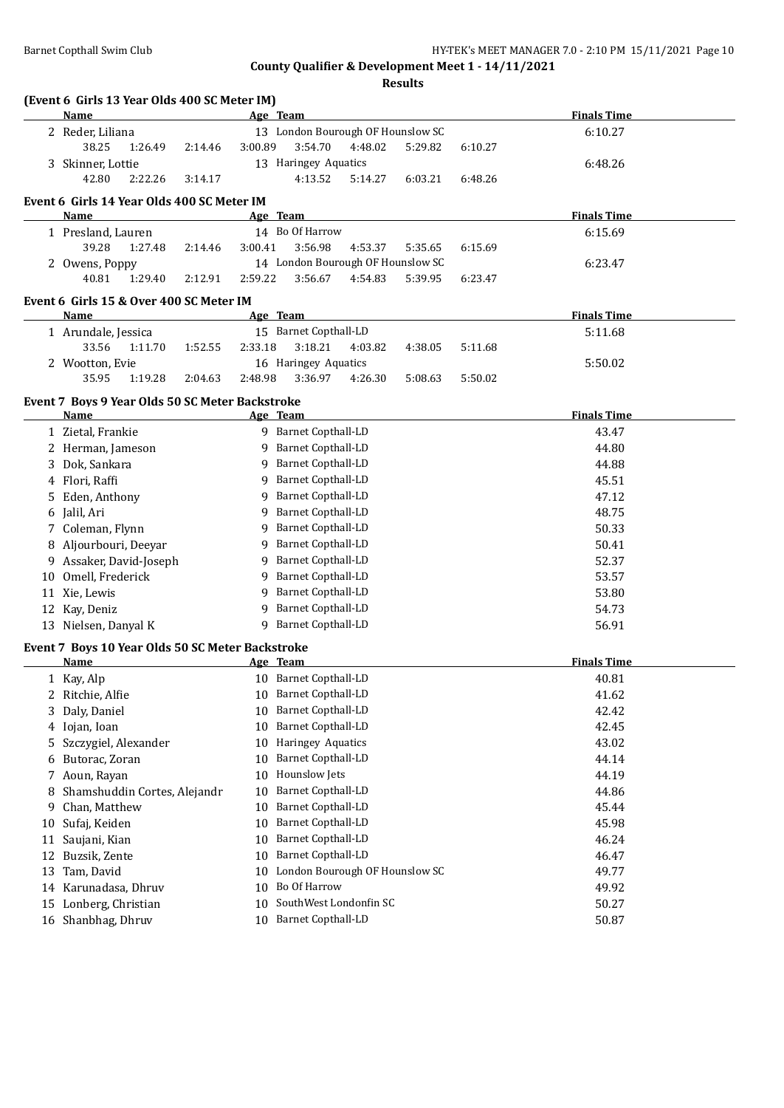**Results**

|    | (Event 6 Girls 13 Year Olds 400 SC Meter IM)             |         |                                   |         |         |         |                    |  |
|----|----------------------------------------------------------|---------|-----------------------------------|---------|---------|---------|--------------------|--|
|    | <b>Name</b>                                              |         | Age Team                          |         |         |         | <b>Finals Time</b> |  |
|    | 2 Reder, Liliana                                         |         | 13 London Bourough OF Hounslow SC |         |         |         | 6:10.27            |  |
|    | 38.25<br>1:26.49<br>2:14.46                              | 3:00.89 | 3:54.70                           | 4:48.02 | 5:29.82 | 6:10.27 |                    |  |
|    | 3 Skinner, Lottie                                        |         | 13 Haringey Aquatics              |         |         |         | 6:48.26            |  |
|    | 42.80<br>2:22.26<br>3:14.17                              |         | 4:13.52                           | 5:14.27 | 6:03.21 | 6:48.26 |                    |  |
|    | Event 6 Girls 14 Year Olds 400 SC Meter IM               |         |                                   |         |         |         |                    |  |
|    | Name                                                     |         | Age Team                          |         |         |         | <b>Finals Time</b> |  |
|    | 1 Presland, Lauren                                       |         | 14 Bo Of Harrow                   |         |         |         | 6:15.69            |  |
|    | 39.28<br>1:27.48<br>2:14.46                              | 3:00.41 | 3:56.98                           | 4:53.37 | 5:35.65 | 6:15.69 |                    |  |
|    | 2 Owens, Poppy                                           |         | 14 London Bourough OF Hounslow SC |         |         |         | 6:23.47            |  |
|    | 40.81<br>1:29.40<br>2:12.91                              | 2:59.22 | 3:56.67                           | 4:54.83 | 5:39.95 | 6:23.47 |                    |  |
|    | Event 6 Girls 15 & Over 400 SC Meter IM                  |         |                                   |         |         |         |                    |  |
|    | Name                                                     |         | Age Team                          |         |         |         | <b>Finals Time</b> |  |
|    | 1 Arundale, Jessica                                      |         | 15 Barnet Copthall-LD             |         |         |         | 5:11.68            |  |
|    | 33.56<br>1:11.70<br>1:52.55                              | 2:33.18 | 3:18.21                           | 4:03.82 | 4:38.05 | 5:11.68 |                    |  |
|    | 2 Wootton, Evie                                          |         | 16 Haringey Aquatics              |         |         |         | 5:50.02            |  |
|    | 35.95<br>1:19.28<br>2:04.63                              | 2:48.98 | 3:36.97                           | 4:26.30 | 5:08.63 | 5:50.02 |                    |  |
|    | Event 7 Boys 9 Year Olds 50 SC Meter Backstroke          |         |                                   |         |         |         |                    |  |
|    | Name                                                     |         | Age Team                          |         |         |         | <b>Finals Time</b> |  |
|    | 1 Zietal, Frankie                                        |         | 9 Barnet Copthall-LD              |         |         |         | 43.47              |  |
|    | 2 Herman, Jameson                                        |         | 9 Barnet Copthall-LD              |         |         |         | 44.80              |  |
|    | 3 Dok, Sankara                                           |         | 9 Barnet Copthall-LD              |         |         |         | 44.88              |  |
|    | 4 Flori, Raffi                                           |         | 9 Barnet Copthall-LD              |         |         |         | 45.51              |  |
|    | 5 Eden, Anthony                                          |         | 9 Barnet Copthall-LD              |         |         |         | 47.12              |  |
|    | 6 Jalil, Ari                                             |         | 9 Barnet Copthall-LD              |         |         |         | 48.75              |  |
|    | 7 Coleman, Flynn                                         |         | 9 Barnet Copthall-LD              |         |         |         | 50.33              |  |
|    | 8 Aljourbouri, Deeyar                                    |         | 9 Barnet Copthall-LD              |         |         |         | 50.41              |  |
|    | 9 Assaker, David-Joseph                                  |         | 9 Barnet Copthall-LD              |         |         |         | 52.37              |  |
|    | 10 Omell, Frederick                                      |         | 9 Barnet Copthall-LD              |         |         |         | 53.57              |  |
|    | 11 Xie, Lewis                                            |         | 9 Barnet Copthall-LD              |         |         |         | 53.80              |  |
|    | 12 Kay, Deniz                                            |         | 9 Barnet Copthall-LD              |         |         |         | 54.73              |  |
|    | 13 Nielsen, Danyal K                                     |         | 9 Barnet Copthall-LD              |         |         |         | 56.91              |  |
|    |                                                          |         |                                   |         |         |         |                    |  |
|    | Event 7 Boys 10 Year Olds 50 SC Meter Backstroke<br>Name |         | Age Team                          |         |         |         | <b>Finals Time</b> |  |
|    | 1 Kay, Alp                                               |         | 10 Barnet Copthall-LD             |         |         |         | 40.81              |  |
|    | Ritchie, Alfie                                           |         | 10 Barnet Copthall-LD             |         |         |         | 41.62              |  |
| 3. | Daly, Daniel                                             | 10      | <b>Barnet Copthall-LD</b>         |         |         |         | 42.42              |  |
|    | 4 Iojan, Ioan                                            | 10      | <b>Barnet Copthall-LD</b>         |         |         |         | 42.45              |  |
| 5  | Szczygiel, Alexander                                     | 10      | Haringey Aquatics                 |         |         |         | 43.02              |  |
| 6  | Butorac, Zoran                                           | 10      | <b>Barnet Copthall-LD</b>         |         |         |         | 44.14              |  |
|    | Aoun, Rayan                                              | 10      | Hounslow Jets                     |         |         |         | 44.19              |  |
| 7. | Shamshuddin Cortes, Alejandr                             |         | <b>Barnet Copthall-LD</b>         |         |         |         | 44.86              |  |
| 8  |                                                          | 10      | <b>Barnet Copthall-LD</b>         |         |         |         |                    |  |
| 9  | Chan, Matthew                                            | 10      | <b>Barnet Copthall-LD</b>         |         |         |         | 45.44              |  |
| 10 | Sufaj, Keiden                                            | 10      | <b>Barnet Copthall-LD</b>         |         |         |         | 45.98              |  |
| 11 | Saujani, Kian                                            | 10      |                                   |         |         |         | 46.24              |  |
| 12 | Buzsik, Zente                                            | 10      | <b>Barnet Copthall-LD</b>         |         |         |         | 46.47              |  |
| 13 | Tam, David                                               | 10      | London Bourough OF Hounslow SC    |         |         |         | 49.77              |  |
|    | 14 Karunadasa, Dhruv                                     | 10      | Bo Of Harrow                      |         |         |         | 49.92              |  |
| 15 | Lonberg, Christian                                       | 10      | SouthWest Londonfin SC            |         |         |         | 50.27              |  |
|    | 16 Shanbhag, Dhruv                                       | 10      | <b>Barnet Copthall-LD</b>         |         |         |         | 50.87              |  |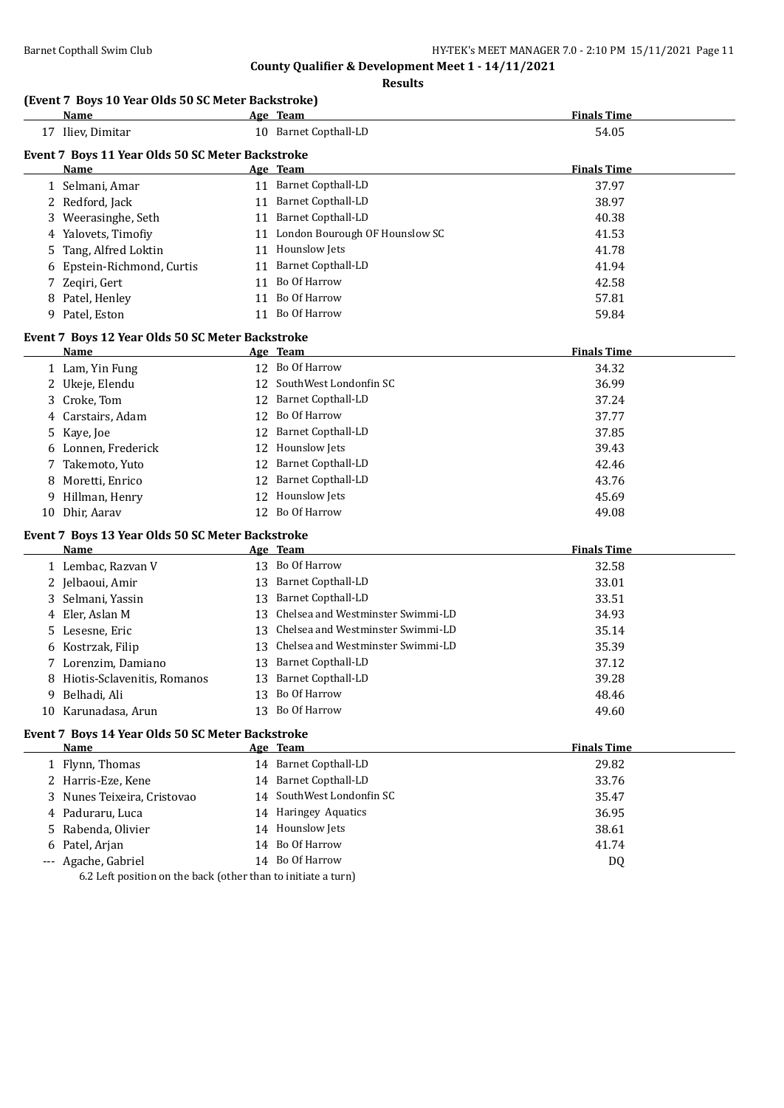**Results**

### **(Event 7 Boys 10 Year Olds 50 SC Meter Backstroke)**

|                   | <b>Name</b>                                      |          | Age Team                          | <b>Finals Time</b> |  |  |  |  |
|-------------------|--------------------------------------------------|----------|-----------------------------------|--------------------|--|--|--|--|
| 17 Iliev, Dimitar |                                                  |          | 10 Barnet Copthall-LD             | 54.05              |  |  |  |  |
|                   | Event 7 Boys 11 Year Olds 50 SC Meter Backstroke |          |                                   |                    |  |  |  |  |
|                   | <b>Name</b>                                      | Age Team | <b>Finals Time</b>                |                    |  |  |  |  |
|                   | 1 Selmani, Amar                                  |          | 11 Barnet Copthall-LD             | 37.97              |  |  |  |  |
|                   | 2 Redford, Jack                                  |          | 11 Barnet Copthall-LD             | 38.97              |  |  |  |  |
|                   | 3 Weerasinghe, Seth                              |          | 11 Barnet Copthall-LD             | 40.38              |  |  |  |  |
| 4                 | Yalovets, Timofiy                                |          | 11 London Bourough OF Hounslow SC | 41.53              |  |  |  |  |
| 5                 | Tang, Alfred Loktin                              |          | 11 Hounslow Jets                  | 41.78              |  |  |  |  |
|                   | Epstein-Richmond, Curtis                         |          | 11 Barnet Copthall-LD             | 41.94              |  |  |  |  |
| 7                 | Zeqiri, Gert                                     |          | 11 Bo Of Harrow                   | 42.58              |  |  |  |  |
|                   | 8 Patel, Henley                                  | 11       | Bo Of Harrow                      | 57.81              |  |  |  |  |
|                   | 9 Patel, Eston                                   |          | 11 Bo Of Harrow                   | 59.84              |  |  |  |  |
|                   | Event 7 Boys 12 Year Olds 50 SC Meter Backstroke |          |                                   |                    |  |  |  |  |
|                   | Name                                             |          | Age Team                          | <b>Finals Time</b> |  |  |  |  |
|                   | 1 Lam, Yin Fung                                  |          | 12 Bo Of Harrow                   | 34.32              |  |  |  |  |
|                   | 2 Ukeje, Elendu                                  | 12       | SouthWest Londonfin SC            | 36.99              |  |  |  |  |
|                   | 3 Croke, Tom                                     | 12       | <b>Barnet Copthall-LD</b>         | 37.24              |  |  |  |  |
| 4                 | Carstairs, Adam                                  | 12       | Bo Of Harrow                      | 37.77              |  |  |  |  |
| 5                 | Kaye, Joe                                        | 12       | <b>Barnet Copthall-LD</b>         | 37.85              |  |  |  |  |
|                   | 6 Lonnen, Frederick                              | 12       | Hounslow Jets                     | 39.43              |  |  |  |  |
| 7                 | Takemoto, Yuto                                   | 12       | <b>Barnet Copthall-LD</b>         | 42.46              |  |  |  |  |
| 8                 | Moretti, Enrico                                  | 12       | <b>Barnet Copthall-LD</b>         | 43.76              |  |  |  |  |
| 9.                | Hillman, Henry                                   | 12       | Hounslow Jets                     | 45.69              |  |  |  |  |
|                   | 10 Dhir, Aarav                                   |          | 12 Bo Of Harrow                   | 49.08              |  |  |  |  |
|                   | Event 7 Boys 13 Year Olds 50 SC Meter Backstroke |          |                                   |                    |  |  |  |  |
|                   | Name                                             |          | Age Team                          | <b>Finals Time</b> |  |  |  |  |
|                   | 1 Lembac, Razvan V                               |          | 13 Bo Of Harrow                   | 32.58              |  |  |  |  |
|                   | 2 Jelbaoui, Amir                                 |          | 13 Barnet Copthall-LD             | 33.01              |  |  |  |  |
| 3                 | Selmani, Yassin                                  |          | 13 Barnet Copthall-LD             | 33.51              |  |  |  |  |
| 4                 | Eler, Aslan M                                    | 13       | Chelsea and Westminster Swimmi-LD | 34.93              |  |  |  |  |
| 5.                | Lesesne, Eric                                    | 13       | Chelsea and Westminster Swimmi-LD | 35.14              |  |  |  |  |
| 6                 | Kostrzak, Filip                                  | 13       | Chelsea and Westminster Swimmi-LD | 35.39              |  |  |  |  |
| 7                 | Lorenzim, Damiano                                | 13       | <b>Barnet Copthall-LD</b>         | 37.12              |  |  |  |  |
|                   | Hiotis-Sclavenitis, Romanos                      |          | 13 Barnet Copthall-LD             | 39.28              |  |  |  |  |
| 9                 | Belhadi, Ali                                     |          | 13 Bo Of Harrow                   | 48.46              |  |  |  |  |
|                   | 10 Karunadasa, Arun                              |          | 13 Bo Of Harrow                   | 49.60              |  |  |  |  |
|                   | Event 7 Boys 14 Year Olds 50 SC Meter Backstroke |          |                                   |                    |  |  |  |  |
|                   | <u>Name</u>                                      |          | Age Team                          | <b>Finals Time</b> |  |  |  |  |
|                   | 1 Flynn, Thomas                                  |          | 14 Barnet Copthall-LD             | 29.82              |  |  |  |  |
|                   | 2 Harris-Eze, Kene                               |          | 14 Barnet Copthall-LD             | 33.76              |  |  |  |  |
| 3                 | Nunes Teixeira, Cristovao                        |          | 14 SouthWest Londonfin SC         | 35.47              |  |  |  |  |
| 4                 | Paduraru, Luca                                   |          | 14 Haringey Aquatics              | 36.95              |  |  |  |  |
| 5                 | Rabenda, Olivier                                 |          | 14 Hounslow Jets                  | 38.61              |  |  |  |  |
| 6                 | Patel, Arjan                                     |          | 14 Bo Of Harrow                   | 41.74              |  |  |  |  |
|                   | --- Agache, Gabriel                              |          | 14 Bo Of Harrow                   | DQ                 |  |  |  |  |

6.2 Left position on the back (other than to initiate a turn)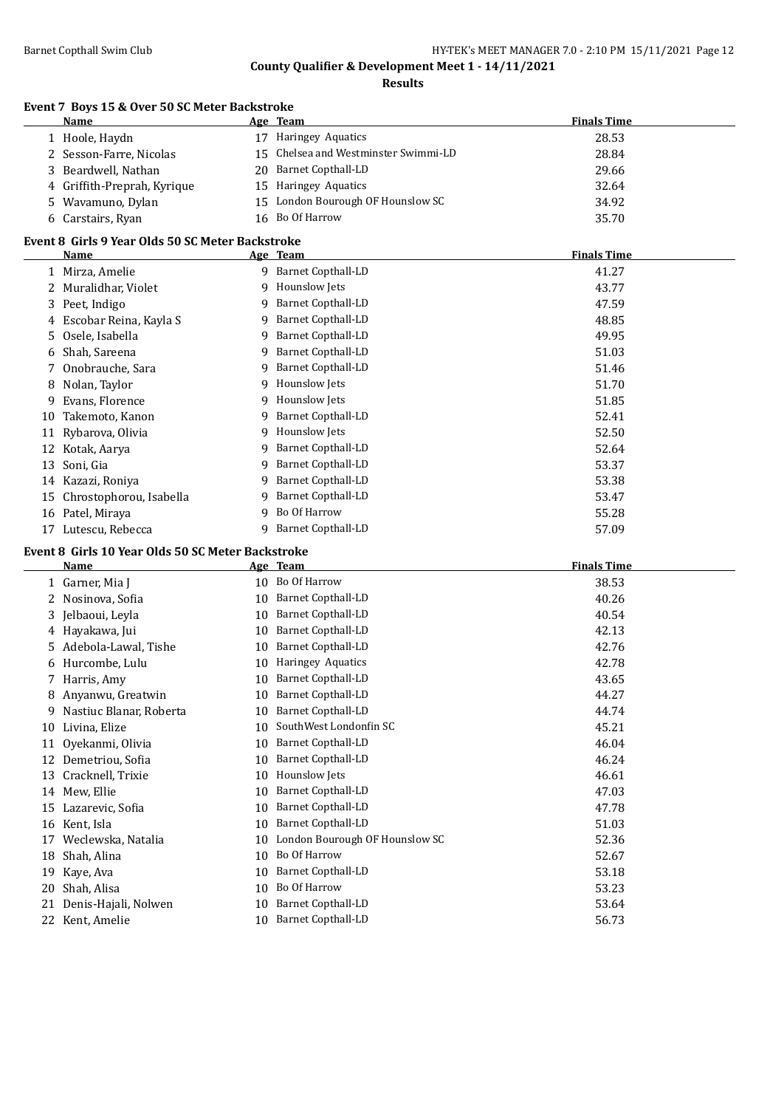**Results**

### **Event 7 Boys 15 & Over 50 SC Meter Backstroke**

| <b>Name</b>                 | Age Team                |                                      | <b>Finals Time</b> |  |
|-----------------------------|-------------------------|--------------------------------------|--------------------|--|
| 1 Hoole, Haydn              | Haringey Aquatics<br>17 |                                      | 28.53              |  |
| 2 Sesson-Farre, Nicolas     |                         | 15 Chelsea and Westminster Swimmi-LD | 28.84              |  |
| 3 Beardwell, Nathan         | 20 Barnet Copthall-LD   |                                      | 29.66              |  |
| 4 Griffith-Preprah, Kyrique | 15 Haringey Aquatics    |                                      | 32.64              |  |
| 5 Wavamuno, Dylan           |                         | 15 London Bourough OF Hounslow SC    | 34.92              |  |
| 6 Carstairs, Ryan           | 16 Bo Of Harrow         |                                      | 35.70              |  |

### **Event 8 Girls 9 Year Olds 50 SC Meter Backstroke**

|    | Name                    |   | Age Team                  | <b>Finals Time</b> |
|----|-------------------------|---|---------------------------|--------------------|
|    | 1 Mirza, Amelie         | 9 | <b>Barnet Copthall-LD</b> | 41.27              |
|    | Muralidhar, Violet      | 9 | Hounslow Jets             | 43.77              |
|    | 3 Peet, Indigo          | 9 | Barnet Copthall-LD        | 47.59              |
| 4  | Escobar Reina, Kayla S  | 9 | Barnet Copthall-LD        | 48.85              |
|    | 5 Osele, Isabella       | 9 | <b>Barnet Copthall-LD</b> | 49.95              |
| 6  | Shah, Sareena           | 9 | Barnet Copthall-LD        | 51.03              |
|    | 7 Onobrauche, Sara      | 9 | Barnet Copthall-LD        | 51.46              |
| 8  | Nolan, Taylor           | 9 | Hounslow Jets             | 51.70              |
| 9  | Evans, Florence         | 9 | Hounslow Jets             | 51.85              |
| 10 | Takemoto, Kanon         | 9 | Barnet Copthall-LD        | 52.41              |
|    | 11 Rybarova, Olivia     | q | Hounslow Jets             | 52.50              |
| 12 | Kotak, Aarya            | 9 | <b>Barnet Copthall-LD</b> | 52.64              |
| 13 | Soni, Gia               | 9 | Barnet Copthall-LD        | 53.37              |
| 14 | Kazazi, Roniya          | 9 | Barnet Copthall-LD        | 53.38              |
| 15 | Chrostophorou, Isabella | 9 | Barnet Copthall-LD        | 53.47              |
| 16 | Patel, Miraya           | 9 | Bo Of Harrow              | 55.28              |
| 17 | Lutescu, Rebecca        | q | <b>Barnet Copthall-LD</b> | 57.09              |

### **Event 8 Girls 10 Year Olds 50 SC Meter Backstroke**

 $\overline{\phantom{0}}$ 

|              | <b>Name</b>             |    | Age Team                       | <b>Finals Time</b> |  |
|--------------|-------------------------|----|--------------------------------|--------------------|--|
|              | 1 Garner, Mia J         | 10 | Bo Of Harrow                   | 38.53              |  |
| $\mathbf{z}$ | Nosinova, Sofia         | 10 | <b>Barnet Copthall-LD</b>      | 40.26              |  |
| 3            | Jelbaoui, Leyla         | 10 | Barnet Copthall-LD             | 40.54              |  |
| 4            | Hayakawa, Jui           | 10 | Barnet Copthall-LD             | 42.13              |  |
| 5.           | Adebola-Lawal, Tishe    | 10 | Barnet Copthall-LD             | 42.76              |  |
| 6            | Hurcombe, Lulu          | 10 | Haringey Aquatics              | 42.78              |  |
|              | Harris, Amy             | 10 | Barnet Copthall-LD             | 43.65              |  |
|              | Anyanwu, Greatwin       | 10 | <b>Barnet Copthall-LD</b>      | 44.27              |  |
| 9            | Nastiuc Blanar, Roberta | 10 | Barnet Copthall-LD             | 44.74              |  |
| 10           | Livina, Elize           | 10 | SouthWest Londonfin SC         | 45.21              |  |
| 11           | Oyekanmi, Olivia        | 10 | Barnet Copthall-LD             | 46.04              |  |
| 12           | Demetriou, Sofia        | 10 | Barnet Copthall-LD             | 46.24              |  |
| 13           | Cracknell, Trixie       | 10 | Hounslow Jets                  | 46.61              |  |
| 14           | Mew, Ellie              | 10 | <b>Barnet Copthall-LD</b>      | 47.03              |  |
| 15           | Lazarevic, Sofia        | 10 | Barnet Copthall-LD             | 47.78              |  |
| 16           | Kent, Isla              | 10 | <b>Barnet Copthall-LD</b>      | 51.03              |  |
| 17           | Weclewska, Natalia      | 10 | London Bourough OF Hounslow SC | 52.36              |  |
| 18           | Shah, Alina             | 10 | Bo Of Harrow                   | 52.67              |  |
| 19           | Kaye, Ava               | 10 | Barnet Copthall-LD             | 53.18              |  |
| 20           | Shah, Alisa             | 10 | Bo Of Harrow                   | 53.23              |  |
| 21           | Denis-Hajali, Nolwen    | 10 | <b>Barnet Copthall-LD</b>      | 53.64              |  |
| 22           | Kent, Amelie            | 10 | <b>Barnet Copthall-LD</b>      | 56.73              |  |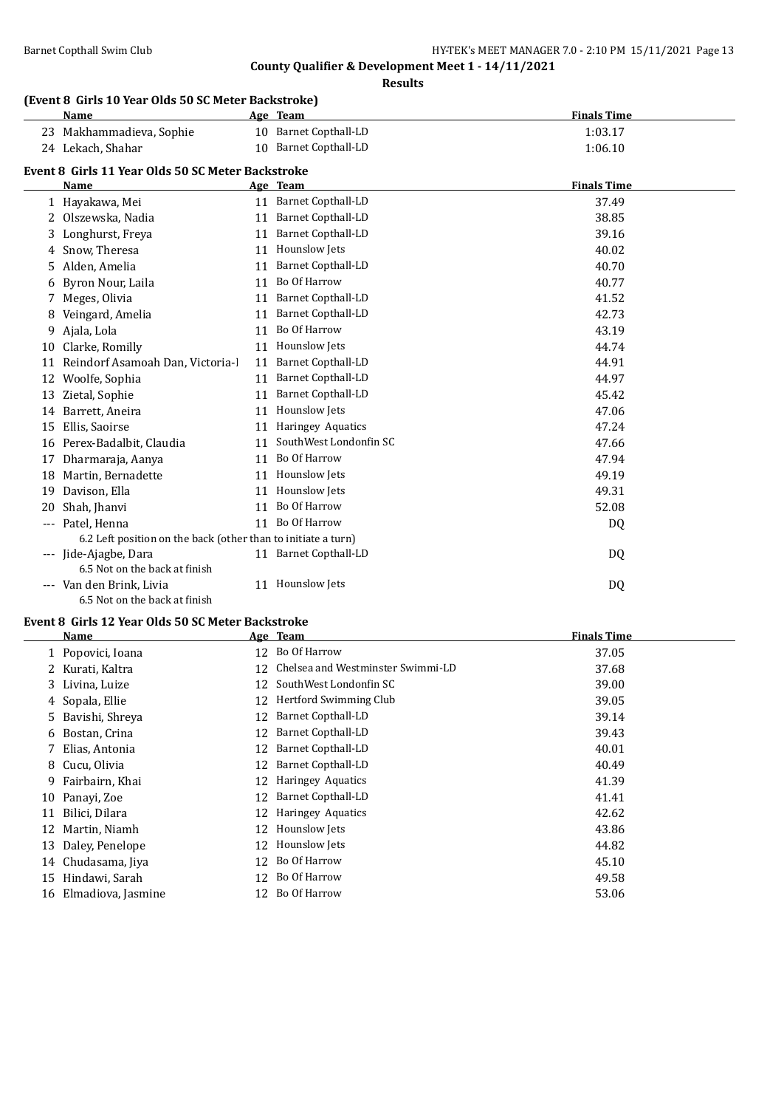**Results**

### **(Event 8 Girls 10 Year Olds 50 SC Meter Backstroke)**

|       | (Event 8 Girls 10 year Olds 50 SC Meter Backstroke)<br><b>Name</b> |    | Age Team                  | <b>Finals Time</b> |
|-------|--------------------------------------------------------------------|----|---------------------------|--------------------|
|       | 23 Makhammadieva, Sophie                                           |    | 10 Barnet Copthall-LD     | 1:03.17            |
|       | 24 Lekach, Shahar                                                  |    | 10 Barnet Copthall-LD     | 1:06.10            |
|       | Event 8 Girls 11 Year Olds 50 SC Meter Backstroke                  |    |                           |                    |
|       | <b>Name</b>                                                        |    | Age Team                  | <b>Finals Time</b> |
|       | 1 Hayakawa, Mei                                                    | 11 | Barnet Copthall-LD        | 37.49              |
| 2     | Olszewska, Nadia                                                   | 11 | <b>Barnet Copthall-LD</b> | 38.85              |
| 3     | Longhurst, Freya                                                   | 11 | <b>Barnet Copthall-LD</b> | 39.16              |
| 4     | Snow, Theresa                                                      | 11 | Hounslow Jets             | 40.02              |
| 5.    | Alden, Amelia                                                      | 11 | <b>Barnet Copthall-LD</b> | 40.70              |
| 6     | Byron Nour, Laila                                                  | 11 | Bo Of Harrow              | 40.77              |
|       | Meges, Olivia                                                      | 11 | Barnet Copthall-LD        | 41.52              |
| 8     | Veingard, Amelia                                                   | 11 | Barnet Copthall-LD        | 42.73              |
| 9     | Ajala, Lola                                                        | 11 | Bo Of Harrow              | 43.19              |
| 10    | Clarke, Romilly                                                    | 11 | Hounslow Jets             | 44.74              |
| 11    | Reindorf Asamoah Dan, Victoria-l                                   | 11 | <b>Barnet Copthall-LD</b> | 44.91              |
| 12    | Woolfe, Sophia                                                     | 11 | <b>Barnet Copthall-LD</b> | 44.97              |
| 13    | Zietal, Sophie                                                     | 11 | Barnet Copthall-LD        | 45.42              |
| 14    | Barrett, Aneira                                                    | 11 | Hounslow Jets             | 47.06              |
| 15    | Ellis, Saoirse                                                     | 11 | <b>Haringey Aquatics</b>  | 47.24              |
| 16    | Perex-Badalbit, Claudia                                            | 11 | SouthWest Londonfin SC    | 47.66              |
| 17    | Dharmaraja, Aanya                                                  | 11 | Bo Of Harrow              | 47.94              |
| 18    | Martin, Bernadette                                                 | 11 | Hounslow Jets             | 49.19              |
| 19    | Davison, Ella                                                      | 11 | Hounslow Jets             | 49.31              |
| 20    | Shah, Jhanvi                                                       | 11 | Bo Of Harrow              | 52.08              |
| $---$ | Patel, Henna                                                       | 11 | Bo Of Harrow              | DQ                 |
|       | 6.2 Left position on the back (other than to initiate a turn)      |    |                           |                    |
|       | Jide-Ajagbe, Dara                                                  |    | 11 Barnet Copthall-LD     | DQ                 |
|       | 6.5 Not on the back at finish                                      |    |                           |                    |
|       | --- Van den Brink, Livia                                           |    | 11 Hounslow Jets          | DQ                 |

6.5 Not on the back at finish

### **Event 8 Girls 12 Year Olds 50 SC Meter Backstroke**

|    | Name                  |    | Age Team                          | <b>Finals Time</b> |
|----|-----------------------|----|-----------------------------------|--------------------|
|    | 1 Popovici, Ioana     | 12 | Bo Of Harrow                      | 37.05              |
|    | 2 Kurati, Kaltra      | 12 | Chelsea and Westminster Swimmi-LD | 37.68              |
|    | 3 Livina, Luize       | 12 | SouthWest Londonfin SC            | 39.00              |
|    | 4 Sopala, Ellie       | 12 | Hertford Swimming Club            | 39.05              |
|    | 5 Bavishi, Shreya     | 12 | Barnet Copthall-LD                | 39.14              |
|    | 6 Bostan, Crina       | 12 | Barnet Copthall-LD                | 39.43              |
|    | 7 Elias, Antonia      | 12 | <b>Barnet Copthall-LD</b>         | 40.01              |
|    | 8 Cucu, Olivia        | 12 | Barnet Copthall-LD                | 40.49              |
| 9. | Fairbairn, Khai       | 12 | Haringey Aquatics                 | 41.39              |
| 10 | Panayi, Zoe           | 12 | Barnet Copthall-LD                | 41.41              |
| 11 | Bilici, Dilara        | 12 | Haringey Aquatics                 | 42.62              |
| 12 | Martin, Niamh         | 12 | Hounslow Jets                     | 43.86              |
| 13 | Daley, Penelope       | 12 | Hounslow Jets                     | 44.82              |
| 14 | Chudasama, Jiya       | 12 | Bo Of Harrow                      | 45.10              |
| 15 | Hindawi, Sarah        | 12 | Bo Of Harrow                      | 49.58              |
|    | 16 Elmadiova, Jasmine | 12 | Bo Of Harrow                      | 53.06              |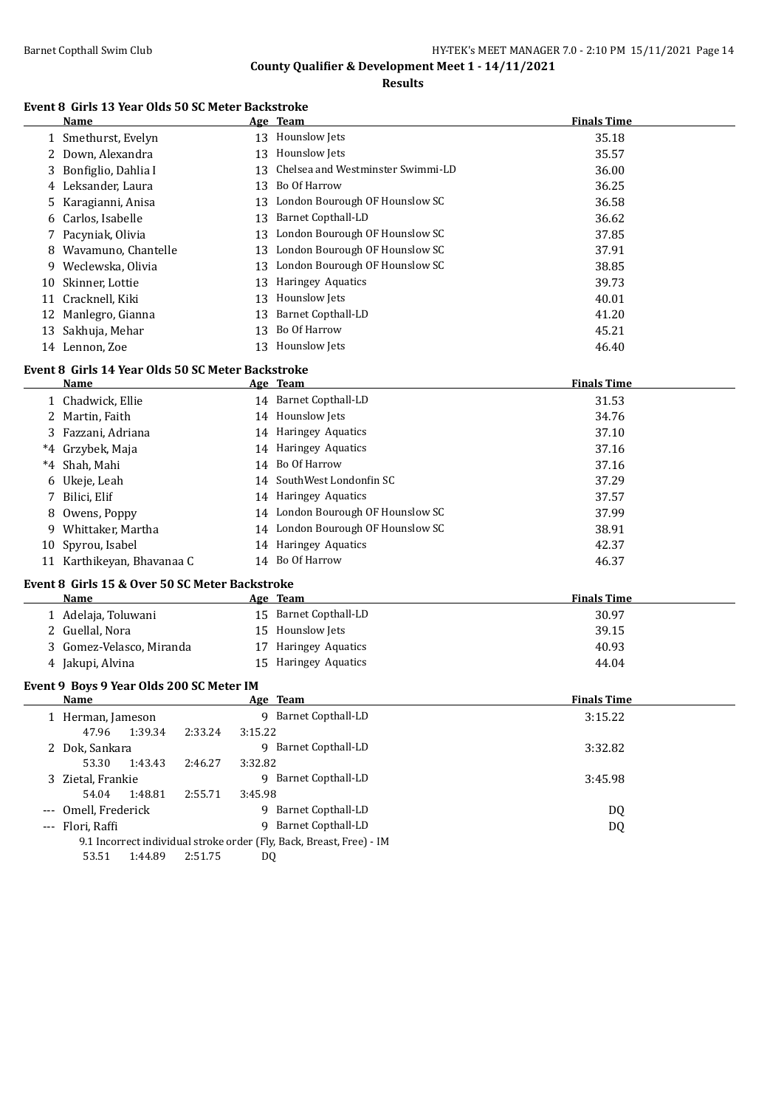**Results**

### **Event 8 Girls 13 Year Olds 50 SC Meter Backstroke**

|      | Name                                                                 |           | Age Team                                | <b>Finals Time</b> |
|------|----------------------------------------------------------------------|-----------|-----------------------------------------|--------------------|
|      | 1 Smethurst, Evelyn                                                  |           | 13 Hounslow Jets                        | 35.18              |
| 2    | Down, Alexandra                                                      |           | 13 Hounslow Jets                        | 35.57              |
| 3    | Bonfiglio, Dahlia I                                                  | 13        | Chelsea and Westminster Swimmi-LD       | 36.00              |
| 4    | Leksander, Laura                                                     | 13        | Bo Of Harrow                            | 36.25              |
| 5    | Karagianni, Anisa                                                    | 13        | London Bourough OF Hounslow SC          | 36.58              |
| 6    | Carlos, Isabelle                                                     | 13        | <b>Barnet Copthall-LD</b>               | 36.62              |
| 7    | Pacyniak, Olivia                                                     | 13        | London Bourough OF Hounslow SC          | 37.85              |
| 8    | Wavamuno, Chantelle                                                  |           | 13 London Bourough OF Hounslow SC       | 37.91              |
| 9    | Weclewska, Olivia                                                    |           | 13 London Bourough OF Hounslow SC       | 38.85              |
| 10   | Skinner, Lottie                                                      | 13        | Haringey Aquatics                       | 39.73              |
| 11   | Cracknell, Kiki                                                      | 13        | Hounslow Jets                           | 40.01              |
| 12   | Manlegro, Gianna                                                     | 13        | <b>Barnet Copthall-LD</b>               | 41.20              |
| 13   | Sakhuja, Mehar                                                       | 13        | Bo Of Harrow                            | 45.21              |
|      | 14 Lennon, Zoe                                                       |           | 13 Hounslow Jets                        | 46.40              |
|      |                                                                      |           |                                         |                    |
|      | Event 8 Girls 14 Year Olds 50 SC Meter Backstroke<br>Name            |           | Age Team                                | <b>Finals Time</b> |
|      | 1 Chadwick, Ellie                                                    |           | 14 Barnet Copthall-LD                   | 31.53              |
| 2    | Martin, Faith                                                        |           | 14 Hounslow Jets                        | 34.76              |
| 3    | Fazzani, Adriana                                                     |           | 14 Haringey Aquatics                    | 37.10              |
|      | *4 Grzybek, Maja                                                     |           | 14 Haringey Aquatics                    | 37.16              |
| $*4$ | Shah, Mahi                                                           |           | 14 Bo Of Harrow                         | 37.16              |
|      |                                                                      |           | 14 SouthWest Londonfin SC               | 37.29              |
| 6    | Ukeje, Leah<br>Bilici, Elif                                          |           | 14 Haringey Aquatics                    |                    |
| 7    |                                                                      |           | 14 London Bourough OF Hounslow SC       | 37.57              |
| 8    | Owens, Poppy                                                         |           |                                         | 37.99              |
| 9    | Whittaker, Martha                                                    |           | 14 London Bourough OF Hounslow SC       | 38.91              |
|      | 10 Spyrou, Isabel                                                    |           | 14 Haringey Aquatics<br>14 Bo Of Harrow | 42.37              |
|      | 11 Karthikeyan, Bhavanaa C                                           |           |                                         | 46.37              |
|      | Event 8 Girls 15 & Over 50 SC Meter Backstroke                       |           |                                         |                    |
|      | Name                                                                 |           | Age Team                                | <b>Finals Time</b> |
|      | 1 Adelaja, Toluwani                                                  |           | 15 Barnet Copthall-LD                   | 30.97              |
| 2    | Guellal, Nora                                                        |           | 15 Hounslow Jets                        | 39.15              |
| 3    | Gomez-Velasco, Miranda                                               |           | 17 Haringey Aquatics                    | 40.93              |
|      | 4 Jakupi, Alvina                                                     |           | 15 Haringey Aquatics                    | 44.04              |
|      | Event 9 Boys 9 Year Olds 200 SC Meter IM                             |           |                                         |                    |
|      | <u>Name</u>                                                          |           | Age Team                                | <b>Finals Time</b> |
|      | 1 Herman, Jameson                                                    |           | 9 Barnet Copthall-LD                    | 3:15.22            |
|      | 47.96<br>1:39.34<br>2:33.24                                          | 3:15.22   |                                         |                    |
|      | 2 Dok, Sankara                                                       |           | 9 Barnet Copthall-LD                    | 3:32.82            |
|      | 53.30<br>1:43.43<br>2:46.27                                          | 3:32.82   |                                         |                    |
|      | 3 Zietal, Frankie                                                    |           | 9 Barnet Copthall-LD                    | 3:45.98            |
|      | 54.04<br>1:48.81<br>2:55.71                                          | 3:45.98   |                                         |                    |
|      | --- Omell, Frederick                                                 |           | 9 Barnet Copthall-LD                    | DQ                 |
|      | --- Flori, Raffi                                                     |           | 9 Barnet Copthall-LD                    | <b>DQ</b>          |
|      | 9.1 Incorrect individual stroke order (Fly, Back, Breast, Free) - IM |           |                                         |                    |
|      | 53.51<br>2:51.75<br>1:44.89                                          | <b>DQ</b> |                                         |                    |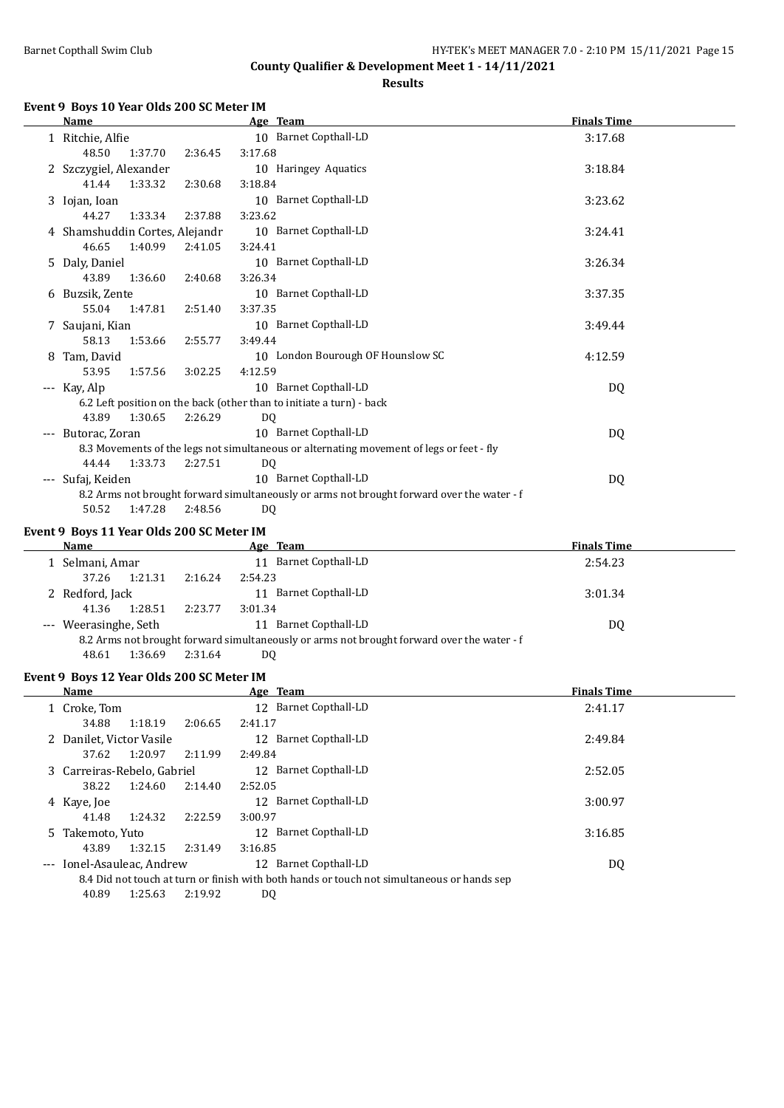**Results**

#### **Event 9 Boys 10 Year Olds 200 SC Meter IM**

|       | <b>Name</b>                    |         | Age Team                                                                                   | <b>Finals Time</b> |  |
|-------|--------------------------------|---------|--------------------------------------------------------------------------------------------|--------------------|--|
|       | 1 Ritchie, Alfie               |         | 10 Barnet Copthall-LD                                                                      | 3:17.68            |  |
|       | 1:37.70<br>48.50               | 2:36.45 | 3:17.68                                                                                    |                    |  |
|       | 2 Szczygiel, Alexander         |         | 10 Haringey Aquatics                                                                       | 3:18.84            |  |
|       | 41.44<br>1:33.32               | 2:30.68 | 3:18.84                                                                                    |                    |  |
|       | 3 Iojan, Ioan                  |         | 10 Barnet Copthall-LD                                                                      | 3:23.62            |  |
|       | 44.27<br>1:33.34               | 2:37.88 | 3:23.62                                                                                    |                    |  |
|       | 4 Shamshuddin Cortes, Alejandr |         | 10 Barnet Copthall-LD                                                                      | 3:24.41            |  |
|       | 46.65<br>1:40.99               | 2:41.05 | 3:24.41                                                                                    |                    |  |
|       | 5 Daly, Daniel                 |         | 10 Barnet Copthall-LD                                                                      | 3:26.34            |  |
|       | 43.89<br>1:36.60               | 2:40.68 | 3:26.34                                                                                    |                    |  |
| 6     | Buzsik, Zente                  |         | 10 Barnet Copthall-LD                                                                      | 3:37.35            |  |
|       | 55.04<br>1:47.81               | 2:51.40 | 3:37.35                                                                                    |                    |  |
|       | 7 Saujani, Kian                |         | 10 Barnet Copthall-LD                                                                      | 3:49.44            |  |
|       | 58.13<br>1:53.66               | 2:55.77 | 3:49.44                                                                                    |                    |  |
| 8     | Tam, David                     |         | 10 London Bourough OF Hounslow SC                                                          | 4:12.59            |  |
|       | 53.95<br>1:57.56               | 3:02.25 | 4:12.59                                                                                    |                    |  |
| $---$ | Kay, Alp                       |         | 10 Barnet Copthall-LD                                                                      | DQ                 |  |
|       |                                |         | 6.2 Left position on the back (other than to initiate a turn) - back                       |                    |  |
|       | 1:30.65<br>43.89               | 2:26.29 | DQ                                                                                         |                    |  |
| $---$ | Butorac, Zoran                 |         | 10 Barnet Copthall-LD                                                                      | DQ.                |  |
|       |                                |         | 8.3 Movements of the legs not simultaneous or alternating movement of legs or feet - fly   |                    |  |
|       | 44.44<br>1:33.73               | 2:27.51 | DQ                                                                                         |                    |  |
|       | Sufaj, Keiden                  |         | 10 Barnet Copthall-LD                                                                      | DQ                 |  |
|       | 50.52<br>1:47.28               | 2:48.56 | 8.2 Arms not brought forward simultaneously or arms not brought forward over the water - f |                    |  |
|       |                                |         | DQ                                                                                         |                    |  |

#### **Event 9 Boys 11 Year Olds 200 SC Meter IM**

| Name                                                                                       |         | Age Team                 | <b>Finals Time</b> |  |  |  |
|--------------------------------------------------------------------------------------------|---------|--------------------------|--------------------|--|--|--|
| 1 Selmani, Amar                                                                            |         | 11 Barnet Copthall-LD    | 2:54.23            |  |  |  |
| 1:21.31<br>37.26                                                                           | 2:16.24 | 2:54.23                  |                    |  |  |  |
| 2 Redford, Jack                                                                            |         | Barnet Copthall-LD<br>11 | 3:01.34            |  |  |  |
| 1:28.51<br>41.36                                                                           | 2:23.77 | 3:01.34                  |                    |  |  |  |
| --- Weerasinghe, Seth                                                                      |         | Barnet Copthall-LD<br>11 | DQ                 |  |  |  |
| 8.2 Arms not brought forward simultaneously or arms not brought forward over the water - f |         |                          |                    |  |  |  |
| 1:36.69<br>48.61                                                                           | 2:31.64 | DQ                       |                    |  |  |  |

### **Event 9 Boys 12 Year Olds 200 SC Meter IM**

|                     | Name                        |         |         | Age Team                                                                                   | <b>Finals Time</b> |  |
|---------------------|-----------------------------|---------|---------|--------------------------------------------------------------------------------------------|--------------------|--|
|                     | 1 Croke, Tom                |         |         | 12 Barnet Copthall-LD                                                                      | 2:41.17            |  |
|                     | 34.88                       | 1:18.19 | 2:06.65 | 2:41.17                                                                                    |                    |  |
|                     | 2 Danilet, Victor Vasile    |         |         | 12 Barnet Copthall-LD                                                                      | 2:49.84            |  |
|                     | 37.62                       | 1:20.97 | 2:11.99 | 2:49.84                                                                                    |                    |  |
|                     | 3 Carreiras-Rebelo, Gabriel |         |         | Barnet Copthall-LD<br>12                                                                   | 2:52.05            |  |
|                     | 38.22                       | 1:24.60 | 2:14.40 | 2:52.05                                                                                    |                    |  |
|                     | 4 Kaye, Joe                 |         |         | Barnet Copthall-LD<br>12 <sup>1</sup>                                                      | 3:00.97            |  |
|                     | 41.48                       | 1:24.32 | 2:22.59 | 3:00.97                                                                                    |                    |  |
|                     | 5 Takemoto, Yuto            |         |         | 12 Barnet Copthall-LD                                                                      | 3:16.85            |  |
|                     | 43.89                       | 1:32.15 | 2:31.49 | 3:16.85                                                                                    |                    |  |
| $\qquad \qquad - -$ | Ionel-Asauleac, Andrew      |         |         | 12 Barnet Copthall-LD                                                                      | DQ                 |  |
|                     |                             |         |         | 8.4 Did not touch at turn or finish with both hands or touch not simultaneous or hands sep |                    |  |
|                     | 40.89                       | 1:25.63 | 2:19.92 | DO                                                                                         |                    |  |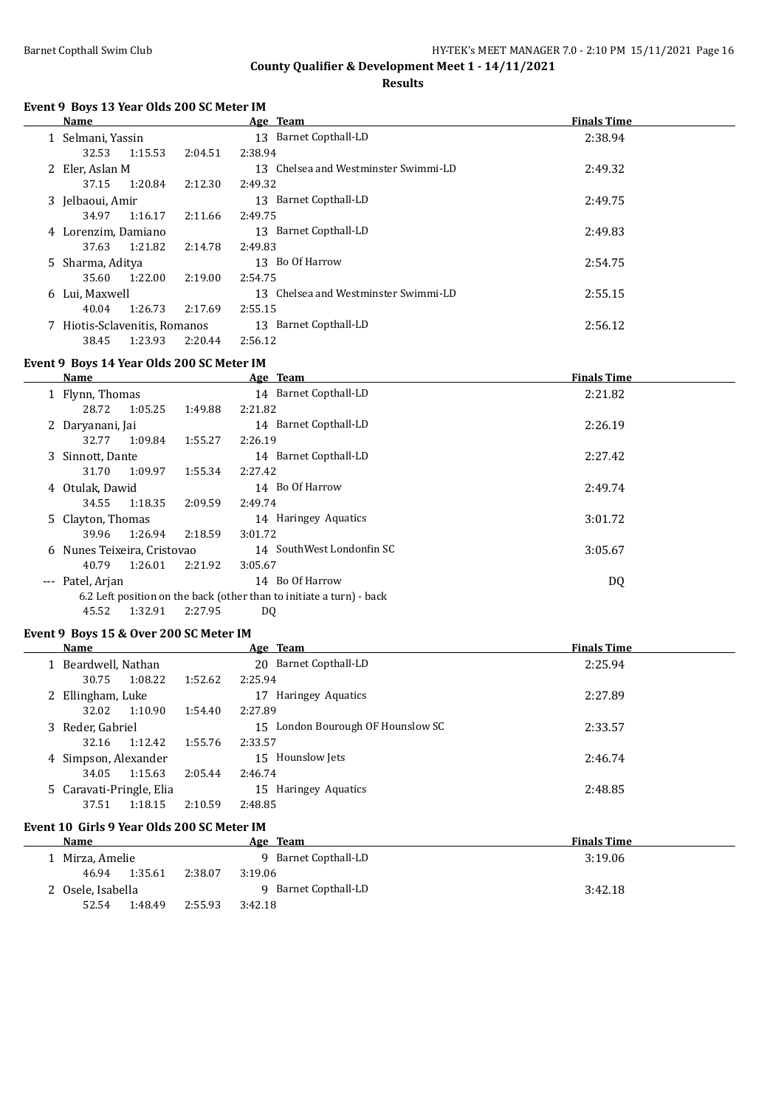**Results**

#### **Event 9 Boys 13 Year Olds 200 SC Meter IM**

| Name                          |         |         | Age Team                                | <b>Finals Time</b> |  |
|-------------------------------|---------|---------|-----------------------------------------|--------------------|--|
| 1 Selmani, Yassin             |         |         | <b>Barnet Copthall-LD</b><br>13         | 2:38.94            |  |
| 32.53                         | 1:15.53 | 2:04.51 | 2:38.94                                 |                    |  |
| 2 Eler, Aslan M               |         |         | Chelsea and Westminster Swimmi-LD<br>13 | 2:49.32            |  |
| 37.15                         | 1:20.84 | 2:12.30 | 2:49.32                                 |                    |  |
| 3 Jelbaoui, Amir              |         |         | Barnet Copthall-LD<br>13                | 2:49.75            |  |
| 34.97                         | 1:16.17 | 2:11.66 | 2:49.75                                 |                    |  |
| 4 Lorenzim, Damiano           |         |         | Barnet Copthall-LD<br>13                | 2:49.83            |  |
| 37.63                         | 1:21.82 | 2:14.78 | 2:49.83                                 |                    |  |
| 5 Sharma, Aditya              |         |         | Bo Of Harrow<br>13                      | 2:54.75            |  |
| 35.60                         | 1:22.00 | 2:19.00 | 2:54.75                                 |                    |  |
| 6 Lui, Maxwell                |         |         | Chelsea and Westminster Swimmi-LD<br>13 | 2:55.15            |  |
| 40.04                         | 1:26.73 | 2:17.69 | 2:55.15                                 |                    |  |
| 7 Hiotis-Sclavenitis, Romanos |         |         | Barnet Copthall-LD<br>13                | 2:56.12            |  |
| 38.45                         | 1:23.93 | 2:20.44 | 2:56.12                                 |                    |  |

### **Event 9 Boys 14 Year Olds 200 SC Meter IM**

 $\frac{1}{1}$ 

|                     | Name                        |         |                                                                                   | Age Team                                                             | <b>Finals Time</b> |
|---------------------|-----------------------------|---------|-----------------------------------------------------------------------------------|----------------------------------------------------------------------|--------------------|
|                     | 1 Flynn, Thomas             |         |                                                                                   | 14 Barnet Copthall-LD                                                | 2:21.82            |
|                     | 28.72                       | 1:05.25 | 1:49.88                                                                           | 2:21.82                                                              |                    |
|                     | 2 Daryanani, Jai            |         |                                                                                   | 14 Barnet Copthall-LD                                                | 2:26.19            |
|                     | 32.77                       | 1:09.84 | 1:55.27                                                                           | 2:26.19                                                              |                    |
|                     | 3 Sinnott, Dante            |         |                                                                                   | 14 Barnet Copthall-LD                                                | 2:27.42            |
|                     | 31.70                       | 1:09.97 | 1:55.34                                                                           | 2:27.42                                                              |                    |
|                     | 4 Otulak, Dawid             |         |                                                                                   | 14 Bo Of Harrow                                                      | 2:49.74            |
|                     | 34.55                       | 1:18.35 | 2:09.59                                                                           | 2:49.74                                                              |                    |
|                     | 5 Clayton, Thomas           |         |                                                                                   | 14 Haringey Aquatics                                                 | 3:01.72            |
|                     | 39.96                       | 1:26.94 | 2:18.59                                                                           | 3:01.72                                                              |                    |
|                     | 6 Nunes Teixeira, Cristovao |         |                                                                                   | 14 SouthWest Londonfin SC                                            | 3:05.67            |
|                     | 40.79                       | 1:26.01 | 2:21.92                                                                           | 3:05.67                                                              |                    |
| $\qquad \qquad - -$ | Patel, Arjan                |         |                                                                                   | 14 Bo Of Harrow                                                      | DQ                 |
|                     |                             |         |                                                                                   | 6.2 Left position on the back (other than to initiate a turn) - back |                    |
|                     |                             |         | $\mathbf{r} = \mathbf{r}$ . $\mathbf{r} = \mathbf{r}$ . $\mathbf{r} = \mathbf{r}$ | $\sim$ $\sim$ $\sim$                                                 |                    |

### 45.52 1:32.91 2:27.95 DQ

### **Event 9 Boys 15 & Over 200 SC Meter IM**

| Name                     |         | Age Team                          | <b>Finals Time</b> |
|--------------------------|---------|-----------------------------------|--------------------|
| 1 Beardwell, Nathan      |         | 20 Barnet Copthall-LD             | 2:25.94            |
| 1:08.22<br>30.75         | 1:52.62 | 2:25.94                           |                    |
| 2 Ellingham, Luke        |         | Haringey Aquatics<br>17           | 2:27.89            |
| 1:10.90<br>32.02         | 1:54.40 | 2:27.89                           |                    |
| 3 Reder, Gabriel         |         | 15 London Bourough OF Hounslow SC | 2:33.57            |
| 1:12.42<br>32.16         | 1:55.76 | 2:33.57                           |                    |
| 4 Simpson, Alexander     |         | 15 Hounslow Jets                  | 2:46.74            |
| 1:15.63<br>34.05         | 2:05.44 | 2:46.74                           |                    |
| 5 Caravati-Pringle, Elia |         | 15 Haringey Aquatics              | 2:48.85            |
| 1:18.15<br>37.51         | 2:10.59 | 2:48.85                           |                    |

### **Event 10 Girls 9 Year Olds 200 SC Meter IM**

| Name              | Age Team             | <b>Finals Time</b> |
|-------------------|----------------------|--------------------|
| l) Mirza, Amelie  | 9 Barnet Copthall-LD | 3:19.06            |
| 1:35.61<br>46.94  | 2:38.07<br>3:19.06   |                    |
| 2 Osele, Isabella | 9 Barnet Copthall-LD | 3:42.18            |
| 1:48.49<br>52.54  | 2:55.93<br>3:42.18   |                    |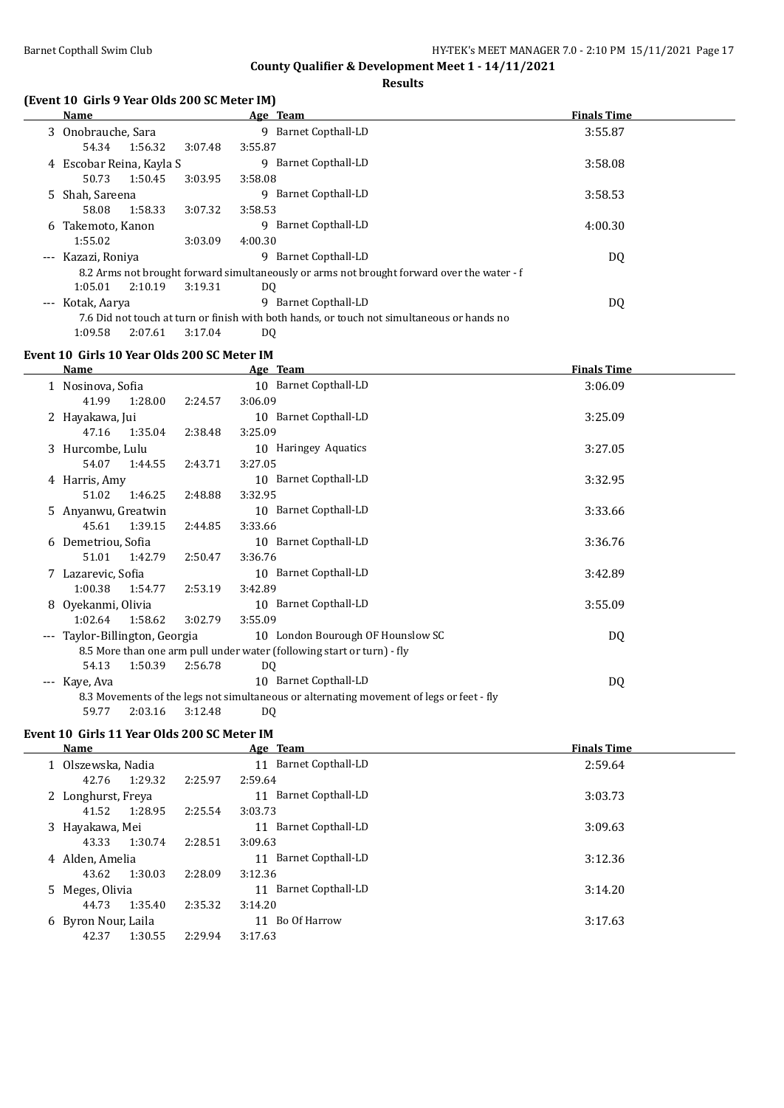**Results**

### **(Event 10 Girls 9 Year Olds 200 SC Meter IM)**

| <b>Name</b>              |         |         | Age Team                                                                                   | <b>Finals Time</b> |
|--------------------------|---------|---------|--------------------------------------------------------------------------------------------|--------------------|
| 3 Onobrauche, Sara       |         |         | Barnet Copthall-LD<br>9                                                                    | 3:55.87            |
| 54.34                    | 1:56.32 | 3:07.48 | 3:55.87                                                                                    |                    |
| 4 Escobar Reina, Kayla S |         |         | Barnet Copthall-LD<br>9                                                                    | 3:58.08            |
| 50.73                    | 1:50.45 | 3:03.95 | 3:58.08                                                                                    |                    |
| 5 Shah, Sareena          |         |         | Barnet Copthall-LD<br>9                                                                    | 3:58.53            |
| 58.08                    | 1:58.33 | 3:07.32 | 3:58.53                                                                                    |                    |
| 6 Takemoto, Kanon        |         |         | Barnet Copthall-LD<br>9                                                                    | 4:00.30            |
| 1:55.02                  |         | 3:03.09 | 4:00.30                                                                                    |                    |
| --- Kazazi, Roniya       |         |         | Barnet Copthall-LD<br>9                                                                    | DQ                 |
|                          |         |         | 8.2 Arms not brought forward simultaneously or arms not brought forward over the water - f |                    |
| 1:05.01                  | 2:10.19 | 3:19.31 | DQ                                                                                         |                    |
| --- Kotak, Aarya         |         |         | Barnet Copthall-LD<br>q                                                                    | DQ                 |
|                          |         |         | 7.6 Did not touch at turn or finish with both hands, or touch not simultaneous or hands no |                    |
| 1:09.58                  | 2:07.61 | 3:17.04 | D <sub>0</sub>                                                                             |                    |

### **Event 10 Girls 10 Year Olds 200 SC Meter IM**

|       | Name                       |         | Age Team                                                                                 | <b>Finals Time</b> |
|-------|----------------------------|---------|------------------------------------------------------------------------------------------|--------------------|
|       | 1 Nosinova, Sofia          |         | 10 Barnet Copthall-LD                                                                    | 3:06.09            |
|       | 41.99<br>1:28.00           | 2:24.57 | 3:06.09                                                                                  |                    |
|       | 2 Hayakawa, Jui            |         | 10 Barnet Copthall-LD                                                                    | 3:25.09            |
|       | 1:35.04<br>47.16           | 2:38.48 | 3:25.09                                                                                  |                    |
|       | 3 Hurcombe, Lulu           |         | 10 Haringey Aquatics                                                                     | 3:27.05            |
|       | 54.07<br>1:44.55           | 2:43.71 | 3:27.05                                                                                  |                    |
|       | 4 Harris, Amy              |         | 10 Barnet Copthall-LD                                                                    | 3:32.95            |
|       | 51.02<br>1:46.25           | 2:48.88 | 3:32.95                                                                                  |                    |
|       | 5 Anyanwu, Greatwin        |         | 10 Barnet Copthall-LD                                                                    | 3:33.66            |
|       | 45.61<br>1:39.15           | 2:44.85 | 3:33.66                                                                                  |                    |
|       | 6 Demetriou, Sofia         |         | 10 Barnet Copthall-LD                                                                    | 3:36.76            |
|       | 51.01<br>1:42.79           | 2:50.47 | 3:36.76                                                                                  |                    |
|       | 7 Lazarevic, Sofia         |         | 10 Barnet Copthall-LD                                                                    | 3:42.89            |
|       | 1:00.38<br>1:54.77         | 2:53.19 | 3:42.89                                                                                  |                    |
|       | 8 Oyekanmi, Olivia         |         | 10 Barnet Copthall-LD                                                                    | 3:55.09            |
|       | 1:02.64<br>1:58.62         | 3:02.79 | 3:55.09                                                                                  |                    |
| $---$ | Taylor-Billington, Georgia |         | 10 London Bourough OF Hounslow SC                                                        | DQ                 |
|       |                            |         | 8.5 More than one arm pull under water (following start or turn) - fly                   |                    |
|       | 54.13<br>1:50.39           | 2:56.78 | DQ                                                                                       |                    |
|       | --- Kaye, Ava              |         | 10 Barnet Copthall-LD                                                                    | DQ                 |
|       |                            |         | 8.3 Movements of the legs not simultaneous or alternating movement of legs or feet - fly |                    |
|       | 2:03.16<br>59.77           | 3:12.48 | DQ                                                                                       |                    |

### **Event 10 Girls 11 Year Olds 200 SC Meter IM**

| <b>Name</b>         |                    | Age Team                 | <b>Finals Time</b> |
|---------------------|--------------------|--------------------------|--------------------|
| 1 Olszewska, Nadia  |                    | Barnet Copthall-LD<br>11 | 2:59.64            |
| 42.76               | 1:29.32<br>2:25.97 | 2:59.64                  |                    |
| 2 Longhurst, Freya  |                    | Barnet Copthall-LD<br>11 | 3:03.73            |
| 41.52               | 1:28.95<br>2:25.54 | 3:03.73                  |                    |
| 3 Hayakawa, Mei     |                    | Barnet Copthall-LD<br>11 | 3:09.63            |
| 43.33               | 1:30.74<br>2:28.51 | 3:09.63                  |                    |
| 4 Alden, Amelia     |                    | Barnet Copthall-LD<br>11 | 3:12.36            |
| 43.62               | 1:30.03<br>2:28.09 | 3:12.36                  |                    |
| 5 Meges, Olivia     |                    | Barnet Copthall-LD<br>11 | 3:14.20            |
| 44.73               | 1:35.40<br>2:35.32 | 3:14.20                  |                    |
| 6 Byron Nour, Laila |                    | Bo Of Harrow<br>11       | 3:17.63            |
| 42.37               | 1:30.55<br>2:29.94 | 3:17.63                  |                    |
|                     |                    |                          |                    |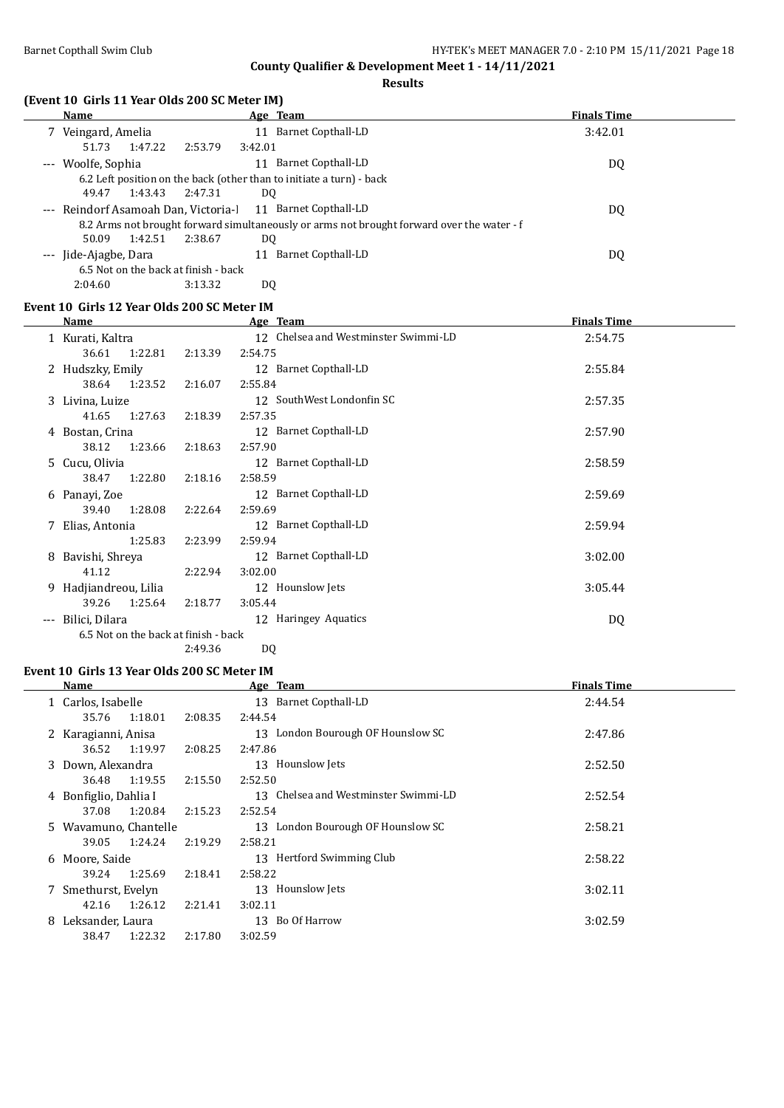**Results**

### **(Event 10 Girls 11 Year Olds 200 SC Meter IM)**

| <b>Name</b>                          |         | Age Team                                                                                   | <b>Finals Time</b> |
|--------------------------------------|---------|--------------------------------------------------------------------------------------------|--------------------|
| 7 Veingard, Amelia                   |         | 11 Barnet Copthall-LD                                                                      | 3:42.01            |
| 1:47.22<br>51.73                     | 2:53.79 | 3:42.01                                                                                    |                    |
| --- Woolfe, Sophia                   |         | Barnet Copthall-LD<br>11                                                                   | DQ                 |
|                                      |         | 6.2 Left position on the back (other than to initiate a turn) - back                       |                    |
| 1:43.43<br>49.47                     | 2:47.31 | DQ                                                                                         |                    |
| --- Reindorf Asamoah Dan, Victoria-l |         | 11 Barnet Copthall-LD                                                                      | DQ                 |
|                                      |         | 8.2 Arms not brought forward simultaneously or arms not brought forward over the water - f |                    |
| 1:42.51<br>50.09                     | 2:38.67 | DO.                                                                                        |                    |
| --- Jide-Ajagbe, Dara                |         | Barnet Copthall-LD<br>11                                                                   | DQ                 |
| 6.5 Not on the back at finish - back |         |                                                                                            |                    |
| 2:04.60                              | 3:13.32 | DO                                                                                         |                    |

### **Event 10 Girls 12 Year Olds 200 SC Meter IM**

|    | <b>Name</b>                          |         | Age Team                             | <b>Finals Time</b> |
|----|--------------------------------------|---------|--------------------------------------|--------------------|
|    | 1 Kurati, Kaltra                     |         | 12 Chelsea and Westminster Swimmi-LD | 2:54.75            |
|    | 1:22.81<br>36.61                     | 2:13.39 | 2:54.75                              |                    |
|    | 2 Hudszky, Emily                     |         | 12 Barnet Copthall-LD                | 2:55.84            |
|    | 38.64<br>1:23.52                     | 2:16.07 | 2:55.84                              |                    |
|    | 3 Livina, Luize                      |         | 12 SouthWest Londonfin SC            | 2:57.35            |
|    | 1:27.63<br>41.65                     | 2:18.39 | 2:57.35                              |                    |
|    | 4 Bostan, Crina                      |         | 12 Barnet Copthall-LD                | 2:57.90            |
|    | 38.12<br>1:23.66                     | 2:18.63 | 2:57.90                              |                    |
| 5. | Cucu, Olivia                         |         | 12 Barnet Copthall-LD                | 2:58.59            |
|    | 38.47<br>1:22.80                     | 2:18.16 | 2:58.59                              |                    |
|    | 6 Panayi, Zoe                        |         | 12 Barnet Copthall-LD                | 2:59.69            |
|    | 1:28.08<br>39.40                     | 2:22.64 | 2:59.69                              |                    |
| 7  | Elias, Antonia                       |         | 12 Barnet Copthall-LD                | 2:59.94            |
|    | 1:25.83                              | 2:23.99 | 2:59.94                              |                    |
| 8  | Bavishi, Shreya                      |         | 12 Barnet Copthall-LD                | 3:02.00            |
|    | 41.12                                | 2:22.94 | 3:02.00                              |                    |
| 9  | Hadjiandreou, Lilia                  |         | Hounslow Jets<br>12                  | 3:05.44            |
|    | 39.26<br>1:25.64                     | 2:18.77 | 3:05.44                              |                    |
|    | Bilici, Dilara                       |         | 12 Haringey Aquatics                 | DQ                 |
|    | 6.5 Not on the back at finish - back |         |                                      |                    |
|    |                                      | 2:49.36 | DQ                                   |                    |

#### **Event 10 Girls 13 Year Olds 200 SC Meter IM**

|    | Name                  |         |         | Age Team                             | <b>Finals Time</b> |
|----|-----------------------|---------|---------|--------------------------------------|--------------------|
|    | 1 Carlos, Isabelle    |         |         | 13 Barnet Copthall-LD                | 2:44.54            |
|    | 35.76                 | 1:18.01 | 2:08.35 | 2:44.54                              |                    |
|    | 2 Karagianni, Anisa   |         |         | 13 London Bourough OF Hounslow SC    | 2:47.86            |
|    | 36.52                 | 1:19.97 | 2:08.25 | 2:47.86                              |                    |
|    | 3 Down, Alexandra     |         |         | 13 Hounslow Jets                     | 2:52.50            |
|    | 36.48                 | 1:19.55 | 2:15.50 | 2:52.50                              |                    |
|    | 4 Bonfiglio, Dahlia I |         |         | 13 Chelsea and Westminster Swimmi-LD | 2:52.54            |
|    | 37.08                 | 1:20.84 | 2:15.23 | 2:52.54                              |                    |
|    | 5 Wavamuno, Chantelle |         |         | 13 London Bourough OF Hounslow SC    | 2:58.21            |
|    | 39.05                 | 1:24.24 | 2:19.29 | 2:58.21                              |                    |
|    | 6 Moore, Saide        |         |         | 13 Hertford Swimming Club            | 2:58.22            |
|    | 39.24                 | 1:25.69 | 2:18.41 | 2:58.22                              |                    |
|    | 7 Smethurst, Evelyn   |         |         | 13 Hounslow Jets                     | 3:02.11            |
|    | 42.16                 | 1:26.12 | 2:21.41 | 3:02.11                              |                    |
| 8. | Leksander, Laura      |         |         | 13 Bo Of Harrow                      | 3:02.59            |
|    | 38.47                 | 1:22.32 | 2:17.80 | 3:02.59                              |                    |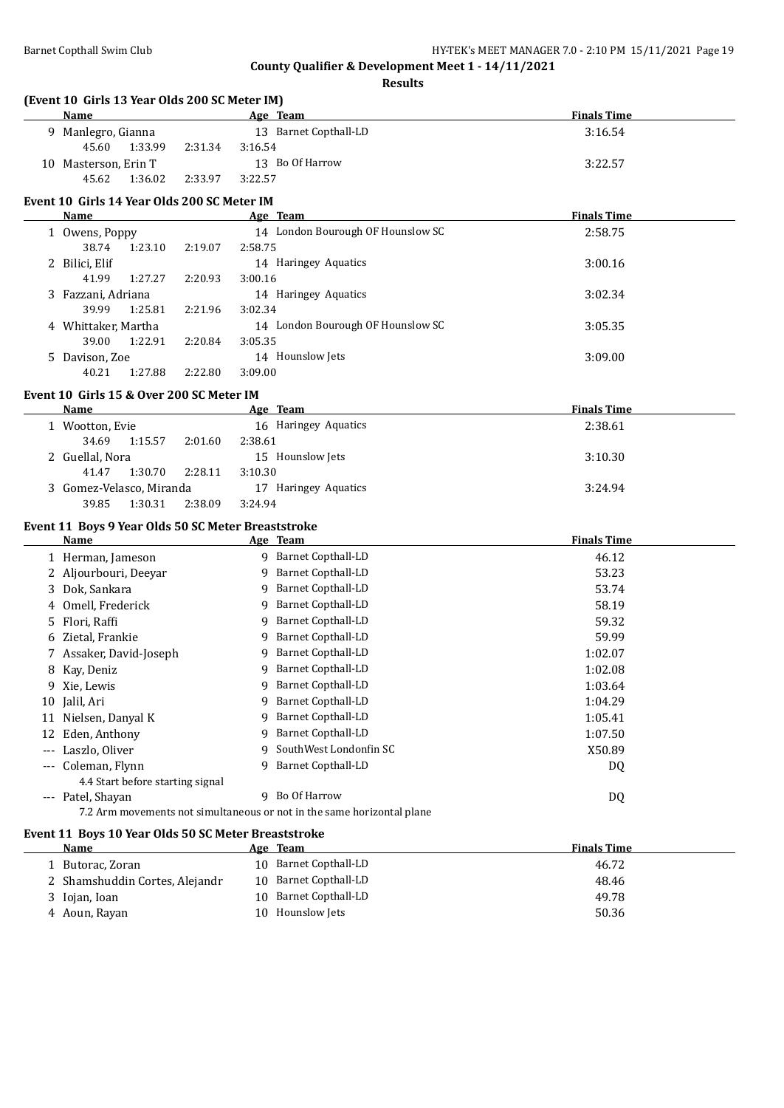**Results**

| (Event 10 Girls 13 Year Olds 200 SC Meter IM) |                       |                    |
|-----------------------------------------------|-----------------------|--------------------|
| Name                                          | Age Team              | <b>Finals Time</b> |
| 9 Manlegro, Gianna                            | 13 Barnet Copthall-LD | 3:16.54            |

| 13 Barnet Copthall-LD<br>3:16.54<br>9 Manlegro, Gianna<br>45.60<br>1:33.99<br>3:16.54<br>2:31.34<br>13 Bo Of Harrow<br>3:22.57<br>10 Masterson, Erin T<br>45.62<br>2:33.97<br>3:22.57<br>1:36.02<br>Age Team<br><b>Finals Time</b><br>Name<br>14 London Bourough OF Hounslow SC<br>2:58.75<br>1 Owens, Poppy<br>38.74<br>1:23.10<br>2:19.07<br>2:58.75<br>2 Bilici, Elif<br>14 Haringey Aquatics<br>3:00.16<br>41.99<br>1:27.27<br>2:20.93<br>3:00.16<br>14 Haringey Aquatics<br>3 Fazzani, Adriana<br>3:02.34<br>39.99<br>1:25.81<br>2:21.96<br>3:02.34<br>14 London Bourough OF Hounslow SC<br>4 Whittaker, Martha<br>3:05.35<br>39.00<br>1:22.91<br>2:20.84<br>3:05.35<br>14 Hounslow Jets<br>5 Davison, Zoe<br>3:09.00<br>2:22.80<br>40.21<br>1:27.88<br>3:09.00<br><b>Finals Time</b><br>Name<br>Age Team<br>16 Haringey Aquatics<br>2:38.61<br>1 Wootton, Evie<br>34.69<br>2:38.61<br>1:15.57<br>2:01.60<br>2 Guellal, Nora<br>15 Hounslow Jets<br>3:10.30<br>41.47<br>1:30.70<br>2:28.11<br>3:10.30<br>17 Haringey Aquatics<br>3 Gomez-Velasco, Miranda<br>3:24.94<br>39.85<br>1:30.31<br>2:38.09<br>3:24.94<br><b>Finals Time</b><br>Name<br>Age Team<br>9 Barnet Copthall-LD<br>46.12<br>1 Herman, Jameson<br>9 Barnet Copthall-LD<br>2 Aljourbouri, Deeyar<br>53.23<br>9 Barnet Copthall-LD<br>3 Dok, Sankara<br>53.74<br>9 Barnet Copthall-LD<br>Omell, Frederick<br>58.19<br>4<br>9 Barnet Copthall-LD<br>Flori, Raffi<br>59.32<br>5.<br>9 Barnet Copthall-LD<br>6 Zietal, Frankie<br>59.99<br>9 Barnet Copthall-LD<br>1:02.07<br>7 Assaker, David-Joseph<br>9 Barnet Copthall-LD<br>1:02.08<br>8 Kay, Deniz<br>9 Barnet Copthall-LD<br>9 Xie, Lewis<br>1:03.64<br>9 Barnet Copthall-LD<br>10 Jalil, Ari<br>1:04.29<br>9 Barnet Copthall-LD<br>11 Nielsen, Danyal K<br>1:05.41<br><b>Barnet Copthall-LD</b><br>12 Eden, Anthony<br>1:07.50<br>9<br>SouthWest Londonfin SC<br>--- Laszlo, Oliver<br>X50.89<br>q<br><b>Barnet Copthall-LD</b><br>--- Coleman, Flynn<br>9<br>DQ<br>4.4 Start before starting signal<br>Bo Of Harrow<br>9 |                   |    |  |
|---------------------------------------------------------------------------------------------------------------------------------------------------------------------------------------------------------------------------------------------------------------------------------------------------------------------------------------------------------------------------------------------------------------------------------------------------------------------------------------------------------------------------------------------------------------------------------------------------------------------------------------------------------------------------------------------------------------------------------------------------------------------------------------------------------------------------------------------------------------------------------------------------------------------------------------------------------------------------------------------------------------------------------------------------------------------------------------------------------------------------------------------------------------------------------------------------------------------------------------------------------------------------------------------------------------------------------------------------------------------------------------------------------------------------------------------------------------------------------------------------------------------------------------------------------------------------------------------------------------------------------------------------------------------------------------------------------------------------------------------------------------------------------------------------------------------------------------------------------------------------------------------------------------------------------------------------------------------------------------------------------------------------------------------------|-------------------|----|--|
|                                                                                                                                                                                                                                                                                                                                                                                                                                                                                                                                                                                                                                                                                                                                                                                                                                                                                                                                                                                                                                                                                                                                                                                                                                                                                                                                                                                                                                                                                                                                                                                                                                                                                                                                                                                                                                                                                                                                                                                                                                                   |                   |    |  |
|                                                                                                                                                                                                                                                                                                                                                                                                                                                                                                                                                                                                                                                                                                                                                                                                                                                                                                                                                                                                                                                                                                                                                                                                                                                                                                                                                                                                                                                                                                                                                                                                                                                                                                                                                                                                                                                                                                                                                                                                                                                   |                   |    |  |
|                                                                                                                                                                                                                                                                                                                                                                                                                                                                                                                                                                                                                                                                                                                                                                                                                                                                                                                                                                                                                                                                                                                                                                                                                                                                                                                                                                                                                                                                                                                                                                                                                                                                                                                                                                                                                                                                                                                                                                                                                                                   |                   |    |  |
| Event 10 Girls 14 Year Olds 200 SC Meter IM<br>Event 10  Girls 15 & Over 200 SC Meter IM<br>Event 11 Boys 9 Year Olds 50 SC Meter Breaststroke                                                                                                                                                                                                                                                                                                                                                                                                                                                                                                                                                                                                                                                                                                                                                                                                                                                                                                                                                                                                                                                                                                                                                                                                                                                                                                                                                                                                                                                                                                                                                                                                                                                                                                                                                                                                                                                                                                    |                   |    |  |
|                                                                                                                                                                                                                                                                                                                                                                                                                                                                                                                                                                                                                                                                                                                                                                                                                                                                                                                                                                                                                                                                                                                                                                                                                                                                                                                                                                                                                                                                                                                                                                                                                                                                                                                                                                                                                                                                                                                                                                                                                                                   |                   |    |  |
|                                                                                                                                                                                                                                                                                                                                                                                                                                                                                                                                                                                                                                                                                                                                                                                                                                                                                                                                                                                                                                                                                                                                                                                                                                                                                                                                                                                                                                                                                                                                                                                                                                                                                                                                                                                                                                                                                                                                                                                                                                                   |                   |    |  |
|                                                                                                                                                                                                                                                                                                                                                                                                                                                                                                                                                                                                                                                                                                                                                                                                                                                                                                                                                                                                                                                                                                                                                                                                                                                                                                                                                                                                                                                                                                                                                                                                                                                                                                                                                                                                                                                                                                                                                                                                                                                   |                   |    |  |
|                                                                                                                                                                                                                                                                                                                                                                                                                                                                                                                                                                                                                                                                                                                                                                                                                                                                                                                                                                                                                                                                                                                                                                                                                                                                                                                                                                                                                                                                                                                                                                                                                                                                                                                                                                                                                                                                                                                                                                                                                                                   |                   |    |  |
|                                                                                                                                                                                                                                                                                                                                                                                                                                                                                                                                                                                                                                                                                                                                                                                                                                                                                                                                                                                                                                                                                                                                                                                                                                                                                                                                                                                                                                                                                                                                                                                                                                                                                                                                                                                                                                                                                                                                                                                                                                                   |                   |    |  |
|                                                                                                                                                                                                                                                                                                                                                                                                                                                                                                                                                                                                                                                                                                                                                                                                                                                                                                                                                                                                                                                                                                                                                                                                                                                                                                                                                                                                                                                                                                                                                                                                                                                                                                                                                                                                                                                                                                                                                                                                                                                   |                   |    |  |
|                                                                                                                                                                                                                                                                                                                                                                                                                                                                                                                                                                                                                                                                                                                                                                                                                                                                                                                                                                                                                                                                                                                                                                                                                                                                                                                                                                                                                                                                                                                                                                                                                                                                                                                                                                                                                                                                                                                                                                                                                                                   |                   |    |  |
|                                                                                                                                                                                                                                                                                                                                                                                                                                                                                                                                                                                                                                                                                                                                                                                                                                                                                                                                                                                                                                                                                                                                                                                                                                                                                                                                                                                                                                                                                                                                                                                                                                                                                                                                                                                                                                                                                                                                                                                                                                                   |                   |    |  |
|                                                                                                                                                                                                                                                                                                                                                                                                                                                                                                                                                                                                                                                                                                                                                                                                                                                                                                                                                                                                                                                                                                                                                                                                                                                                                                                                                                                                                                                                                                                                                                                                                                                                                                                                                                                                                                                                                                                                                                                                                                                   |                   |    |  |
|                                                                                                                                                                                                                                                                                                                                                                                                                                                                                                                                                                                                                                                                                                                                                                                                                                                                                                                                                                                                                                                                                                                                                                                                                                                                                                                                                                                                                                                                                                                                                                                                                                                                                                                                                                                                                                                                                                                                                                                                                                                   |                   |    |  |
|                                                                                                                                                                                                                                                                                                                                                                                                                                                                                                                                                                                                                                                                                                                                                                                                                                                                                                                                                                                                                                                                                                                                                                                                                                                                                                                                                                                                                                                                                                                                                                                                                                                                                                                                                                                                                                                                                                                                                                                                                                                   |                   |    |  |
|                                                                                                                                                                                                                                                                                                                                                                                                                                                                                                                                                                                                                                                                                                                                                                                                                                                                                                                                                                                                                                                                                                                                                                                                                                                                                                                                                                                                                                                                                                                                                                                                                                                                                                                                                                                                                                                                                                                                                                                                                                                   |                   |    |  |
|                                                                                                                                                                                                                                                                                                                                                                                                                                                                                                                                                                                                                                                                                                                                                                                                                                                                                                                                                                                                                                                                                                                                                                                                                                                                                                                                                                                                                                                                                                                                                                                                                                                                                                                                                                                                                                                                                                                                                                                                                                                   |                   |    |  |
|                                                                                                                                                                                                                                                                                                                                                                                                                                                                                                                                                                                                                                                                                                                                                                                                                                                                                                                                                                                                                                                                                                                                                                                                                                                                                                                                                                                                                                                                                                                                                                                                                                                                                                                                                                                                                                                                                                                                                                                                                                                   |                   |    |  |
|                                                                                                                                                                                                                                                                                                                                                                                                                                                                                                                                                                                                                                                                                                                                                                                                                                                                                                                                                                                                                                                                                                                                                                                                                                                                                                                                                                                                                                                                                                                                                                                                                                                                                                                                                                                                                                                                                                                                                                                                                                                   |                   |    |  |
|                                                                                                                                                                                                                                                                                                                                                                                                                                                                                                                                                                                                                                                                                                                                                                                                                                                                                                                                                                                                                                                                                                                                                                                                                                                                                                                                                                                                                                                                                                                                                                                                                                                                                                                                                                                                                                                                                                                                                                                                                                                   |                   |    |  |
|                                                                                                                                                                                                                                                                                                                                                                                                                                                                                                                                                                                                                                                                                                                                                                                                                                                                                                                                                                                                                                                                                                                                                                                                                                                                                                                                                                                                                                                                                                                                                                                                                                                                                                                                                                                                                                                                                                                                                                                                                                                   |                   |    |  |
|                                                                                                                                                                                                                                                                                                                                                                                                                                                                                                                                                                                                                                                                                                                                                                                                                                                                                                                                                                                                                                                                                                                                                                                                                                                                                                                                                                                                                                                                                                                                                                                                                                                                                                                                                                                                                                                                                                                                                                                                                                                   |                   |    |  |
|                                                                                                                                                                                                                                                                                                                                                                                                                                                                                                                                                                                                                                                                                                                                                                                                                                                                                                                                                                                                                                                                                                                                                                                                                                                                                                                                                                                                                                                                                                                                                                                                                                                                                                                                                                                                                                                                                                                                                                                                                                                   |                   |    |  |
|                                                                                                                                                                                                                                                                                                                                                                                                                                                                                                                                                                                                                                                                                                                                                                                                                                                                                                                                                                                                                                                                                                                                                                                                                                                                                                                                                                                                                                                                                                                                                                                                                                                                                                                                                                                                                                                                                                                                                                                                                                                   |                   |    |  |
|                                                                                                                                                                                                                                                                                                                                                                                                                                                                                                                                                                                                                                                                                                                                                                                                                                                                                                                                                                                                                                                                                                                                                                                                                                                                                                                                                                                                                                                                                                                                                                                                                                                                                                                                                                                                                                                                                                                                                                                                                                                   |                   |    |  |
|                                                                                                                                                                                                                                                                                                                                                                                                                                                                                                                                                                                                                                                                                                                                                                                                                                                                                                                                                                                                                                                                                                                                                                                                                                                                                                                                                                                                                                                                                                                                                                                                                                                                                                                                                                                                                                                                                                                                                                                                                                                   |                   |    |  |
|                                                                                                                                                                                                                                                                                                                                                                                                                                                                                                                                                                                                                                                                                                                                                                                                                                                                                                                                                                                                                                                                                                                                                                                                                                                                                                                                                                                                                                                                                                                                                                                                                                                                                                                                                                                                                                                                                                                                                                                                                                                   |                   |    |  |
|                                                                                                                                                                                                                                                                                                                                                                                                                                                                                                                                                                                                                                                                                                                                                                                                                                                                                                                                                                                                                                                                                                                                                                                                                                                                                                                                                                                                                                                                                                                                                                                                                                                                                                                                                                                                                                                                                                                                                                                                                                                   |                   |    |  |
|                                                                                                                                                                                                                                                                                                                                                                                                                                                                                                                                                                                                                                                                                                                                                                                                                                                                                                                                                                                                                                                                                                                                                                                                                                                                                                                                                                                                                                                                                                                                                                                                                                                                                                                                                                                                                                                                                                                                                                                                                                                   |                   |    |  |
|                                                                                                                                                                                                                                                                                                                                                                                                                                                                                                                                                                                                                                                                                                                                                                                                                                                                                                                                                                                                                                                                                                                                                                                                                                                                                                                                                                                                                                                                                                                                                                                                                                                                                                                                                                                                                                                                                                                                                                                                                                                   |                   |    |  |
|                                                                                                                                                                                                                                                                                                                                                                                                                                                                                                                                                                                                                                                                                                                                                                                                                                                                                                                                                                                                                                                                                                                                                                                                                                                                                                                                                                                                                                                                                                                                                                                                                                                                                                                                                                                                                                                                                                                                                                                                                                                   |                   |    |  |
|                                                                                                                                                                                                                                                                                                                                                                                                                                                                                                                                                                                                                                                                                                                                                                                                                                                                                                                                                                                                                                                                                                                                                                                                                                                                                                                                                                                                                                                                                                                                                                                                                                                                                                                                                                                                                                                                                                                                                                                                                                                   |                   |    |  |
|                                                                                                                                                                                                                                                                                                                                                                                                                                                                                                                                                                                                                                                                                                                                                                                                                                                                                                                                                                                                                                                                                                                                                                                                                                                                                                                                                                                                                                                                                                                                                                                                                                                                                                                                                                                                                                                                                                                                                                                                                                                   |                   |    |  |
|                                                                                                                                                                                                                                                                                                                                                                                                                                                                                                                                                                                                                                                                                                                                                                                                                                                                                                                                                                                                                                                                                                                                                                                                                                                                                                                                                                                                                                                                                                                                                                                                                                                                                                                                                                                                                                                                                                                                                                                                                                                   |                   |    |  |
|                                                                                                                                                                                                                                                                                                                                                                                                                                                                                                                                                                                                                                                                                                                                                                                                                                                                                                                                                                                                                                                                                                                                                                                                                                                                                                                                                                                                                                                                                                                                                                                                                                                                                                                                                                                                                                                                                                                                                                                                                                                   |                   |    |  |
|                                                                                                                                                                                                                                                                                                                                                                                                                                                                                                                                                                                                                                                                                                                                                                                                                                                                                                                                                                                                                                                                                                                                                                                                                                                                                                                                                                                                                                                                                                                                                                                                                                                                                                                                                                                                                                                                                                                                                                                                                                                   |                   |    |  |
|                                                                                                                                                                                                                                                                                                                                                                                                                                                                                                                                                                                                                                                                                                                                                                                                                                                                                                                                                                                                                                                                                                                                                                                                                                                                                                                                                                                                                                                                                                                                                                                                                                                                                                                                                                                                                                                                                                                                                                                                                                                   |                   |    |  |
|                                                                                                                                                                                                                                                                                                                                                                                                                                                                                                                                                                                                                                                                                                                                                                                                                                                                                                                                                                                                                                                                                                                                                                                                                                                                                                                                                                                                                                                                                                                                                                                                                                                                                                                                                                                                                                                                                                                                                                                                                                                   |                   |    |  |
|                                                                                                                                                                                                                                                                                                                                                                                                                                                                                                                                                                                                                                                                                                                                                                                                                                                                                                                                                                                                                                                                                                                                                                                                                                                                                                                                                                                                                                                                                                                                                                                                                                                                                                                                                                                                                                                                                                                                                                                                                                                   |                   |    |  |
|                                                                                                                                                                                                                                                                                                                                                                                                                                                                                                                                                                                                                                                                                                                                                                                                                                                                                                                                                                                                                                                                                                                                                                                                                                                                                                                                                                                                                                                                                                                                                                                                                                                                                                                                                                                                                                                                                                                                                                                                                                                   |                   |    |  |
|                                                                                                                                                                                                                                                                                                                                                                                                                                                                                                                                                                                                                                                                                                                                                                                                                                                                                                                                                                                                                                                                                                                                                                                                                                                                                                                                                                                                                                                                                                                                                                                                                                                                                                                                                                                                                                                                                                                                                                                                                                                   |                   |    |  |
|                                                                                                                                                                                                                                                                                                                                                                                                                                                                                                                                                                                                                                                                                                                                                                                                                                                                                                                                                                                                                                                                                                                                                                                                                                                                                                                                                                                                                                                                                                                                                                                                                                                                                                                                                                                                                                                                                                                                                                                                                                                   | --- Patel, Shayan | DQ |  |
| 7.2 Arm movements not simultaneous or not in the same horizontal plane                                                                                                                                                                                                                                                                                                                                                                                                                                                                                                                                                                                                                                                                                                                                                                                                                                                                                                                                                                                                                                                                                                                                                                                                                                                                                                                                                                                                                                                                                                                                                                                                                                                                                                                                                                                                                                                                                                                                                                            |                   |    |  |
| Event 11 Boys 10 Year Olds 50 SC Meter Breaststroke                                                                                                                                                                                                                                                                                                                                                                                                                                                                                                                                                                                                                                                                                                                                                                                                                                                                                                                                                                                                                                                                                                                                                                                                                                                                                                                                                                                                                                                                                                                                                                                                                                                                                                                                                                                                                                                                                                                                                                                               |                   |    |  |
|                                                                                                                                                                                                                                                                                                                                                                                                                                                                                                                                                                                                                                                                                                                                                                                                                                                                                                                                                                                                                                                                                                                                                                                                                                                                                                                                                                                                                                                                                                                                                                                                                                                                                                                                                                                                                                                                                                                                                                                                                                                   |                   |    |  |
| <b>Finals Time</b><br>Age Team<br><u>Name</u>                                                                                                                                                                                                                                                                                                                                                                                                                                                                                                                                                                                                                                                                                                                                                                                                                                                                                                                                                                                                                                                                                                                                                                                                                                                                                                                                                                                                                                                                                                                                                                                                                                                                                                                                                                                                                                                                                                                                                                                                     |                   |    |  |
| 10 Barnet Copthall-LD<br>1 Butorac, Zoran<br>46.72                                                                                                                                                                                                                                                                                                                                                                                                                                                                                                                                                                                                                                                                                                                                                                                                                                                                                                                                                                                                                                                                                                                                                                                                                                                                                                                                                                                                                                                                                                                                                                                                                                                                                                                                                                                                                                                                                                                                                                                                |                   |    |  |
| 10 Barnet Copthall-LD<br>2 Shamshuddin Cortes, Alejandr<br>48.46                                                                                                                                                                                                                                                                                                                                                                                                                                                                                                                                                                                                                                                                                                                                                                                                                                                                                                                                                                                                                                                                                                                                                                                                                                                                                                                                                                                                                                                                                                                                                                                                                                                                                                                                                                                                                                                                                                                                                                                  |                   |    |  |

4 Aoun, Rayan 10 Hounslow Jets 50.36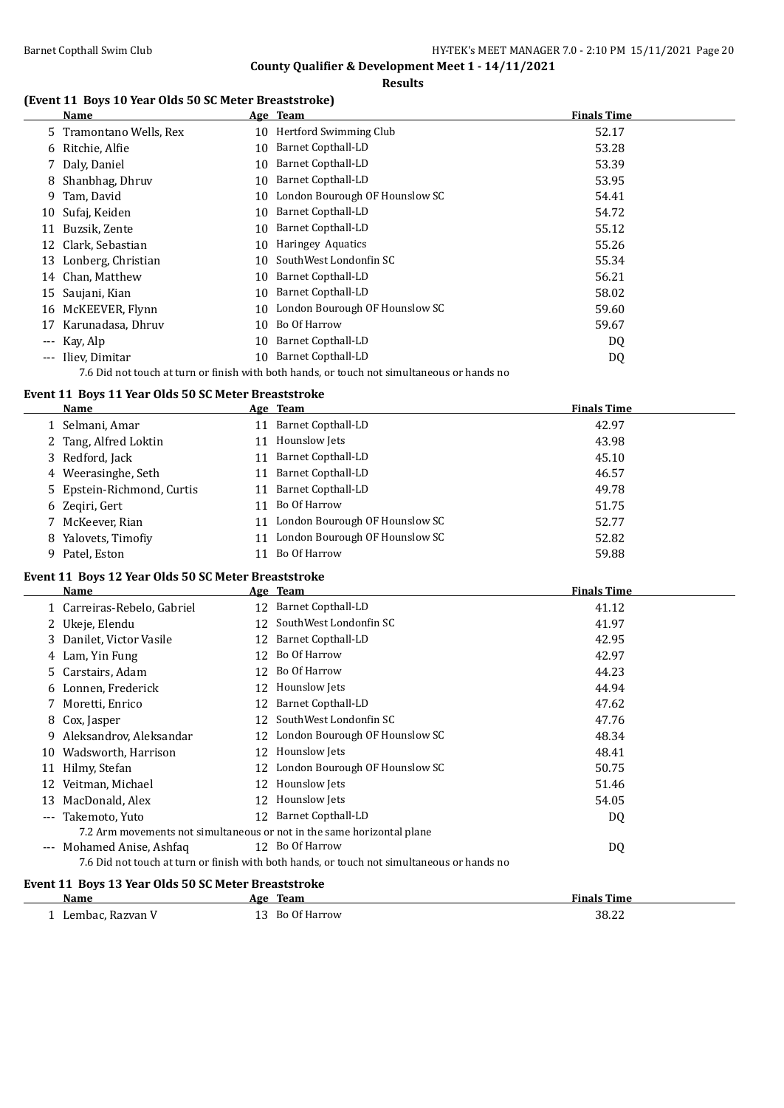**County Qualifier & Development Meet 1 - 14/11/2021 Results**

### **(Event 11 Boys 10 Year Olds 50 SC Meter Breaststroke)**

|    | <b>Name</b>             |    | Age Team                                                                                   | <b>Finals Time</b> |
|----|-------------------------|----|--------------------------------------------------------------------------------------------|--------------------|
|    | 5 Tramontano Wells, Rex |    | 10 Hertford Swimming Club                                                                  | 52.17              |
|    | 6 Ritchie, Alfie        | 10 | <b>Barnet Copthall-LD</b>                                                                  | 53.28              |
|    | 7 Daly, Daniel          | 10 | <b>Barnet Copthall-LD</b>                                                                  | 53.39              |
| 8  | Shanbhag, Dhruv         | 10 | <b>Barnet Copthall-LD</b>                                                                  | 53.95              |
| 9. | Tam, David              | 10 | London Bourough OF Hounslow SC                                                             | 54.41              |
| 10 | Sufaj, Keiden           | 10 | <b>Barnet Copthall-LD</b>                                                                  | 54.72              |
| 11 | Buzsik, Zente           | 10 | <b>Barnet Copthall-LD</b>                                                                  | 55.12              |
| 12 | Clark, Sebastian        | 10 | <b>Haringey Aquatics</b>                                                                   | 55.26              |
| 13 | Lonberg, Christian      | 10 | SouthWest Londonfin SC                                                                     | 55.34              |
|    | 14 Chan, Matthew        | 10 | Barnet Copthall-LD                                                                         | 56.21              |
| 15 | Saujani, Kian           | 10 | <b>Barnet Copthall-LD</b>                                                                  | 58.02              |
| 16 | McKEEVER, Flynn         | 10 | London Bourough OF Hounslow SC                                                             | 59.60              |
| 17 | Karunadasa, Dhruv       | 10 | Bo Of Harrow                                                                               | 59.67              |
|    | --- Kay, Alp            | 10 | Barnet Copthall-LD                                                                         | DQ                 |
|    | --- Iliev, Dimitar      | 10 | Barnet Copthall-LD                                                                         | DQ                 |
|    |                         |    | 7.6 Did not touch at turn or finish with both hands, or touch not simultaneous or hands no |                    |

### **Event 11 Boys 11 Year Olds 50 SC Meter Breaststroke**

| <b>Name</b>                | Age Team |                                | <b>Finals Time</b> |
|----------------------------|----------|--------------------------------|--------------------|
| 1 Selmani, Amar            |          | 11 Barnet Copthall-LD          | 42.97              |
| 2 Tang, Alfred Loktin      |          | 11 Hounslow Jets               | 43.98              |
| 3 Redford, Jack            |          | 11 Barnet Copthall-LD          | 45.10              |
| 4 Weerasinghe, Seth        | 11       | Barnet Copthall-LD             | 46.57              |
| 5 Epstein-Richmond, Curtis |          | 11 Barnet Copthall-LD          | 49.78              |
| 6 Zegiri, Gert             |          | 11 Bo Of Harrow                | 51.75              |
| 7 McKeever, Rian           | 11       | London Bourough OF Hounslow SC | 52.77              |
| 8 Yalovets, Timofiy        | 11       | London Bourough OF Hounslow SC | 52.82              |
| 9 Patel, Eston             |          | Bo Of Harrow                   | 59.88              |

### **Event 11 Boys 12 Year Olds 50 SC Meter Breaststroke**

|       | <b>Name</b>                                                            |    | Age Team                                                                                   | <b>Finals Time</b> |
|-------|------------------------------------------------------------------------|----|--------------------------------------------------------------------------------------------|--------------------|
|       | 1 Carreiras-Rebelo, Gabriel                                            | 12 | <b>Barnet Copthall-LD</b>                                                                  | 41.12              |
| 2     | Ukeje, Elendu                                                          | 12 | SouthWest Londonfin SC                                                                     | 41.97              |
| 3.    | Danilet, Victor Vasile                                                 | 12 | Barnet Copthall-LD                                                                         | 42.95              |
| 4     | Lam, Yin Fung                                                          | 12 | Bo Of Harrow                                                                               | 42.97              |
| 5     | Carstairs, Adam                                                        | 12 | Bo Of Harrow                                                                               | 44.23              |
|       | 6 Lonnen, Frederick                                                    | 12 | Hounslow Jets                                                                              | 44.94              |
|       | 7 Moretti, Enrico                                                      | 12 | <b>Barnet Copthall-LD</b>                                                                  | 47.62              |
|       | 8 Cox, Jasper                                                          | 12 | SouthWest Londonfin SC                                                                     | 47.76              |
| 9     | Aleksandrov, Aleksandar                                                | 12 | London Bourough OF Hounslow SC                                                             | 48.34              |
| 10    | Wadsworth, Harrison                                                    | 12 | Hounslow Jets                                                                              | 48.41              |
| 11    | Hilmy, Stefan                                                          | 12 | London Bourough OF Hounslow SC                                                             | 50.75              |
| 12    | Veitman, Michael                                                       | 12 | Hounslow Jets                                                                              | 51.46              |
| 13    | MacDonald, Alex                                                        | 12 | Hounslow Jets                                                                              | 54.05              |
| ---   | Takemoto, Yuto                                                         | 12 | Barnet Copthall-LD                                                                         | DQ                 |
|       | 7.2 Arm movements not simultaneous or not in the same horizontal plane |    |                                                                                            |                    |
| $---$ | Mohamed Anise, Ashfaq                                                  |    | 12 Bo Of Harrow                                                                            | DQ                 |
|       |                                                                        |    | 7.6 Did not touch at turn or finish with both hands, or touch not simultaneous or hands no |                    |
|       | Event 11 Boys 13 Year Olds 50 SC Meter Breaststroke                    |    |                                                                                            |                    |
|       | Name                                                                   |    | Age Team                                                                                   | <b>Finals Time</b> |
|       | 1 Lembac, Razvan V                                                     |    | 13 Bo Of Harrow                                                                            | 38.22              |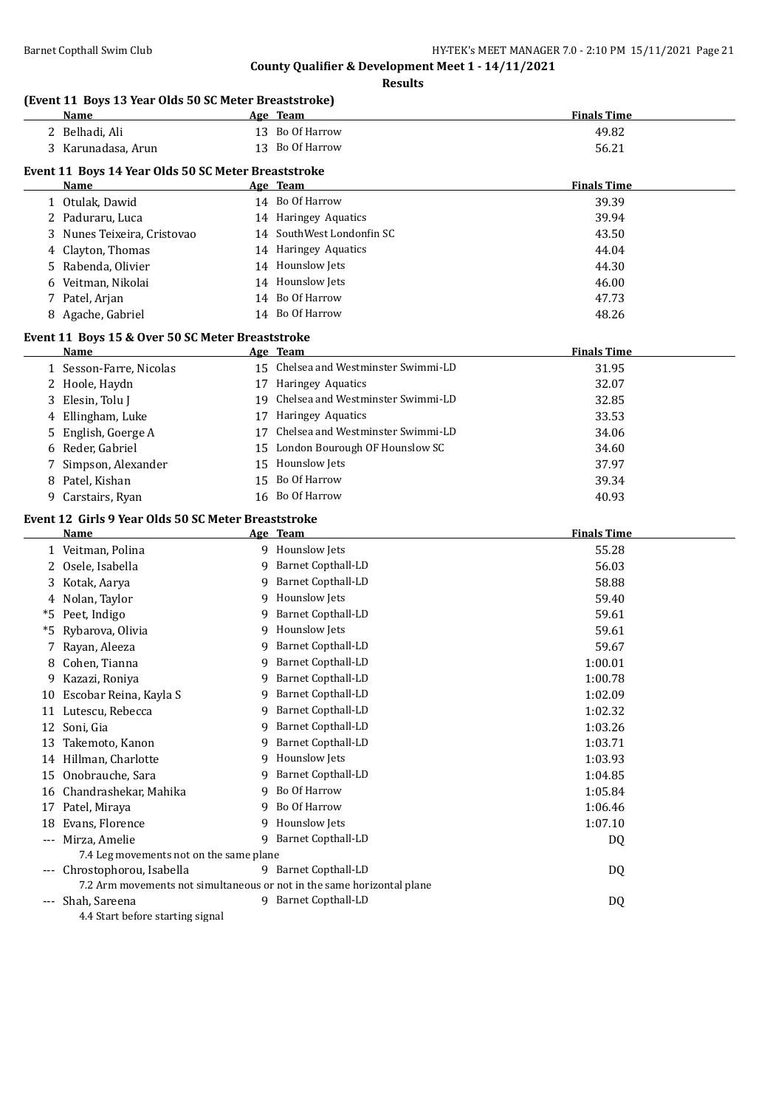**Results**

#### **(Event 11 Boys 13 Year Olds 50 SC Meter Breaststroke)**

| <b>Name</b>             |                                                                                                                                                                             |                                   | <b>Finals Time</b>                                                                                                                                                                                                                                                                                                                                                                                                                                                                                                                                                                                                                                                                                                         |
|-------------------------|-----------------------------------------------------------------------------------------------------------------------------------------------------------------------------|-----------------------------------|----------------------------------------------------------------------------------------------------------------------------------------------------------------------------------------------------------------------------------------------------------------------------------------------------------------------------------------------------------------------------------------------------------------------------------------------------------------------------------------------------------------------------------------------------------------------------------------------------------------------------------------------------------------------------------------------------------------------------|
| 2 Belhadi, Ali          |                                                                                                                                                                             |                                   | 49.82                                                                                                                                                                                                                                                                                                                                                                                                                                                                                                                                                                                                                                                                                                                      |
| 3 Karunadasa, Arun      |                                                                                                                                                                             |                                   | 56.21                                                                                                                                                                                                                                                                                                                                                                                                                                                                                                                                                                                                                                                                                                                      |
|                         |                                                                                                                                                                             |                                   | <b>Finals Time</b>                                                                                                                                                                                                                                                                                                                                                                                                                                                                                                                                                                                                                                                                                                         |
|                         |                                                                                                                                                                             |                                   | 39.39                                                                                                                                                                                                                                                                                                                                                                                                                                                                                                                                                                                                                                                                                                                      |
|                         |                                                                                                                                                                             |                                   | 39.94                                                                                                                                                                                                                                                                                                                                                                                                                                                                                                                                                                                                                                                                                                                      |
|                         |                                                                                                                                                                             |                                   | 43.50                                                                                                                                                                                                                                                                                                                                                                                                                                                                                                                                                                                                                                                                                                                      |
|                         |                                                                                                                                                                             |                                   | 44.04                                                                                                                                                                                                                                                                                                                                                                                                                                                                                                                                                                                                                                                                                                                      |
|                         |                                                                                                                                                                             |                                   |                                                                                                                                                                                                                                                                                                                                                                                                                                                                                                                                                                                                                                                                                                                            |
|                         |                                                                                                                                                                             |                                   | 44.30                                                                                                                                                                                                                                                                                                                                                                                                                                                                                                                                                                                                                                                                                                                      |
|                         |                                                                                                                                                                             |                                   | 46.00                                                                                                                                                                                                                                                                                                                                                                                                                                                                                                                                                                                                                                                                                                                      |
|                         |                                                                                                                                                                             |                                   | 47.73                                                                                                                                                                                                                                                                                                                                                                                                                                                                                                                                                                                                                                                                                                                      |
|                         |                                                                                                                                                                             |                                   | 48.26                                                                                                                                                                                                                                                                                                                                                                                                                                                                                                                                                                                                                                                                                                                      |
|                         |                                                                                                                                                                             |                                   |                                                                                                                                                                                                                                                                                                                                                                                                                                                                                                                                                                                                                                                                                                                            |
| <b>Name</b>             |                                                                                                                                                                             |                                   | <b>Finals Time</b>                                                                                                                                                                                                                                                                                                                                                                                                                                                                                                                                                                                                                                                                                                         |
| 1 Sesson-Farre, Nicolas |                                                                                                                                                                             |                                   | 31.95                                                                                                                                                                                                                                                                                                                                                                                                                                                                                                                                                                                                                                                                                                                      |
| Hoole, Haydn            | 17                                                                                                                                                                          | Haringey Aquatics                 | 32.07                                                                                                                                                                                                                                                                                                                                                                                                                                                                                                                                                                                                                                                                                                                      |
| Elesin, Tolu J          | 19                                                                                                                                                                          |                                   | 32.85                                                                                                                                                                                                                                                                                                                                                                                                                                                                                                                                                                                                                                                                                                                      |
| Ellingham, Luke         | 17                                                                                                                                                                          |                                   | 33.53                                                                                                                                                                                                                                                                                                                                                                                                                                                                                                                                                                                                                                                                                                                      |
| English, Goerge A       | 17                                                                                                                                                                          | Chelsea and Westminster Swimmi-LD | 34.06                                                                                                                                                                                                                                                                                                                                                                                                                                                                                                                                                                                                                                                                                                                      |
| Reder, Gabriel          | 15                                                                                                                                                                          |                                   | 34.60                                                                                                                                                                                                                                                                                                                                                                                                                                                                                                                                                                                                                                                                                                                      |
| Simpson, Alexander      | 15                                                                                                                                                                          |                                   | 37.97                                                                                                                                                                                                                                                                                                                                                                                                                                                                                                                                                                                                                                                                                                                      |
| Patel, Kishan           | 15                                                                                                                                                                          | Bo Of Harrow                      | 39.34                                                                                                                                                                                                                                                                                                                                                                                                                                                                                                                                                                                                                                                                                                                      |
| Carstairs, Ryan         |                                                                                                                                                                             |                                   | 40.93                                                                                                                                                                                                                                                                                                                                                                                                                                                                                                                                                                                                                                                                                                                      |
|                         |                                                                                                                                                                             |                                   |                                                                                                                                                                                                                                                                                                                                                                                                                                                                                                                                                                                                                                                                                                                            |
| Name                    |                                                                                                                                                                             |                                   | <b>Finals Time</b>                                                                                                                                                                                                                                                                                                                                                                                                                                                                                                                                                                                                                                                                                                         |
| 1 Veitman, Polina       |                                                                                                                                                                             |                                   | 55.28                                                                                                                                                                                                                                                                                                                                                                                                                                                                                                                                                                                                                                                                                                                      |
| Osele, Isabella         | 9                                                                                                                                                                           | Barnet Copthall-LD                | 56.03                                                                                                                                                                                                                                                                                                                                                                                                                                                                                                                                                                                                                                                                                                                      |
| Kotak, Aarya            | 9                                                                                                                                                                           |                                   | 58.88                                                                                                                                                                                                                                                                                                                                                                                                                                                                                                                                                                                                                                                                                                                      |
|                         |                                                                                                                                                                             |                                   |                                                                                                                                                                                                                                                                                                                                                                                                                                                                                                                                                                                                                                                                                                                            |
|                         | <b>Name</b><br>1 Otulak, Dawid<br>Paduraru, Luca<br>Nunes Teixeira, Cristovao<br>Clayton, Thomas<br>Rabenda, Olivier<br>Veitman, Nikolai<br>Patel, Arjan<br>Agache, Gabriel |                                   | (Event 11 Boys 13 Year Olds 50 SC Meter Breaststroke)<br>Age Team<br>13 Bo Of Harrow<br>13 Bo Of Harrow<br>Event 11 Boys 14 Year Olds 50 SC Meter Breaststroke<br>Age Team<br>14 Bo Of Harrow<br>14 Haringey Aquatics<br>14 SouthWest Londonfin SC<br>14 Haringey Aquatics<br>14 Hounslow Jets<br>14 Hounslow Jets<br>14 Bo Of Harrow<br>14 Bo Of Harrow<br>Event 11 Boys 15 & Over 50 SC Meter Breaststroke<br>Age Team<br>15 Chelsea and Westminster Swimmi-LD<br>Chelsea and Westminster Swimmi-LD<br><b>Haringey Aquatics</b><br>London Bourough OF Hounslow SC<br>Hounslow Jets<br>16 Bo Of Harrow<br>Event 12 Girls 9 Year Olds 50 SC Meter Breaststroke<br>Age Team<br>9 Hounslow Jets<br><b>Barnet Copthall-LD</b> |

|          | $110$ turn is $101$ y to                                               |   |                           |         |
|----------|------------------------------------------------------------------------|---|---------------------------|---------|
|          | Nolan, Taylor                                                          | 9 | Hounslow Jets             | 59.40   |
| *5       | Peet, Indigo                                                           | 9 | Barnet Copthall-LD        | 59.61   |
| *5.      | Rybarova, Olivia                                                       | 9 | Hounslow Jets             | 59.61   |
|          | 7 Rayan, Aleeza                                                        |   | 9 Barnet Copthall-LD      | 59.67   |
| 8        | Cohen, Tianna                                                          | 9 | <b>Barnet Copthall-LD</b> | 1:00.01 |
| 9        | Kazazi, Roniya                                                         | 9 | <b>Barnet Copthall-LD</b> | 1:00.78 |
|          | 10 Escobar Reina, Kayla S                                              | q | Barnet Copthall-LD        | 1:02.09 |
| 11       | Lutescu, Rebecca                                                       | 9 | <b>Barnet Copthall-LD</b> | 1:02.32 |
|          | 12 Soni, Gia                                                           | 9 | Barnet Copthall-LD        | 1:03.26 |
| 13       | Takemoto, Kanon                                                        | 9 | <b>Barnet Copthall-LD</b> | 1:03.71 |
| 14       | Hillman, Charlotte                                                     | 9 | Hounslow Jets             | 1:03.93 |
| 15       | Onobrauche, Sara                                                       | 9 | <b>Barnet Copthall-LD</b> | 1:04.85 |
| 16       | Chandrashekar, Mahika                                                  |   | 9 Bo Of Harrow            | 1:05.84 |
| 17       | Patel, Miraya                                                          | 9 | Bo Of Harrow              | 1:06.46 |
| 18       | Evans, Florence                                                        | 9 | Hounslow Jets             | 1:07.10 |
| $\cdots$ | Mirza, Amelie                                                          | 9 | <b>Barnet Copthall-LD</b> | DQ      |
|          | 7.4 Leg movements not on the same plane                                |   |                           |         |
|          | Chrostophorou, Isabella                                                |   | 9 Barnet Copthall-LD      | DQ      |
|          | 7.2 Arm movements not simultaneous or not in the same horizontal plane |   |                           |         |
| ---      | Shah, Sareena                                                          | 9 | <b>Barnet Copthall-LD</b> | DQ      |
|          | 4.4 Start before starting signal                                       |   |                           |         |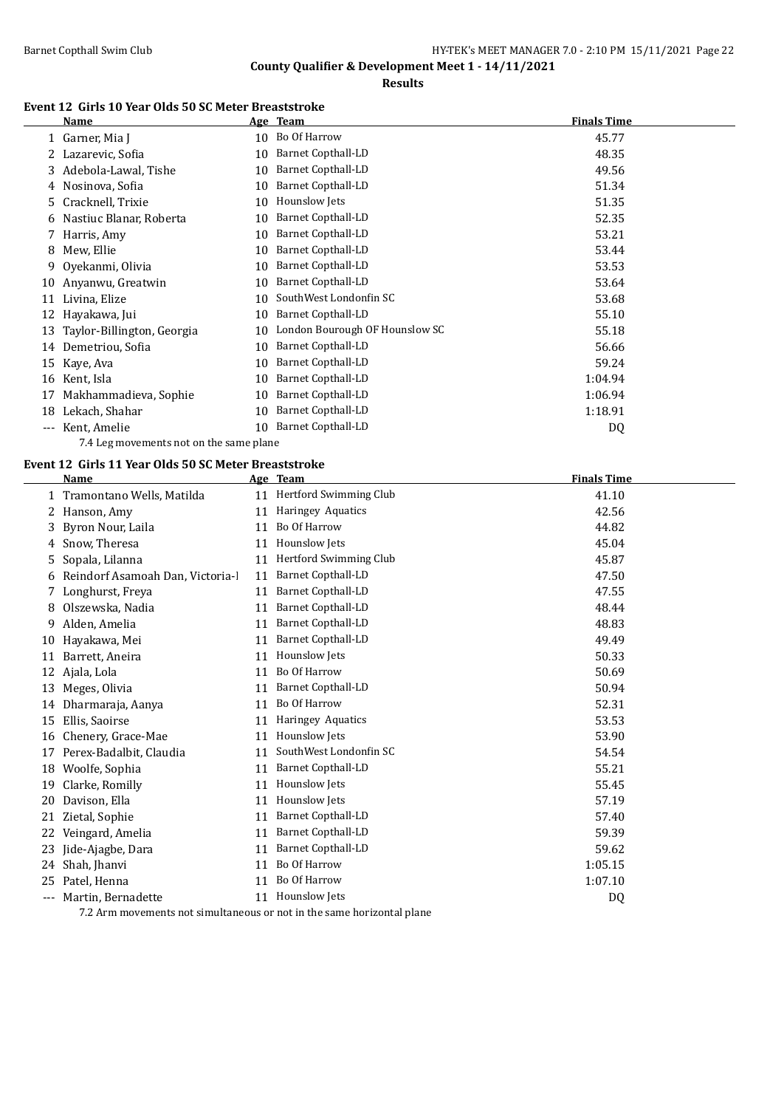**Results**

#### **Event 12 Girls 10 Year Olds 50 SC Meter Breaststroke**

|       | Name                       |    | Age Team                       | <b>Finals Time</b> |
|-------|----------------------------|----|--------------------------------|--------------------|
|       | 1 Garner, Mia J            | 10 | Bo Of Harrow                   | 45.77              |
|       | Lazarevic, Sofia           | 10 | <b>Barnet Copthall-LD</b>      | 48.35              |
| 3.    | Adebola-Lawal, Tishe       | 10 | Barnet Copthall-LD             | 49.56              |
| 4     | Nosinova, Sofia            | 10 | <b>Barnet Copthall-LD</b>      | 51.34              |
| 5.    | Cracknell, Trixie          | 10 | Hounslow Jets                  | 51.35              |
| 6     | Nastiuc Blanar, Roberta    | 10 | Barnet Copthall-LD             | 52.35              |
|       | Harris, Amy                | 10 | <b>Barnet Copthall-LD</b>      | 53.21              |
| 8     | Mew, Ellie                 | 10 | Barnet Copthall-LD             | 53.44              |
| 9.    | Ovekanmi, Olivia           | 10 | <b>Barnet Copthall-LD</b>      | 53.53              |
| 10    | Anyanwu, Greatwin          | 10 | Barnet Copthall-LD             | 53.64              |
| 11    | Livina, Elize              | 10 | SouthWest Londonfin SC         | 53.68              |
| 12    | Hayakawa, Jui              | 10 | Barnet Copthall-LD             | 55.10              |
| 13    | Taylor-Billington, Georgia | 10 | London Bourough OF Hounslow SC | 55.18              |
| 14    | Demetriou, Sofia           | 10 | Barnet Copthall-LD             | 56.66              |
| 15    | Kaye, Ava                  | 10 | <b>Barnet Copthall-LD</b>      | 59.24              |
| 16    | Kent, Isla                 | 10 | <b>Barnet Copthall-LD</b>      | 1:04.94            |
| 17    | Makhammadieva, Sophie      | 10 | Barnet Copthall-LD             | 1:06.94            |
| 18    | Lekach, Shahar             | 10 | <b>Barnet Copthall-LD</b>      | 1:18.91            |
| $---$ | Kent, Amelie               | 10 | <b>Barnet Copthall-LD</b>      | DQ                 |

7.4 Leg movements not on the same plane

# **Event 12 Girls 11 Year Olds 50 SC Meter Breaststroke**

|     | Name                             |    | Age Team                      | <b>Finals Time</b> |
|-----|----------------------------------|----|-------------------------------|--------------------|
|     | 1 Tramontano Wells, Matilda      |    | 11 Hertford Swimming Club     | 41.10              |
| 2   | Hanson, Amy                      | 11 | Haringey Aquatics             | 42.56              |
| 3   | Byron Nour, Laila                | 11 | Bo Of Harrow                  | 44.82              |
| 4   | Snow, Theresa                    | 11 | Hounslow Jets                 | 45.04              |
| 5   | Sopala, Lilanna                  | 11 | <b>Hertford Swimming Club</b> | 45.87              |
| 6   | Reindorf Asamoah Dan, Victoria-l | 11 | <b>Barnet Copthall-LD</b>     | 47.50              |
| 7   | Longhurst, Freya                 | 11 | Barnet Copthall-LD            | 47.55              |
| 8   | Olszewska, Nadia                 | 11 | <b>Barnet Copthall-LD</b>     | 48.44              |
| 9   | Alden, Amelia                    | 11 | <b>Barnet Copthall-LD</b>     | 48.83              |
| 10  | Hayakawa, Mei                    | 11 | <b>Barnet Copthall-LD</b>     | 49.49              |
| 11  | Barrett, Aneira                  | 11 | Hounslow Jets                 | 50.33              |
| 12  | Ajala, Lola                      | 11 | <b>Bo Of Harrow</b>           | 50.69              |
| 13  | Meges, Olivia                    | 11 | <b>Barnet Copthall-LD</b>     | 50.94              |
| 14  | Dharmaraja, Aanya                | 11 | <b>Bo Of Harrow</b>           | 52.31              |
| 15  | Ellis, Saoirse                   | 11 | Haringey Aquatics             | 53.53              |
| 16  | Chenery, Grace-Mae               | 11 | Hounslow Jets                 | 53.90              |
| 17  | Perex-Badalbit, Claudia          | 11 | SouthWest Londonfin SC        | 54.54              |
| 18  | Woolfe, Sophia                   | 11 | <b>Barnet Copthall-LD</b>     | 55.21              |
| 19  | Clarke, Romilly                  | 11 | Hounslow Jets                 | 55.45              |
| 20  | Davison, Ella                    | 11 | Hounslow Jets                 | 57.19              |
| 21  | Zietal, Sophie                   | 11 | <b>Barnet Copthall-LD</b>     | 57.40              |
| 22  | Veingard, Amelia                 | 11 | <b>Barnet Copthall-LD</b>     | 59.39              |
| 23  | Jide-Ajagbe, Dara                | 11 | <b>Barnet Copthall-LD</b>     | 59.62              |
| 24  | Shah, Jhanvi                     | 11 | Bo Of Harrow                  | 1:05.15            |
| 25  | Patel, Henna                     | 11 | <b>Bo Of Harrow</b>           | 1:07.10            |
| --- | Martin, Bernadette               | 11 | Hounslow Jets                 | DQ                 |

7.2 Arm movements not simultaneous or not in the same horizontal plane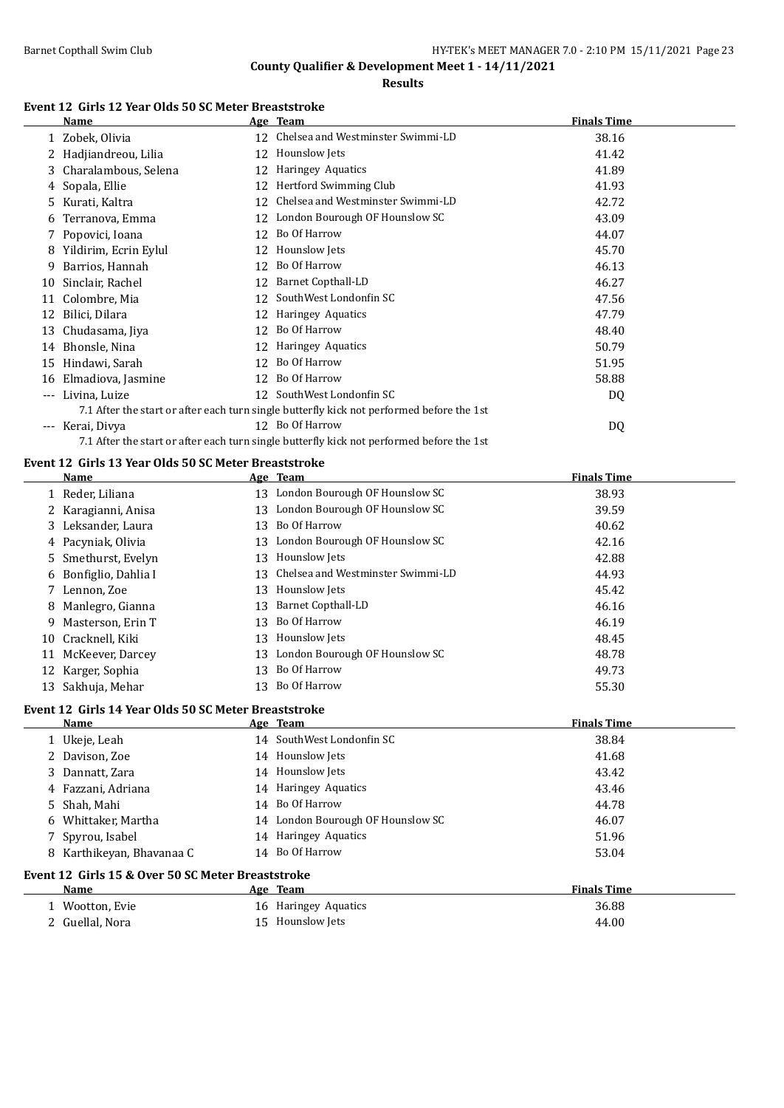**Results**

### **Event 12 Girls 12 Year Olds 50 SC Meter Breaststroke**

|                     | <b>Name</b>                                          |                 | Age Team                                                                                  | <b>Finals Time</b> |
|---------------------|------------------------------------------------------|-----------------|-------------------------------------------------------------------------------------------|--------------------|
|                     | 1 Zobek, Olivia                                      | 12              | Chelsea and Westminster Swimmi-LD                                                         | 38.16              |
|                     | Hadjiandreou, Lilia                                  | 12              | Hounslow Jets                                                                             | 41.42              |
| 3                   | Charalambous, Selena                                 | 12              | Haringey Aquatics                                                                         | 41.89              |
| 4                   | Sopala, Ellie                                        | 12              | Hertford Swimming Club                                                                    | 41.93              |
| 5.                  | Kurati, Kaltra                                       | 12              | Chelsea and Westminster Swimmi-LD                                                         | 42.72              |
| 6                   | Terranova, Emma                                      | 12              | London Bourough OF Hounslow SC                                                            | 43.09              |
|                     | Popovici, Ioana                                      | 12              | Bo Of Harrow                                                                              | 44.07              |
| 8                   | Yildirim, Ecrin Eylul                                | 12              | Hounslow Jets                                                                             | 45.70              |
| 9                   | Barrios, Hannah                                      | 12              | Bo Of Harrow                                                                              | 46.13              |
| 10                  | Sinclair, Rachel                                     | 12              | Barnet Copthall-LD                                                                        | 46.27              |
| 11                  | Colombre, Mia                                        | 12              | SouthWest Londonfin SC                                                                    | 47.56              |
| 12                  | Bilici, Dilara                                       | 12              | Haringey Aquatics                                                                         | 47.79              |
| 13                  | Chudasama, Jiya                                      | 12              | Bo Of Harrow                                                                              | 48.40              |
| 14                  | Bhonsle, Nina                                        | 12              | Haringey Aquatics                                                                         | 50.79              |
| 15                  | Hindawi, Sarah                                       | 12              | Bo Of Harrow                                                                              | 51.95              |
| 16                  | Elmadiova, Jasmine                                   | 12              | Bo Of Harrow                                                                              | 58.88              |
| ---                 | Livina, Luize                                        | 12 <sup>°</sup> | SouthWest Londonfin SC                                                                    | DQ                 |
|                     |                                                      |                 | 7.1 After the start or after each turn single butterfly kick not performed before the 1st |                    |
| $\qquad \qquad - -$ | Kerai, Divya                                         |                 | 12 Bo Of Harrow                                                                           | DQ                 |
|                     |                                                      |                 | 7.1 After the start or after each turn single butterfly kick not performed before the 1st |                    |
|                     | Event 12 Girls 13 Year Olds 50 SC Meter Breaststroke |                 |                                                                                           |                    |
|                     | Name                                                 |                 | Age Team                                                                                  | <b>Finals Time</b> |

|    | Name                  |    | лее теаш                          | гицанэ гипе |
|----|-----------------------|----|-----------------------------------|-------------|
|    | 1 Reder, Liliana      |    | 13 London Bourough OF Hounslow SC | 38.93       |
|    | 2 Karagianni, Anisa   | 13 | London Bourough OF Hounslow SC    | 39.59       |
|    | 3 Leksander, Laura    | 13 | Bo Of Harrow                      | 40.62       |
|    | 4 Pacyniak, Olivia    | 13 | London Bourough OF Hounslow SC    | 42.16       |
|    | 5 Smethurst, Evelyn   | 13 | Hounslow Jets                     | 42.88       |
|    | 6 Bonfiglio, Dahlia I | 13 | Chelsea and Westminster Swimmi-LD | 44.93       |
|    | 7 Lennon, Zoe         | 13 | Hounslow Jets                     | 45.42       |
|    | 8 Manlegro, Gianna    | 13 | <b>Barnet Copthall-LD</b>         | 46.16       |
|    | 9 Masterson, Erin T   | 13 | Bo Of Harrow                      | 46.19       |
|    | 10 Cracknell, Kiki    | 13 | Hounslow Jets                     | 48.45       |
| 11 | McKeever, Darcey      | 13 | London Bourough OF Hounslow SC    | 48.78       |
|    | 12 Karger, Sophia     | 13 | Bo Of Harrow                      | 49.73       |
|    | 13 Sakhuja, Mehar     | 13 | Bo Of Harrow                      | 55.30       |

### **Event 12 Girls 14 Year Olds 50 SC Meter Breaststroke**

| Name                                              |  | Age Team                          | <b>Finals Time</b> |  |  |
|---------------------------------------------------|--|-----------------------------------|--------------------|--|--|
| 1 Ukeje, Leah                                     |  | 14 SouthWest Londonfin SC         | 38.84              |  |  |
| 2 Davison, Zoe                                    |  | 14 Hounslow Jets                  | 41.68              |  |  |
| 3 Dannatt, Zara                                   |  | 14 Hounslow Jets                  | 43.42              |  |  |
| 4 Fazzani, Adriana                                |  | 14 Haringey Aquatics              | 43.46              |  |  |
| 5 Shah, Mahi                                      |  | 14 Bo Of Harrow                   | 44.78              |  |  |
| 6 Whittaker, Martha                               |  | 14 London Bourough OF Hounslow SC | 46.07              |  |  |
| 7 Spyrou, Isabel                                  |  | 14 Haringey Aquatics              | 51.96              |  |  |
| 8 Karthikeyan, Bhayanaa C                         |  | 14 Bo Of Harrow                   | 53.04              |  |  |
| Event 12 Girls 15 & Over 50 SC Meter Breaststroke |  |                                   |                    |  |  |

| Name            | Age Team             | <b>Finals Time</b> |
|-----------------|----------------------|--------------------|
| Wootton, Evie   | 16 Haringey Aquatics | 36.88              |
| 2 Guellal, Nora | 15 Hounslow Jets     | 44.00              |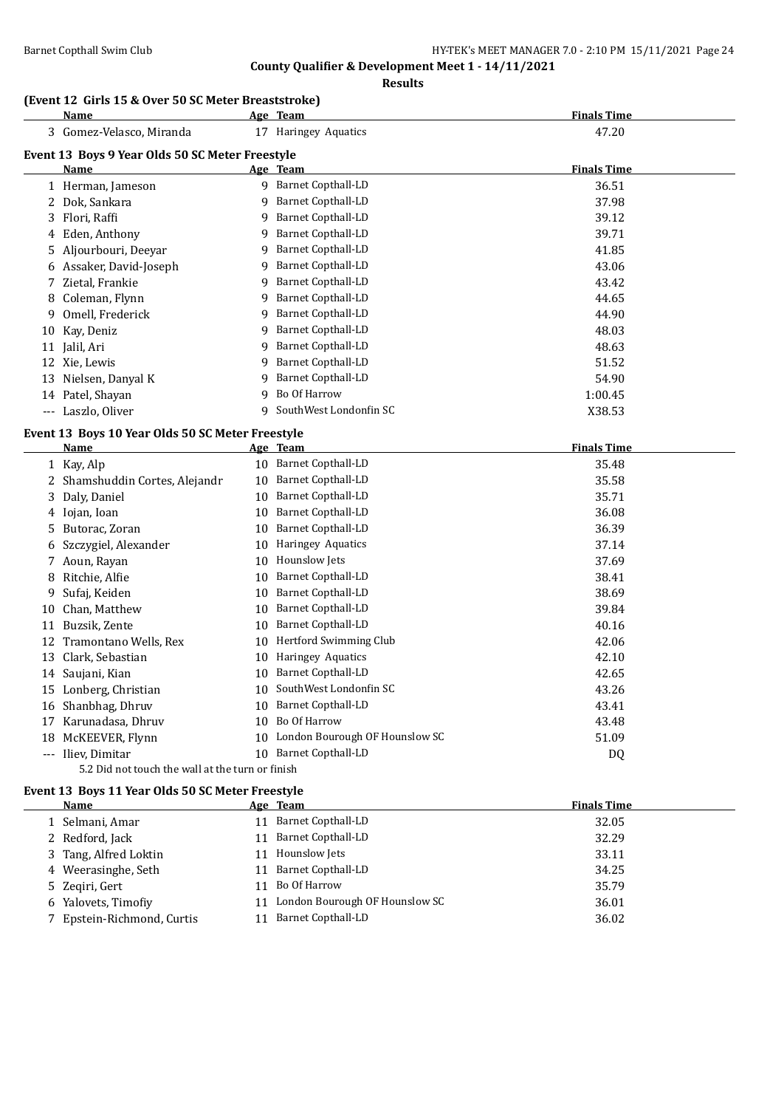### **Results**

### **(Event 12 Girls 15 & Over 50 SC Meter Breaststroke)**

| Name                                             |    | Age Team                       | <b>Finals Time</b> |
|--------------------------------------------------|----|--------------------------------|--------------------|
| 3 Gomez-Velasco, Miranda                         |    | 17 Haringey Aquatics           | 47.20              |
| Event 13 Boys 9 Year Olds 50 SC Meter Freestyle  |    |                                |                    |
| Name                                             |    | Age Team                       | <b>Finals Time</b> |
| 1 Herman, Jameson                                |    | 9 Barnet Copthall-LD           | 36.51              |
| 2 Dok, Sankara                                   | 9  | <b>Barnet Copthall-LD</b>      | 37.98              |
| 3 Flori, Raffi                                   | 9  | <b>Barnet Copthall-LD</b>      | 39.12              |
| 4 Eden, Anthony                                  | 9  | <b>Barnet Copthall-LD</b>      | 39.71              |
| Aljourbouri, Deeyar<br>5.                        | 9  | <b>Barnet Copthall-LD</b>      | 41.85              |
| 6 Assaker, David-Joseph                          | 9  | Barnet Copthall-LD             | 43.06              |
| Zietal, Frankie<br>7                             | 9  | <b>Barnet Copthall-LD</b>      | 43.42              |
| Coleman, Flynn<br>8                              | 9  | <b>Barnet Copthall-LD</b>      | 44.65              |
| Omell, Frederick<br>9                            | 9  | <b>Barnet Copthall-LD</b>      | 44.90              |
| 10 Kay, Deniz                                    | 9  | <b>Barnet Copthall-LD</b>      | 48.03              |
| 11 Jalil, Ari                                    | 9  | <b>Barnet Copthall-LD</b>      | 48.63              |
| 12 Xie, Lewis                                    | 9  | Barnet Copthall-LD             | 51.52              |
| Nielsen, Danyal K<br>13                          | 9  | <b>Barnet Copthall-LD</b>      | 54.90              |
| 14 Patel, Shayan                                 | 9  | Bo Of Harrow                   | 1:00.45            |
| --- Laszlo, Oliver                               | 9  | SouthWest Londonfin SC         | X38.53             |
| Event 13 Boys 10 Year Olds 50 SC Meter Freestyle |    |                                |                    |
| <b>Name</b>                                      |    | Age Team                       | <b>Finals Time</b> |
| 1 Kay, Alp                                       |    | 10 Barnet Copthall-LD          | 35.48              |
| 2 Shamshuddin Cortes, Alejandr                   | 10 | <b>Barnet Copthall-LD</b>      | 35.58              |
| 3 Daly, Daniel                                   | 10 | <b>Barnet Copthall-LD</b>      | 35.71              |
| 4 Iojan, Ioan                                    | 10 | <b>Barnet Copthall-LD</b>      | 36.08              |
| 5 Butorac, Zoran                                 | 10 | Barnet Copthall-LD             | 36.39              |
| Szczygiel, Alexander<br>6                        | 10 | Haringey Aquatics              | 37.14              |
| 7 Aoun, Rayan                                    | 10 | Hounslow Jets                  | 37.69              |
| Ritchie, Alfie<br>8                              | 10 | <b>Barnet Copthall-LD</b>      | 38.41              |
| Sufaj, Keiden<br>9                               | 10 | <b>Barnet Copthall-LD</b>      | 38.69              |
| Chan, Matthew<br>10                              | 10 | Barnet Copthall-LD             | 39.84              |
| Buzsik, Zente<br>11                              | 10 | <b>Barnet Copthall-LD</b>      | 40.16              |
| 12 Tramontano Wells, Rex                         | 10 | Hertford Swimming Club         | 42.06              |
| Clark, Sebastian<br>13                           | 10 | Haringey Aquatics              | 42.10              |
| Saujani, Kian<br>14                              | 10 | <b>Barnet Copthall-LD</b>      | 42.65              |
| 15 Lonberg, Christian                            | 10 | SouthWest Londonfin SC         | 43.26              |
| Shanbhag, Dhruv<br>16                            | 10 | <b>Barnet Copthall-LD</b>      | 43.41              |
| 17 Karunadasa, Dhruv                             | 10 | Bo Of Harrow                   | 43.48              |
| 18 McKEEVER, Flynn                               | 10 | London Bourough OF Hounslow SC | 51.09              |
| --- Iliev, Dimitar                               | 10 | <b>Barnet Copthall-LD</b>      | D <sub>Q</sub>     |

5.2 Did not touch the wall at the turn or finish

# **Event 13 Boys 11 Year Olds 50 SC Meter Freestyle**<br>Name Age Team

| Name                       |    | Age Team                       | <b>Finals Time</b> |
|----------------------------|----|--------------------------------|--------------------|
| 1 Selmani, Amar            | 11 | Barnet Copthall-LD             | 32.05              |
| 2 Redford, Jack            | 11 | Barnet Copthall-LD             | 32.29              |
| 3 Tang, Alfred Loktin      | 11 | Hounslow Jets                  | 33.11              |
| 4 Weerasinghe, Seth        | 11 | Barnet Copthall-LD             | 34.25              |
| 5 Zegiri, Gert             | 11 | Bo Of Harrow                   | 35.79              |
| 6 Yalovets, Timofiy        | 11 | London Bourough OF Hounslow SC | 36.01              |
| 7 Epstein-Richmond, Curtis | 11 | Barnet Copthall-LD             | 36.02              |
|                            |    |                                |                    |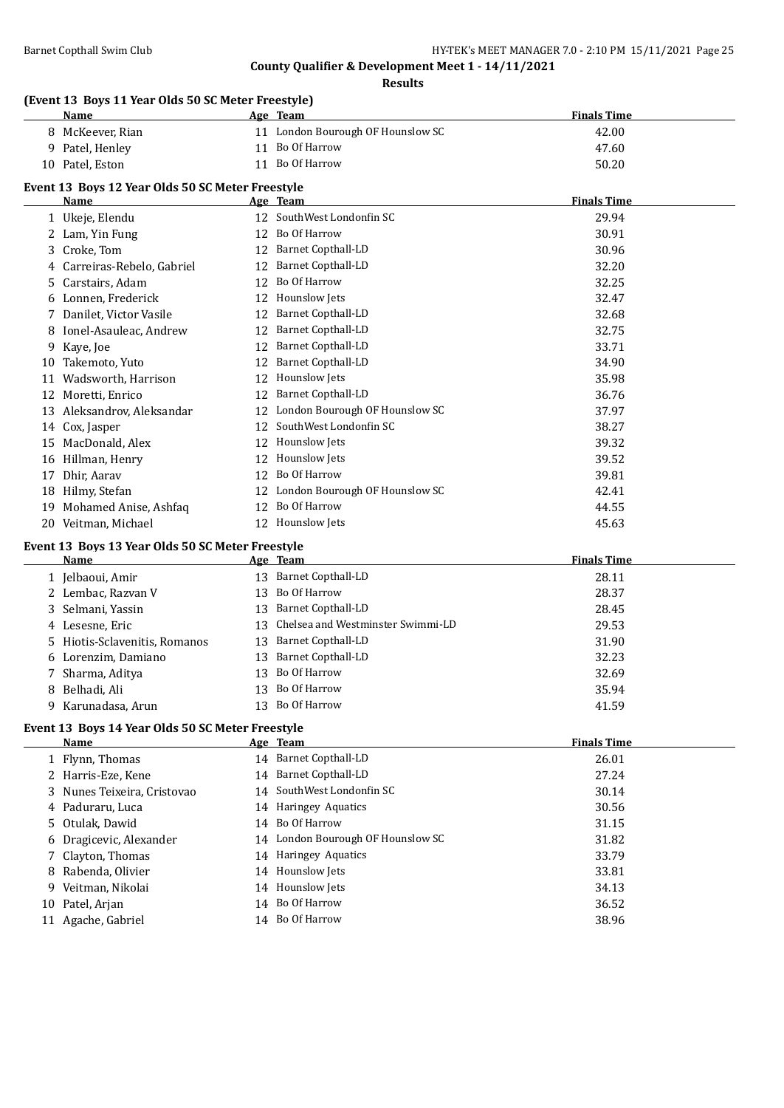**Results**

### **(Event 13 Boys 11 Year Olds 50 SC Meter Freestyle)**

|    | <b>Name</b>                                      |    | Age Team                          | <b>Finals Time</b> |  |
|----|--------------------------------------------------|----|-----------------------------------|--------------------|--|
|    | 8 McKeever, Rian                                 |    | 11 London Bourough OF Hounslow SC | 42.00              |  |
| 9  | Patel, Henley                                    | 11 | Bo Of Harrow                      | 47.60              |  |
| 10 | Patel, Eston                                     | 11 | Bo Of Harrow                      | 50.20              |  |
|    | Event 13 Boys 12 Year Olds 50 SC Meter Freestyle |    |                                   |                    |  |
|    | Name                                             |    | Age Team                          | <b>Finals Time</b> |  |
|    | 1 Ukeje, Elendu                                  |    | SouthWest Londonfin SC            | 29.94              |  |
|    | Lam, Yin Fung                                    | 12 | Bo Of Harrow                      | 30.91              |  |
| 3  | Croke, Tom                                       | 12 | <b>Barnet Copthall-LD</b>         | 30.96              |  |
| 4  | Carreiras-Rebelo, Gabriel                        | 12 | <b>Barnet Copthall-LD</b>         | 32.20              |  |
| 5. | Carstairs, Adam                                  | 12 | Bo Of Harrow                      | 32.25              |  |
| 6  | Lonnen, Frederick                                | 12 | Hounslow Jets                     | 32.47              |  |
|    | Danilet, Victor Vasile                           | 12 | <b>Barnet Copthall-LD</b>         | 32.68              |  |
| 8  | Ionel-Asauleac, Andrew                           | 12 | <b>Barnet Copthall-LD</b>         | 32.75              |  |
| 9  | Kaye, Joe                                        | 12 | <b>Barnet Copthall-LD</b>         | 33.71              |  |
| 10 | Takemoto, Yuto                                   | 12 | <b>Barnet Copthall-LD</b>         | 34.90              |  |
| 11 | Wadsworth, Harrison                              | 12 | Hounslow Jets                     | 35.98              |  |
| 12 | Moretti, Enrico                                  | 12 | <b>Barnet Copthall-LD</b>         | 36.76              |  |
| 13 | Aleksandrov, Aleksandar                          | 12 | London Bourough OF Hounslow SC    | 37.97              |  |
| 14 | Cox, Jasper                                      | 12 | SouthWest Londonfin SC            | 38.27              |  |
| 15 | MacDonald, Alex                                  | 12 | Hounslow Jets                     | 39.32              |  |
| 16 | Hillman, Henry                                   | 12 | Hounslow Jets                     | 39.52              |  |
| 17 | Dhir, Aarav                                      | 12 | Bo Of Harrow                      | 39.81              |  |
| 18 | Hilmy, Stefan                                    | 12 | London Bourough OF Hounslow SC    | 42.41              |  |
| 19 | Mohamed Anise, Ashfaq                            | 12 | Bo Of Harrow                      | 44.55              |  |
| 20 | Veitman, Michael                                 | 12 | <b>Hounslow Jets</b>              | 45.63              |  |

### **Event 13 Boys 13 Year Olds 50 SC Meter Freestyle**

| Name                          |     | Age Team                             | <b>Finals Time</b> |
|-------------------------------|-----|--------------------------------------|--------------------|
| 1 Jelbaoui, Amir              | 13  | Barnet Copthall-LD                   | 28.11              |
| 2 Lembac, Razvan V            |     | 13 Bo Of Harrow                      | 28.37              |
| 3 Selmani, Yassin             | 13. | Barnet Copthall-LD                   | 28.45              |
| 4 Lesesne, Eric               |     | 13 Chelsea and Westminster Swimmi-LD | 29.53              |
| 5 Hiotis-Sclavenitis, Romanos | 13. | Barnet Copthall-LD                   | 31.90              |
| 6 Lorenzim, Damiano           | 13  | <b>Barnet Copthall-LD</b>            | 32.23              |
| 7 Sharma, Aditya              |     | 13 Bo Of Harrow                      | 32.69              |
| 8 Belhadi, Ali                | 13. | Bo Of Harrow                         | 35.94              |
| 9 Karunadasa, Arun            | 13. | Bo Of Harrow                         | 41.59              |

### **Event 13 Boys 14 Year Olds 50 SC Meter Freestyle**

|    | Name                        | Age Team                          | <b>Finals Time</b> |
|----|-----------------------------|-----------------------------------|--------------------|
|    | 1 Flynn, Thomas             | 14 Barnet Copthall-LD             | 26.01              |
|    | 2 Harris-Eze, Kene          | 14 Barnet Copthall-LD             | 27.24              |
|    | 3 Nunes Teixeira, Cristovao | 14 SouthWest Londonfin SC         | 30.14              |
|    | 4 Paduraru, Luca            | 14 Haringey Aquatics              | 30.56              |
|    | 5 Otulak, Dawid             | 14 Bo Of Harrow                   | 31.15              |
|    | 6 Dragicevic, Alexander     | 14 London Bourough OF Hounslow SC | 31.82              |
|    | 7 Clayton, Thomas           | 14 Haringey Aquatics              | 33.79              |
|    | 8 Rabenda, Olivier          | 14 Hounslow Jets                  | 33.81              |
|    | 9 Veitman, Nikolai          | 14 Hounslow Jets                  | 34.13              |
|    | 10 Patel, Arjan             | 14 Bo Of Harrow                   | 36.52              |
| 11 | Agache, Gabriel             | 14 Bo Of Harrow                   | 38.96              |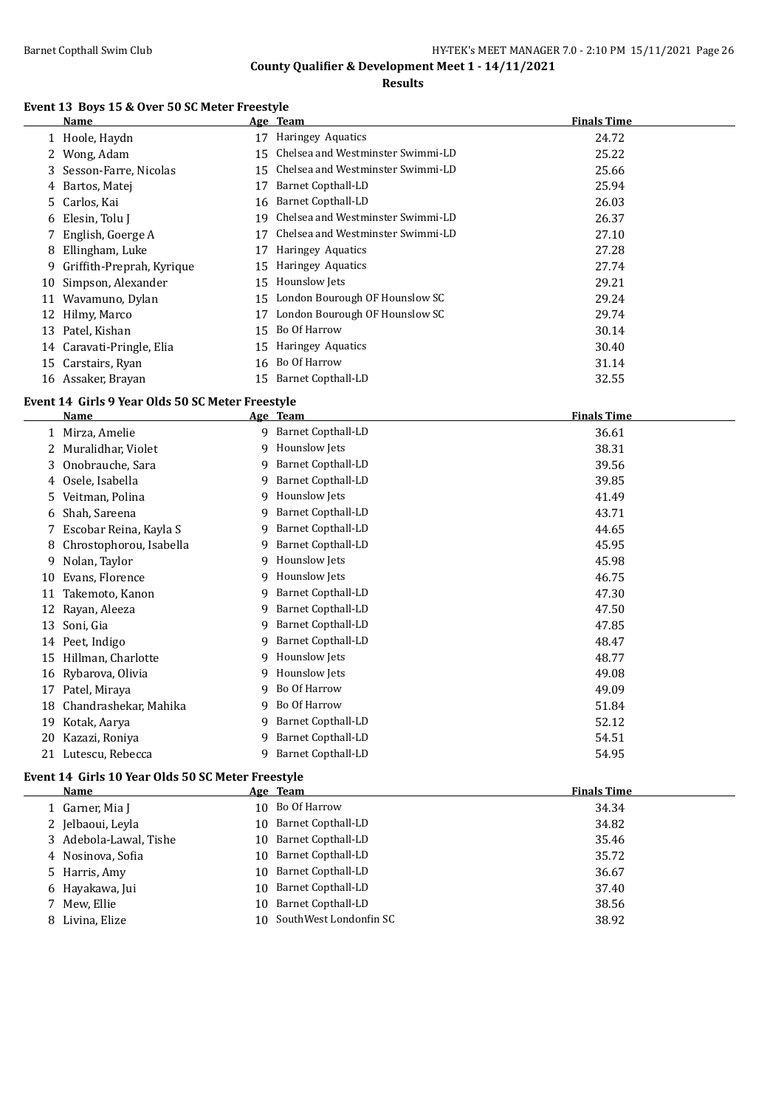$\overline{\phantom{a}}$ 

**County Qualifier & Development Meet 1 - 14/11/2021**

**Results**

### **Event 13 Boys 15 & Over 50 SC Meter Freestyle**

|    | Name                      |    | Age Team                          | <b>Finals Time</b> |
|----|---------------------------|----|-----------------------------------|--------------------|
|    | 1 Hoole, Haydn            | 17 | Haringey Aquatics                 | 24.72              |
|    | 2 Wong, Adam              | 15 | Chelsea and Westminster Swimmi-LD | 25.22              |
|    | 3 Sesson-Farre, Nicolas   | 15 | Chelsea and Westminster Swimmi-LD | 25.66              |
| 4  | Bartos, Matej             | 17 | Barnet Copthall-LD                | 25.94              |
|    | 5 Carlos, Kai             | 16 | Barnet Copthall-LD                | 26.03              |
| 6  | Elesin, Tolu J            | 19 | Chelsea and Westminster Swimmi-LD | 26.37              |
|    | English, Goerge A         | 17 | Chelsea and Westminster Swimmi-LD | 27.10              |
| 8  | Ellingham, Luke           | 17 | Haringey Aquatics                 | 27.28              |
| 9. | Griffith-Preprah, Kyrique | 15 | Haringey Aquatics                 | 27.74              |
|    | 10 Simpson, Alexander     | 15 | Hounslow Jets                     | 29.21              |
|    | 11 Wavamuno, Dylan        | 15 | London Bourough OF Hounslow SC    | 29.24              |
|    | 12 Hilmy, Marco           | 17 | London Bourough OF Hounslow SC    | 29.74              |
|    | 13 Patel, Kishan          | 15 | Bo Of Harrow                      | 30.14              |
|    | 14 Caravati-Pringle, Elia | 15 | Haringey Aquatics                 | 30.40              |
|    | 15 Carstairs, Ryan        | 16 | Bo Of Harrow                      | 31.14              |
|    | 16 Assaker, Brayan        | 15 | Barnet Copthall-LD                | 32.55              |

#### **Event 14 Girls 9 Year Olds 50 SC Meter Freestyle**

|    | <b>Name</b>             |   | Age Team                  | <b>Finals Time</b> |
|----|-------------------------|---|---------------------------|--------------------|
|    | Mirza, Amelie           |   | 9 Barnet Copthall-LD      | 36.61              |
|    | Muralidhar, Violet      | 9 | Hounslow Jets             | 38.31              |
| 3  | Onobrauche, Sara        | 9 | <b>Barnet Copthall-LD</b> | 39.56              |
|    | Osele, Isabella         | 9 | <b>Barnet Copthall-LD</b> | 39.85              |
| 5  | Veitman, Polina         | 9 | Hounslow Jets             | 41.49              |
| 6  | Shah, Sareena           | 9 | <b>Barnet Copthall-LD</b> | 43.71              |
|    | Escobar Reina, Kayla S  | 9 | <b>Barnet Copthall-LD</b> | 44.65              |
|    | Chrostophorou, Isabella | 9 | <b>Barnet Copthall-LD</b> | 45.95              |
| 9  | Nolan, Taylor           | 9 | Hounslow Jets             | 45.98              |
| 10 | Evans, Florence         | 9 | Hounslow Jets             | 46.75              |
| 11 | Takemoto, Kanon         | 9 | <b>Barnet Copthall-LD</b> | 47.30              |
| 12 | Rayan, Aleeza           | 9 | <b>Barnet Copthall-LD</b> | 47.50              |
| 13 | Soni, Gia               | 9 | <b>Barnet Copthall-LD</b> | 47.85              |
| 14 | Peet, Indigo            | 9 | <b>Barnet Copthall-LD</b> | 48.47              |
| 15 | Hillman, Charlotte      | 9 | Hounslow Jets             | 48.77              |
| 16 | Rybarova, Olivia        | 9 | Hounslow Jets             | 49.08              |
| 17 | Patel, Miraya           | 9 | Bo Of Harrow              | 49.09              |
| 18 | Chandrashekar, Mahika   | 9 | Bo Of Harrow              | 51.84              |
| 19 | Kotak, Aarya            | 9 | <b>Barnet Copthall-LD</b> | 52.12              |
| 20 | Kazazi, Roniya          | 9 | <b>Barnet Copthall-LD</b> | 54.51              |
| 21 | Lutescu, Rebecca        | 9 | <b>Barnet Copthall-LD</b> | 54.95              |

### **Event 14 Girls 10 Year Olds 50 SC Meter Freestyle**

| Name                   |     | Age Team                  | <b>Finals Time</b> |
|------------------------|-----|---------------------------|--------------------|
| 1 Garner, Mia J        |     | 10 Bo Of Harrow           | 34.34              |
| 2 Jelbaoui, Leyla      | 10. | Barnet Copthall-LD        | 34.82              |
| 3 Adebola-Lawal, Tishe | 10. | Barnet Copthall-LD        | 35.46              |
| 4 Nosinova, Sofia      | 10. | Barnet Copthall-LD        | 35.72              |
| 5 Harris, Amy          | 10. | Barnet Copthall-LD        | 36.67              |
| 6 Hayakawa, Jui        | 10. | Barnet Copthall-LD        | 37.40              |
| 7 Mew, Ellie           | 10. | Barnet Copthall-LD        | 38.56              |
| 8 Livina, Elize        |     | 10 SouthWest Londonfin SC | 38.92              |
|                        |     |                           |                    |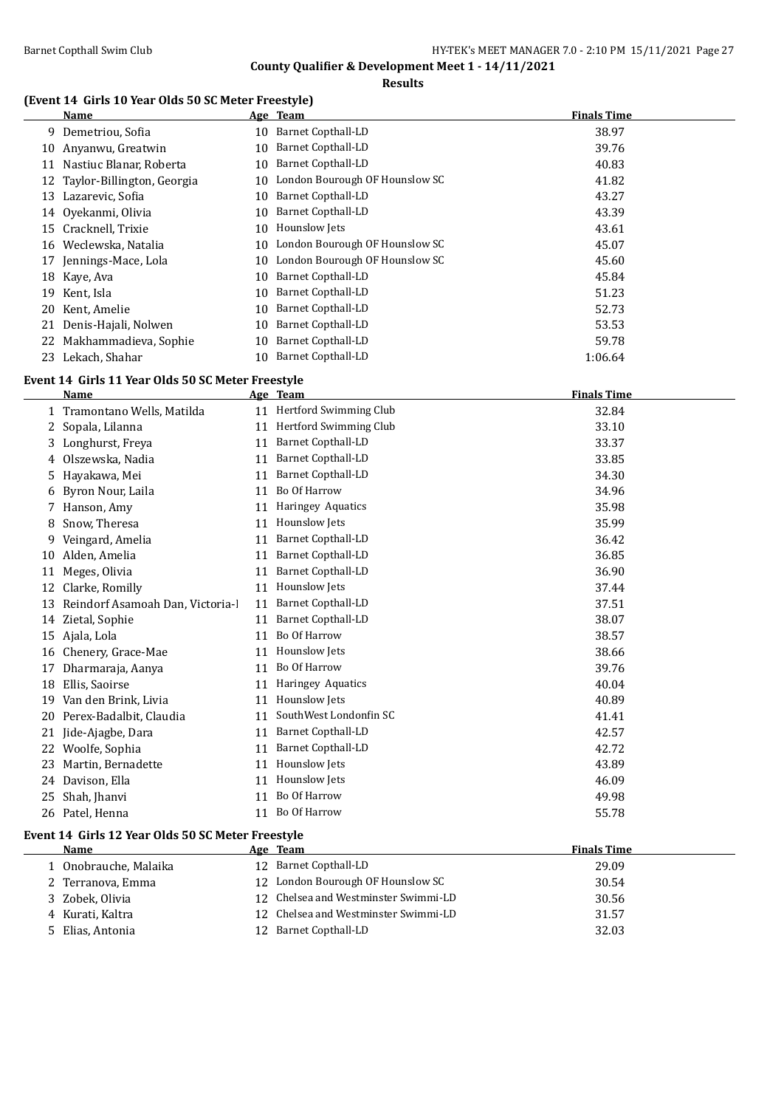**Results**

### **(Event 14 Girls 10 Year Olds 50 SC Meter Freestyle)**

|    | Name                          |    | Age Team                       | <b>Finals Time</b> |  |
|----|-------------------------------|----|--------------------------------|--------------------|--|
| 9. | Demetriou, Sofia              | 10 | <b>Barnet Copthall-LD</b>      | 38.97              |  |
| 10 | Anyanwu, Greatwin             | 10 | <b>Barnet Copthall-LD</b>      | 39.76              |  |
| 11 | Nastiuc Blanar, Roberta       | 10 | <b>Barnet Copthall-LD</b>      | 40.83              |  |
|    | 12 Taylor-Billington, Georgia | 10 | London Bourough OF Hounslow SC | 41.82              |  |
| 13 | Lazarevic, Sofia              | 10 | Barnet Copthall-LD             | 43.27              |  |
| 14 | Oyekanmi, Olivia              | 10 | <b>Barnet Copthall-LD</b>      | 43.39              |  |
|    | 15 Cracknell, Trixie          | 10 | Hounslow Jets                  | 43.61              |  |
| 16 | Weclewska, Natalia            | 10 | London Bourough OF Hounslow SC | 45.07              |  |
| 17 | Jennings-Mace, Lola           | 10 | London Bourough OF Hounslow SC | 45.60              |  |
|    | 18 Kaye, Ava                  | 10 | <b>Barnet Copthall-LD</b>      | 45.84              |  |
| 19 | Kent, Isla                    | 10 | Barnet Copthall-LD             | 51.23              |  |
| 20 | Kent, Amelie                  | 10 | <b>Barnet Copthall-LD</b>      | 52.73              |  |
| 21 | Denis-Hajali, Nolwen          | 10 | <b>Barnet Copthall-LD</b>      | 53.53              |  |
| 22 | Makhammadieva, Sophie         | 10 | <b>Barnet Copthall-LD</b>      | 59.78              |  |
| 23 | Lekach, Shahar                | 10 | <b>Barnet Copthall-LD</b>      | 1:06.64            |  |

### **Event 14 Girls 11 Year Olds 50 SC Meter Freestyle**

|    | Name                            |    | Age Team                  | <b>Finals Time</b> |
|----|---------------------------------|----|---------------------------|--------------------|
|    | Tramontano Wells, Matilda       | 11 | Hertford Swimming Club    | 32.84              |
| 2  | Sopala, Lilanna                 | 11 | Hertford Swimming Club    | 33.10              |
| 3  | Longhurst, Freya                | 11 | <b>Barnet Copthall-LD</b> | 33.37              |
| 4  | Olszewska, Nadia                | 11 | <b>Barnet Copthall-LD</b> | 33.85              |
| 5  | Hayakawa, Mei                   | 11 | <b>Barnet Copthall-LD</b> | 34.30              |
| 6  | Byron Nour, Laila               | 11 | Bo Of Harrow              | 34.96              |
| 7  | Hanson, Amy                     | 11 | Haringey Aquatics         | 35.98              |
| 8  | Snow, Theresa                   | 11 | Hounslow Jets             | 35.99              |
| 9  | Veingard, Amelia                | 11 | <b>Barnet Copthall-LD</b> | 36.42              |
| 10 | Alden, Amelia                   | 11 | <b>Barnet Copthall-LD</b> | 36.85              |
| 11 | Meges, Olivia                   | 11 | <b>Barnet Copthall-LD</b> | 36.90              |
| 12 | Clarke, Romilly                 | 11 | Hounslow Jets             | 37.44              |
| 13 | Reindorf Asamoah Dan, Victoria- | 11 | <b>Barnet Copthall-LD</b> | 37.51              |
| 14 | Zietal, Sophie                  | 11 | <b>Barnet Copthall-LD</b> | 38.07              |
| 15 | Ajala, Lola                     | 11 | <b>Bo Of Harrow</b>       | 38.57              |
| 16 | Chenery, Grace-Mae              | 11 | Hounslow Jets             | 38.66              |
| 17 | Dharmaraja, Aanya               | 11 | <b>Bo Of Harrow</b>       | 39.76              |
| 18 | Ellis, Saoirse                  | 11 | Haringey Aquatics         | 40.04              |
| 19 | Van den Brink, Livia            | 11 | <b>Hounslow Jets</b>      | 40.89              |
| 20 | Perex-Badalbit, Claudia         | 11 | SouthWest Londonfin SC    | 41.41              |
| 21 | Jide-Ajagbe, Dara               | 11 | <b>Barnet Copthall-LD</b> | 42.57              |
| 22 | Woolfe, Sophia                  | 11 | <b>Barnet Copthall-LD</b> | 42.72              |
| 23 | Martin, Bernadette              | 11 | Hounslow Jets             | 43.89              |
| 24 | Davison, Ella                   | 11 | Hounslow Jets             | 46.09              |
| 25 | Shah, Jhanvi                    | 11 | <b>Bo Of Harrow</b>       | 49.98              |
| 26 | Patel, Henna                    | 11 | Bo Of Harrow              | 55.78              |
|    |                                 |    |                           |                    |

### **Event 14 Girls 12 Year Olds 50 SC Meter Freestyle**

| Name                  | Age Team                             | <b>Finals Time</b> |
|-----------------------|--------------------------------------|--------------------|
| 1 Onobrauche, Malaika | 12 Barnet Copthall-LD                | 29.09              |
| 2 Terranova, Emma     | 12 London Bourough OF Hounslow SC    | 30.54              |
| 3 Zobek, Olivia       | 12 Chelsea and Westminster Swimmi-LD | 30.56              |
| 4 Kurati, Kaltra      | 12 Chelsea and Westminster Swimmi-LD | 31.57              |
| 5 Elias, Antonia      | 12 Barnet Copthall-LD                | 32.03              |
|                       |                                      |                    |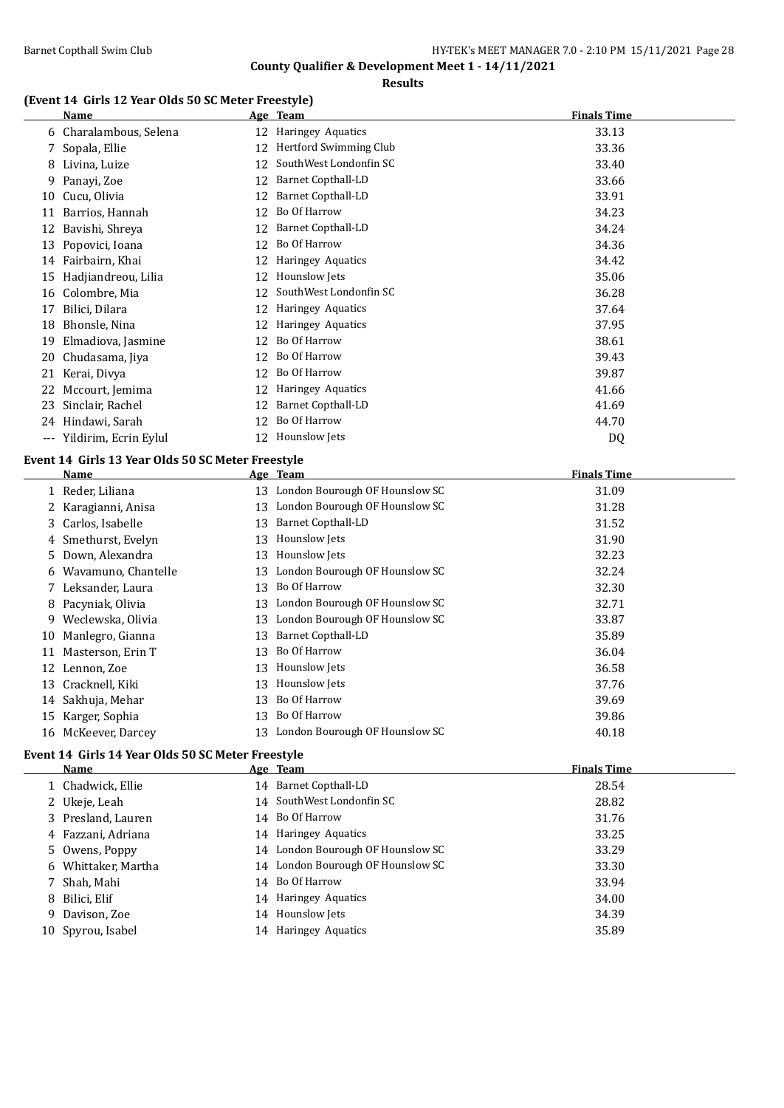### **Results**

### **(Event 14 Girls 12 Year Olds 50 SC Meter Freestyle)**

|    | <b>Name</b>                                       |    | Age Team                          | <b>Finals Time</b> |
|----|---------------------------------------------------|----|-----------------------------------|--------------------|
|    | 6 Charalambous, Selena                            |    | 12 Haringey Aquatics              | 33.13              |
| 7  | Sopala, Ellie                                     | 12 | Hertford Swimming Club            | 33.36              |
| 8  | Livina, Luize                                     | 12 | SouthWest Londonfin SC            | 33.40              |
| 9. | Panayi, Zoe                                       | 12 | <b>Barnet Copthall-LD</b>         | 33.66              |
|    | 10 Cucu, Olivia                                   | 12 | <b>Barnet Copthall-LD</b>         | 33.91              |
| 11 | Barrios, Hannah                                   | 12 | Bo Of Harrow                      | 34.23              |
| 12 | Bavishi, Shreya                                   | 12 | <b>Barnet Copthall-LD</b>         | 34.24              |
| 13 | Popovici, Ioana                                   | 12 | Bo Of Harrow                      | 34.36              |
|    | 14 Fairbairn, Khai                                |    | 12 Haringey Aquatics              | 34.42              |
|    | 15 Hadjiandreou, Lilia                            |    | 12 Hounslow Jets                  | 35.06              |
|    | 16 Colombre, Mia                                  | 12 | SouthWest Londonfin SC            | 36.28              |
| 17 | Bilici, Dilara                                    |    | 12 Haringey Aquatics              | 37.64              |
|    | 18 Bhonsle, Nina                                  |    | 12 Haringey Aquatics              | 37.95              |
| 19 | Elmadiova, Jasmine                                | 12 | Bo Of Harrow                      | 38.61              |
| 20 | Chudasama, Jiya                                   | 12 | Bo Of Harrow                      | 39.43              |
|    | 21 Kerai, Divya                                   | 12 | Bo Of Harrow                      | 39.87              |
| 22 | Mccourt, Jemima                                   | 12 | Haringey Aquatics                 | 41.66              |
|    | 23 Sinclair, Rachel                               | 12 | <b>Barnet Copthall-LD</b>         | 41.69              |
|    | 24 Hindawi, Sarah                                 | 12 | Bo Of Harrow                      | 44.70              |
|    | --- Yildirim, Ecrin Eylul                         |    | 12 Hounslow Jets                  | DQ                 |
|    | Event 14 Girls 13 Year Olds 50 SC Meter Freestyle |    |                                   |                    |
|    | Name                                              |    | Age Team                          | <b>Finals Time</b> |
|    | 1 Reder, Liliana                                  |    | 13 London Bourough OF Hounslow SC | 31.09              |
| 2  | Karagianni, Anisa                                 | 13 | London Bourough OF Hounslow SC    | 31.28              |
| 3  | Carlos, Isabelle                                  | 13 | <b>Barnet Copthall-LD</b>         | 31.52              |
| 4  | Smethurst, Evelyn                                 | 13 | Hounslow Jets                     | 31.90              |
| 5  | Down, Alexandra                                   | 13 | Hounslow Jets                     | 32.23              |
| 6  | Wavamuno, Chantelle                               | 13 | London Bourough OF Hounslow SC    | 32.24              |
| 7  | Leksander, Laura                                  | 13 | Bo Of Harrow                      | 32.30              |
| 8  | Pacyniak, Olivia                                  | 13 | London Bourough OF Hounslow SC    | 32.71              |
|    | 9 Weclewska, Olivia                               | 13 | London Bourough OF Hounslow SC    | 33.87              |
|    | 10 Manlegro, Gianna                               | 13 | <b>Barnet Copthall-LD</b>         | 35.89              |
|    | 11 Masterson, Erin T                              | 13 | Bo Of Harrow                      | 36.04              |
|    | 12 Lennon, Zoe                                    |    | 13 Hounslow Jets                  | 36.58              |
|    | 13 Cracknell, Kiki                                |    | 13 Hounslow Jets                  | 37.76              |
|    | 14 Sakhuja, Mehar                                 |    | 13 Bo Of Harrow                   | 39.69              |
|    | 15 Karger, Sophia                                 |    | 13 Bo Of Harrow                   | 39.86              |
|    | 16 McKeever, Darcey                               |    | 13 London Bourough OF Hounslow SC | 40.18              |
|    | Event 14 Girls 14 Year Olds 50 SC Meter Freestyle |    |                                   |                    |
|    | Name                                              |    | Age Team                          | <b>Finals Time</b> |
|    | 1 Chadwick, Ellie                                 |    | 14 Barnet Copthall-LD             | 28.54              |
|    | 2 Ukeje, Leah                                     |    | 14 SouthWest Londonfin SC         | 28.82              |
|    | 3 Presland, Lauren                                |    | 14 Bo Of Harrow                   | 31.76              |
|    | 4 Fazzani Adriana                                 |    | 14. Haringey Aquatics             | 3375               |

| 4 Fazzani, Adriana  | 14 Haringey Aquatics              | 33.25 |
|---------------------|-----------------------------------|-------|
| 5 Owens, Poppy      | 14 London Bourough OF Hounslow SC | 33.29 |
| 6 Whittaker, Martha | 14 London Bourough OF Hounslow SC | 33.30 |
| 7 Shah, Mahi        | 14 Bo Of Harrow                   | 33.94 |
| 8 Bilici, Elif      | 14 Haringey Aquatics              | 34.00 |
| 9 Davison, Zoe      | 14 Hounslow Jets                  | 34.39 |
| 10 Spyrou, Isabel   | 14 Haringey Aquatics              | 35.89 |